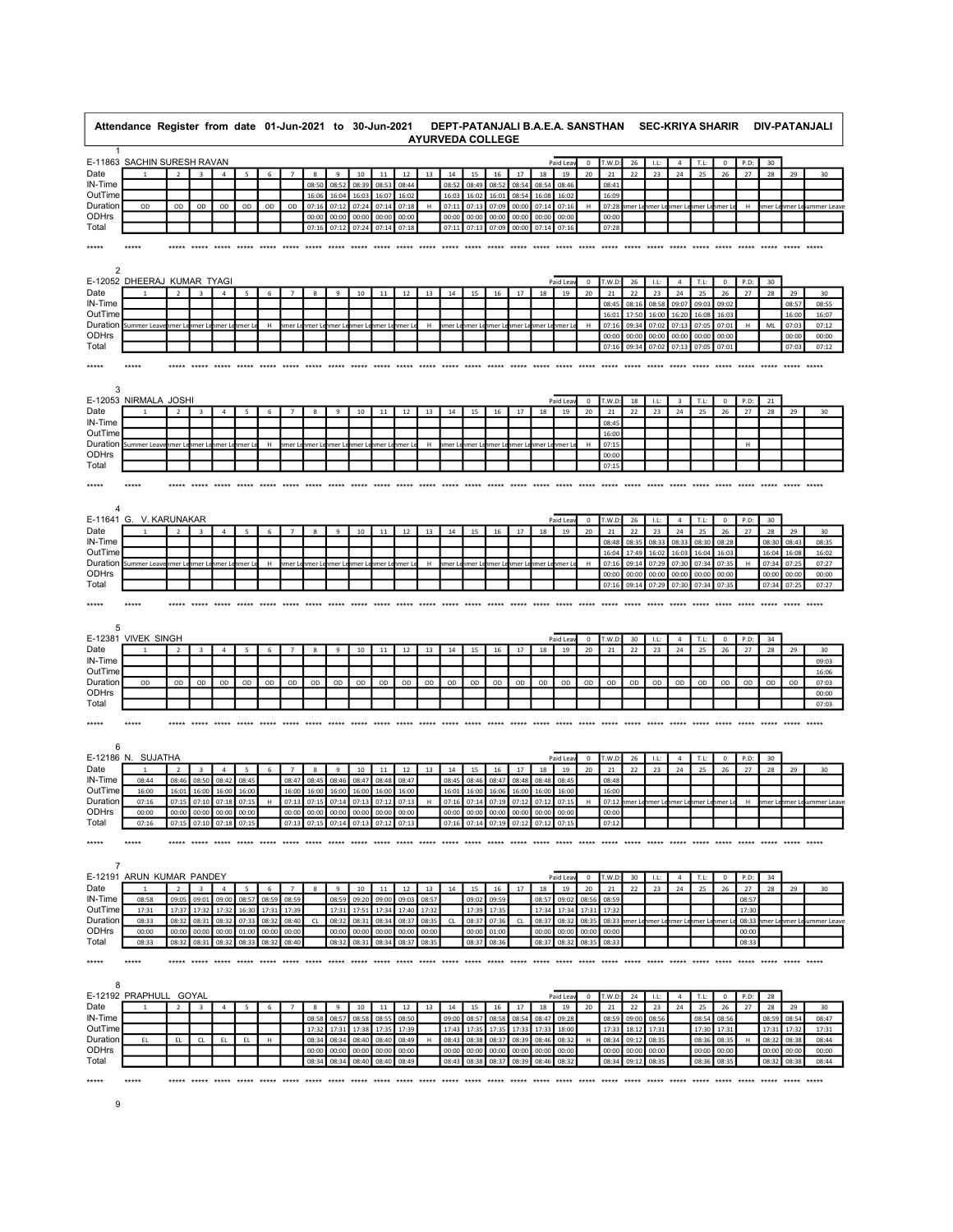|                 | Attendance Register from date 01-Jun-2021 to 30-Jun-2021 |                |                         |                |        |       |                |            |                      |                                     |             |             |       |             |             | <b>AYURVEDA COLLEGE</b> |                                           |             |                |                  |             |                |           | DEPT-PATANJALI B.A.E.A. SANSTHAN SEC-KRIYA SHARIR |                |                   |            |          |       | DIV-PATANJALI              |
|-----------------|----------------------------------------------------------|----------------|-------------------------|----------------|--------|-------|----------------|------------|----------------------|-------------------------------------|-------------|-------------|-------|-------------|-------------|-------------------------|-------------------------------------------|-------------|----------------|------------------|-------------|----------------|-----------|---------------------------------------------------|----------------|-------------------|------------|----------|-------|----------------------------|
| -1              |                                                          |                |                         |                |        |       |                |            |                      |                                     |             |             |       |             |             |                         |                                           |             |                |                  |             |                |           |                                                   |                |                   |            |          |       |                            |
|                 | E-11863 SACHIN SURESH RAVAN                              |                |                         |                |        |       |                |            |                      |                                     |             |             |       |             |             |                         |                                           |             | Paid Leav      | 0                | T.W.D       | 26             | $1.1$ :   |                                                   | T.L:           | $\mathbf 0$       | P.D:       | 30       |       |                            |
| Date<br>IN-Time | $\overline{1}$                                           | $\overline{2}$ | $\overline{\mathbf{3}}$ | $\overline{4}$ | 5      | 6     |                | 8<br>08:50 | $\mathbf{q}$<br>08:5 | 10<br>08:39                         | 11<br>08:53 | 12<br>08:44 | 13    | 14<br>08:52 | 15<br>08:49 | 16<br>08:52             | 17<br>08:54                               | 18<br>08:54 | 19<br>08:46    | 20               | 21<br>08:41 | 22             | 23        | 24                                                | 25             | 26                | 27         | 28       | 29    | 30                         |
| OutTime         |                                                          |                |                         |                |        |       |                | 16:06      | 16:04                | 16:03                               | 16:07       | 16:02       |       | 16:03       | 16:02       | 16:01                   | 08:5                                      | 16:08       | 16:02          |                  | 16:09       |                |           |                                                   |                |                   |            |          |       |                            |
| Duration        | OD                                                       | OD             | OD                      | OD             | OD     | OD    | OD             | 07:16      | 07:12                | 07:24 07:14                         |             | 07:18       | H     | 07:11       | 07:13       | 07:09                   | 00:00                                     | 07:14       | 07:16          | H                | 07:28       |                |           | imer Leimer Leimer Leimer Leimer Le               |                |                   | H          |          |       | nmer Lenmer Leiummer Leave |
| ODHrs           |                                                          |                |                         |                |        |       |                | 00:00      | 00:00                | 00:00                               | 00:00       | 00:00       |       | 00:00       | 00:00       | 00:00                   | 00:00                                     | 00:00       | 00:00          |                  | 00:00       |                |           |                                                   |                |                   |            |          |       |                            |
| Total           |                                                          |                |                         |                |        |       |                | 07:10      | 07:1                 | 07:24                               | 07:14       | 07:18       |       | 07:1        | 07:13       | 07:09                   | 00:00                                     | 07:14       | 07:16          |                  | 07:2        |                |           |                                                   |                |                   |            |          |       |                            |
| *****           |                                                          |                |                         |                |        |       |                |            |                      |                                     |             |             |       |             |             |                         |                                           |             |                |                  |             |                |           |                                                   |                |                   |            |          |       |                            |
| 2               |                                                          |                |                         |                |        |       |                |            |                      |                                     |             |             |       |             |             |                         |                                           |             |                |                  |             |                |           |                                                   |                |                   |            |          |       |                            |
|                 | E-12052 DHEERAJ KUMAR TYAGI                              |                |                         |                |        |       |                |            |                      |                                     |             |             |       |             |             |                         |                                           |             | Paid Leav      | $\mathbf 0$      | T.W.D       | 26             | $1.1$ :   | $\overline{4}$                                    | T.L:           | $\mathbf 0$       | P.D:       | 30       |       |                            |
| Date            |                                                          |                |                         |                |        | 6     |                |            | $\mathbf{Q}$         | 10                                  | 11          | 12          | 13    | 14          | 15          | 16                      | 17                                        | 18          | 19             | 20               | 21          | 22             | 23        | 24                                                | 25             | 26                | 27         | 28       | 29    | 30                         |
| IN-Time         |                                                          |                |                         |                |        |       |                |            |                      |                                     |             |             |       |             |             |                         |                                           |             |                |                  | 08:45       | 08:16          | 08:58     | 09:07                                             | 09:03          | 09:02             |            |          | 08:57 | 08:55                      |
| OutTime         |                                                          |                |                         |                |        |       |                |            |                      |                                     |             |             |       |             |             |                         |                                           |             |                |                  | 16:01       | 17:50          | 16:00     | 16:20                                             | 16:08          | 16:03             |            |          | 16:00 | 16:07                      |
| Duration        | Summer Lea                                               | ımer L         | mer L                   | mer L          | mer l  | н     | mer l          | mer L      | mer l                | ımer L                              | mer Le      | ımer l      | H     | mer L       | mer L       | mer L                   | ımer L                                    | ımer L      | hmer I         | H                | 07:16       | 09:34          | 07:02     | 07:13                                             | 07:05          | 07:01             | H          | ML       | 07:0  | 07:12                      |
| ODHrs           |                                                          |                |                         |                |        |       |                |            |                      |                                     |             |             |       |             |             |                         |                                           |             |                |                  | 00:00       | 00:00          | 00:00     | 00:00                                             | 00:00          | 00:00             |            |          | 00:00 | 00:00                      |
| Total           |                                                          |                |                         |                |        |       |                |            |                      |                                     |             |             |       |             |             |                         |                                           |             |                |                  | 07:16       | 09:34          | 07:02     | 07:13                                             | 07:05          | 07:01             |            |          | 07:03 | 07:12                      |
| *****           |                                                          |                |                         |                |        |       |                |            |                      |                                     |             |             |       |             |             |                         |                                           |             |                |                  |             |                |           |                                                   |                |                   |            |          |       |                            |
| 3               |                                                          |                |                         |                |        |       |                |            |                      |                                     |             |             |       |             |             |                         |                                           |             |                |                  |             |                |           |                                                   |                |                   |            |          |       |                            |
|                 | E-12053 NIRMALA JOSHI                                    |                |                         |                |        |       |                |            |                      |                                     |             |             |       |             |             |                         |                                           |             | Paid Leav      | 0                | T.W.D       | 18             | L         | 3                                                 | T.L:           | $\mathbf 0$       | P.D:       | 21       |       |                            |
| Date            | $\mathbf{1}$                                             | $\overline{2}$ | 3                       | $\overline{4}$ | 5      |       |                | я          | 9                    | 10                                  | 11          | 12          | 13    | 14          | 15          | 16                      | 17                                        | 18          | 19             | 20               | 21          | 22             | 23        | 24                                                | 25             | 26                | 27         | 28       | 29    | 30                         |
| IN-Time         |                                                          |                |                         |                |        |       |                |            |                      |                                     |             |             |       |             |             |                         |                                           |             |                |                  | 08:4!       |                |           |                                                   |                |                   |            |          |       |                            |
| OutTime         |                                                          |                |                         |                |        |       |                |            |                      |                                     |             |             |       |             |             |                         |                                           |             |                |                  | 16:00       |                |           |                                                   |                |                   |            |          |       |                            |
| Duration        | Summer Leav                                              | nmer Lenmer L  |                         | mer Le         | nmer L | н     | hmer L         | mer Le     |                      | nmer Lenmer Lenmer Lenmer Le        |             |             | H     |             |             |                         | imer Lehmer Lehmer Lehmer Lehmer Lehmer L |             |                | H                | 07:15       |                |           |                                                   |                |                   | H          |          |       |                            |
| ODHrs           |                                                          |                |                         |                |        |       |                |            |                      |                                     |             |             |       |             |             |                         |                                           |             |                |                  | 00:00       |                |           |                                                   |                |                   |            |          |       |                            |
| Total           |                                                          |                |                         |                |        |       |                |            |                      |                                     |             |             |       |             |             |                         |                                           |             |                |                  | 07:1        |                |           |                                                   |                |                   |            |          |       |                            |
| *****           |                                                          |                |                         |                |        |       |                |            |                      |                                     |             |             |       |             |             |                         |                                           |             |                |                  |             |                |           |                                                   |                |                   |            |          |       |                            |
|                 |                                                          |                |                         |                |        |       |                |            |                      |                                     |             |             |       |             |             |                         |                                           |             |                |                  |             |                |           |                                                   |                |                   |            |          |       |                            |
| E-11641         | G. V. KARUNAKAR                                          |                |                         |                |        |       |                |            |                      |                                     |             |             |       |             |             |                         |                                           |             | Paid Lea       | $\mathsf 0$      | T.W.D:      | 26             | LL:       | $\overline{4}$                                    | T.L:           | $\mathbf 0$       | P.D:       | 30       |       |                            |
| Date            |                                                          | $\overline{2}$ |                         | $\overline{4}$ |        | 6     |                | 8          | 9                    | 10                                  | 11          | 12          | 13    | 14          | 15          | 16                      | 17                                        | 18          | 19             | 20               | 21          | 22             | 23        | 24                                                | 25             | 26                | 27         | 28       | 29    | 30                         |
| IN-Time         |                                                          |                |                         |                |        |       |                |            |                      |                                     |             |             |       |             |             |                         |                                           |             |                |                  | 08:48       | 08:35          | 08:33     | 08:33                                             | 08:30          | 08:28             |            | 08:30    | 08:43 | 08:35                      |
| OutTime         |                                                          |                |                         |                |        |       |                |            |                      |                                     |             |             |       |             |             |                         |                                           |             |                |                  | 16:04       | 17:49          | 16:02     | 16:03                                             | 16:04          | 16:03             |            | 16:04    | 16:08 | 16:02                      |
| Duration        | Summer Leav                                              | ımer L         | mer I                   | mer L          | mer    | н     |                | mer        | mer l                | mer                                 | mer I       | mer         | н     | ner L       | mer l       | mer L                   | mer L                                     | ımer L      | ımer           |                  | 07:16       | 09:14          | 07:29     | 07:30                                             | 07:34          | 07:35             |            | 07:34    | 07:2! | 07:27                      |
| ODHrs           |                                                          |                |                         |                |        |       |                |            |                      |                                     |             |             |       |             |             |                         |                                           |             |                |                  | 00:00       | 00:00          | 00:00     | 00:00                                             | 00:00          | 00:00             |            | 00:00    | 00:00 | 00:00                      |
| Total           |                                                          |                |                         |                |        |       |                |            |                      |                                     |             |             |       |             |             |                         |                                           |             |                |                  | 07:16       | 09:14          | 07:29     | 07:30                                             | 07:34          | 07:35             |            | 07:34    | 07:2  | 07:27                      |
| 5<br>Date       | E-12381 VIVEK SINGH<br>1                                 | $\overline{2}$ | 3                       | $\overline{4}$ |        | 6     |                | 8          | 9                    | 10                                  | 11          | 12          | 13    | 14          | 15          | 16                      | 17                                        | 18          | Paid Lea<br>19 | $^{\circ}$<br>20 | T.W.D<br>21 | 30<br>22       | LL:<br>23 | $\overline{a}$<br>24                              | T.L:<br>25     | $\mathbf 0$<br>26 | P.D:<br>27 | 34<br>28 | 29    | 30                         |
| IN-Time         |                                                          |                |                         |                |        |       |                |            |                      |                                     |             |             |       |             |             |                         |                                           |             |                |                  |             |                |           |                                                   |                |                   |            |          |       | 09:03                      |
| OutTime         |                                                          |                |                         |                |        |       |                |            |                      |                                     |             |             |       |             |             |                         |                                           |             |                |                  |             |                |           |                                                   |                |                   |            |          |       | 16:06                      |
| Duration        | OD                                                       | OD             | OD                      | OD             | OD     | OD    | OD             | OD         | OD                   | OD                                  | OD          | OD          | OD    | OD          | OD          | OD                      | OD                                        | OD          | OD             | OD               | OD          | OD             | OD        | OD                                                | OD             | OD                | OD         | OD       | OD    | 07:03                      |
| ODHrs<br>Total  |                                                          |                |                         |                |        |       |                |            |                      |                                     |             |             |       |             |             |                         |                                           |             |                |                  |             |                |           |                                                   |                |                   |            |          |       | 00:00<br>07:03             |
|                 |                                                          |                |                         |                |        |       |                |            |                      |                                     |             |             |       |             |             |                         |                                           |             |                |                  |             |                |           |                                                   |                |                   |            |          |       |                            |
| *****<br>6      |                                                          |                |                         |                |        |       |                |            |                      |                                     |             |             |       |             |             |                         |                                           |             |                |                  |             |                |           |                                                   |                |                   |            |          |       |                            |
|                 | E-12186 N. SUJATHA                                       |                |                         |                |        |       |                |            |                      |                                     |             |             |       |             |             |                         |                                           |             | Paid Lea       | $\mathsf 0$      | T.W.D       | 26             | LL:       | $\overline{a}$                                    | T.L:           | $\mathbf 0$       | P.D:       | 30       |       |                            |
| Date            |                                                          |                |                         |                |        |       |                |            |                      | 10                                  | 11          | 12          | 13    | 14          | 15          | 16                      | 17                                        | 18          | 19             | 20               | 21          | 22             | 23        | 24                                                | 25             | 26                | 27         | 28       | 29    | 30                         |
| IN-Time         | 08:44                                                    | 08:46          | 08:50                   | 08:42          | 08:45  |       | 08:47          | 08:45      | 08:46                | 08:47                               | 08:48       | 08:47       |       | 08:45       | 08:46       | 08:47                   | 08:48                                     | 08:48       | 08:45          |                  | 08:48       |                |           |                                                   |                |                   |            |          |       |                            |
| OutTime         | 16:00                                                    | 16:01          | 16:00                   | 16:00          | 16:00  |       | 16:00          | 16:00      | 16:00                | 16:00                               | 16:00       | 16:00       |       | 16:01       | 16:00       | 16:06                   | 16:00                                     | 16:00       | 16:00          |                  | 16:00       |                |           |                                                   |                |                   |            |          |       |                            |
| Duration        | 07:16                                                    | 07:15          | 07:10                   | 07:18          | 07:15  | H     | 07:13          | 07:15      | 07:14                | 07:13                               | 07:12       | 07:13       | н     | 07:16       | 07:14       | 07:19                   | 07:12                                     | 07:12       | 07:15          |                  | 07:12       | mer l          | ımer L    | ımer L                                            | ımer Le        | nmer I            | H          | ımer I   |       | ummer Leave                |
| ODHrs           | 00:00                                                    | 00:00          | 00:00                   | 00:00          | 00:00  |       | 00:00          | 00:00      | 00:00                | 00:00 00:00                         |             | 00:00       |       |             | 00:00 00:00 | 00:00                   | 00:00                                     | 00:00       | 00:00          |                  | 00:00       |                |           |                                                   |                |                   |            |          |       |                            |
| Total           | 07:16                                                    |                | 07:15 07:10 07:18 07:15 |                |        |       |                |            |                      | 07:13 07:15 07:14 07:13 07:12 07:13 |             |             |       |             |             |                         | 07:16 07:14 07:19 07:12 07:12 07:15       |             |                |                  | 07:12       |                |           |                                                   |                |                   |            |          |       |                            |
| *****           | *****                                                    |                |                         |                |        |       |                |            |                      |                                     |             |             |       |             |             |                         |                                           |             |                |                  |             |                |           |                                                   |                |                   |            |          |       |                            |
| $\overline{7}$  |                                                          |                |                         |                |        |       |                |            |                      |                                     |             |             |       |             |             |                         |                                           |             |                |                  |             |                |           |                                                   |                |                   |            |          |       |                            |
|                 | E-12191 ARUN KUMAR PANDEY                                |                |                         |                |        |       |                |            |                      |                                     |             |             |       |             |             |                         |                                           |             | Paid Leav      | $\mathbf{0}$     | T.W.D:      | 30             | LL:       | $\overline{4}$                                    | T.L:           | $\overline{0}$    | P.D:       | 34       |       |                            |
| Date            |                                                          | $\overline{2}$ | $\overline{\mathbf{3}}$ | $\overline{4}$ | 5      | 6     | $\overline{7}$ | 8          | 9                    | 10                                  | 11          | 12          | 13    | 14          | 15          | 16                      | 17                                        | 18          | 19             | 20               | 21          | 22             | 23        | 24                                                | 25             | 26                | 27         | 28       | 29    | 30                         |
| IN-Time         | 08:58                                                    | 09:05          | 09:01                   | 09:00          | 08:57  | 08:59 | 08:59          |            | 08:59                | 09:20                               | 09:00       | 09:03       | 08:57 |             | 09:02       | 09:59                   |                                           | 08:57       | 09:02          | 08:56            | 08:59       |                |           |                                                   |                |                   | 08:57      |          |       |                            |
| OutTime         | 17:31                                                    | 17:37          | 17:32                   | 17:32          | 16:30  | 17:31 | 17:39          |            | 17:31                | 17:51                               | 17:34       | 17:40       | 17:32 |             | 17:39       | 17:35                   |                                           | 17:34       | 17:34          | 17:31            | 17:32       |                |           |                                                   |                |                   | 17:30      |          |       |                            |
| Duration        | 08:33                                                    | 08:32          | 08:31                   | 08:32          | 07:33  | 08:32 | 08:40          | CL         | 08:32                | 08:31 08:34                         |             | 08:37       | 08:35 | CL.         | 08:37       | 07:36                   | CL                                        | 08:37       | 08:32          | 08:35            | 08:33       | imer Lenmer Le |           | nmer Le                                           | nmer Lenmer Le |                   | 08:33      |          |       | imer Lenmer Le ummer Leave |
| ODHrs           | 00:00                                                    | 00:00          | 00:00                   | 00:00          | 01:00  | 00:00 | 00:00          |            | 00:00                | 00:00                               | 00:00       | 00:00       | 00:00 |             | 00:00       | 01:00                   |                                           | 00:00       | 00:00          | 00:00            | 00:00       |                |           |                                                   |                |                   | 00:00      |          |       |                            |
| Total           | 08:33                                                    | 08:32          | 08:31                   | 08:32          | 08:33  | 08:32 | 08:40          |            | 08:32                | 08:31                               | 08:34       | 08:37       | 08:35 |             | 08:37       | 08:36                   |                                           | 08:37       | 08:32          | 08:35            | 08:33       |                |           |                                                   |                |                   | 08:33      |          |       |                            |
| *****           | *****                                                    |                |                         |                |        |       |                |            |                      |                                     |             |             |       |             |             |                         |                                           |             |                |                  |             |                |           |                                                   |                |                   |            |          |       |                            |
| 8               | E-12192 PRAPHULL GOYAL                                   |                |                         |                |        |       |                |            |                      |                                     |             |             |       |             |             |                         |                                           |             | Paid Lea       | $\mathsf 0$      | T.W.D:      | 24             | LL:       | $\overline{4}$                                    | T.L:           | $\mathbf 0$       | P.D:       | 28       |       |                            |
| Date            |                                                          | $\overline{2}$ | $\overline{\mathbf{3}}$ | $\overline{4}$ | 5      | 6     | $\overline{7}$ | 8          | $\,9$                | 10                                  | $11\,$      | 12          | 13    | 14          | 15          | 16                      | 17                                        | 18          | 19             | 20               | 21          | 22             | 23        | 24                                                | 25             | 26                | 27         | 28       | 29    | 30                         |
| IN-Time         |                                                          |                |                         |                |        |       |                | 08:58      | 08:57                | 08:58                               | 08:55       | 08:50       |       |             | 09:00 08:57 | 08:58                   | 08:54                                     | 08:47       | 09:28          |                  | 08:59       | 09:00          | 08:56     |                                                   | 08:54          | 08:56             |            | 08:59    | 08:54 | 08:47                      |
| OutTime         |                                                          |                |                         |                |        |       |                | 17:32      | 17:31                | 17:38                               | 17:35       | 17:39       |       | 17:43       | 17:35       | 17:35                   | 17:33                                     | 17:33       | 18:00          |                  | 17:33       | 18:12          | 17:31     |                                                   | 17:30          | 17:31             |            | 17:31    | 17:32 | 17:31                      |
| Duration        | EL                                                       | EL.            | CL                      | EL.            | EL     | H     |                | 08:34      | 08:34                | 08:40                               | 08:40       | 08:49       | н     | 08:43       | 08:38       | 08:37                   | 08:39                                     | 08:46       | 08:32          |                  | 08:34       | 09:12          | 08:35     |                                                   | 08:36          | 08:35             |            | 08:32    | 08:3  | 08:44                      |
| ODHrs           |                                                          |                |                         |                |        |       |                | 00:00      | 00:00                | 00:00                               | 00:00       | 00:00       |       | 00:00       | 00:00       | 00:00                   | 00:00                                     | 00:00       | 00:00          |                  | 00:00       | 00:00          | 00:00     |                                                   | 00:00          | 00:00             |            | 00:00    | 00:00 | 00:00                      |
| Total           |                                                          |                |                         |                |        |       |                | 08:34      | 08:34                | 08:40                               | 08:40       | 08:49       |       | 08:43       | 08:38       | 08:37                   | 08:39                                     | 08:46       | 08:32          |                  | 08:34       | 09:12          | 08:35     |                                                   | 08:36          | 08:35             |            | 08:32    | 08:38 | 08:44                      |
| *****           | *****                                                    |                |                         |                |        |       |                |            |                      |                                     |             |             |       |             |             |                         |                                           |             |                |                  |             |                |           |                                                   |                |                   |            |          |       |                            |
|                 |                                                          |                |                         |                |        |       |                |            |                      |                                     |             |             |       |             |             |                         |                                           |             |                |                  |             |                |           |                                                   |                |                   |            |          |       |                            |

9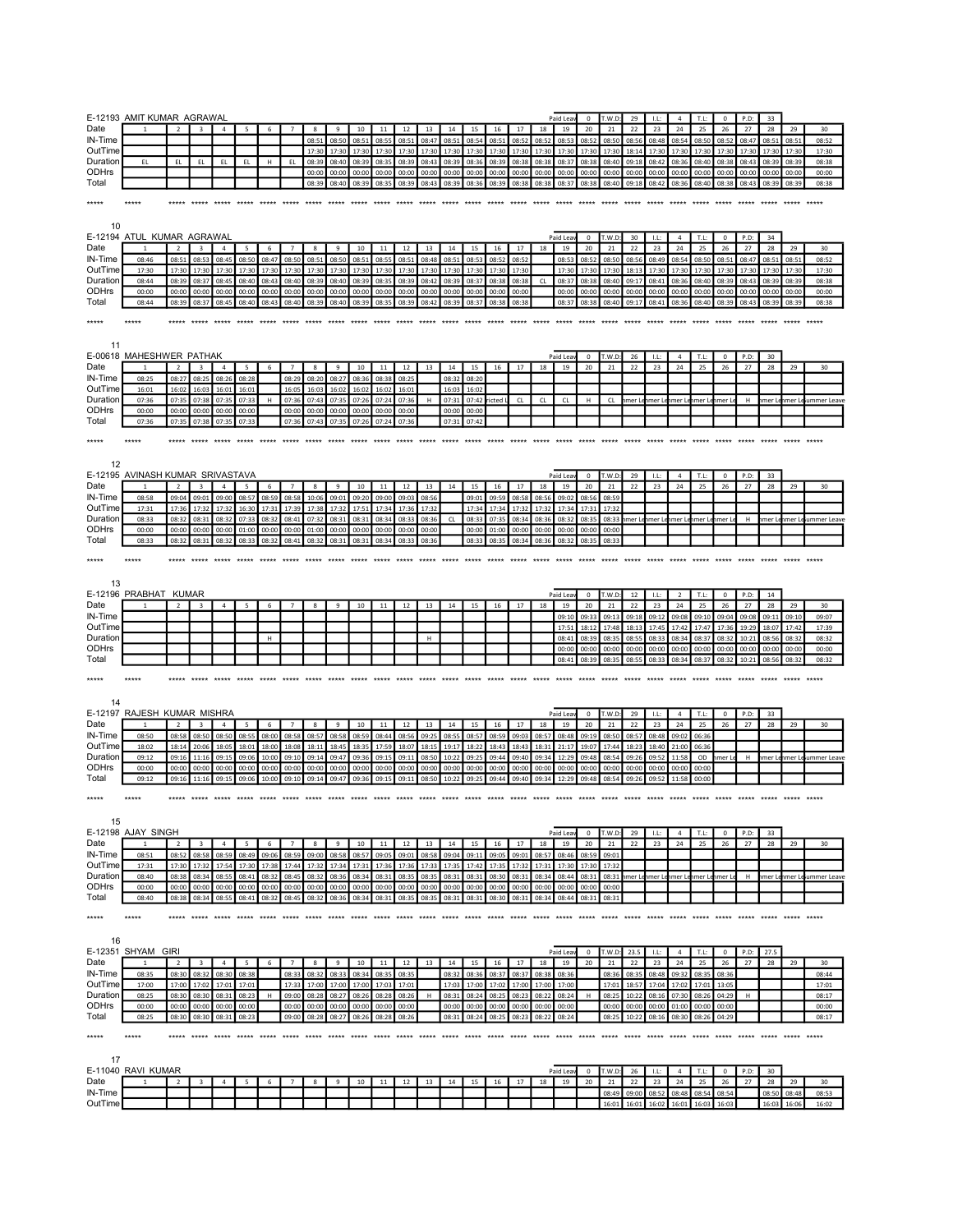|                                     | E-12193 AMIT KUMAR AGRAWAL                  |                |                         |                |                |                |                |                   |                |                                     |                   |                |                |                |                         |                |                |                | Paid Leav                                             |                  | 0 T.W.D:             | 29          | LL:                  | 4                                         | T.L:           | $^{\circ}$        | P.D:           | 33              |                |                            |  |
|-------------------------------------|---------------------------------------------|----------------|-------------------------|----------------|----------------|----------------|----------------|-------------------|----------------|-------------------------------------|-------------------|----------------|----------------|----------------|-------------------------|----------------|----------------|----------------|-------------------------------------------------------|------------------|----------------------|-------------|----------------------|-------------------------------------------|----------------|-------------------|----------------|-----------------|----------------|----------------------------|--|
| Date                                |                                             | 2              | $\overline{a}$          | $\overline{a}$ | $\overline{a}$ | 6              | $\overline{7}$ | $\mathbf{R}$      | $\mathbf{q}$   | 10                                  | 11                | 12             | 13             | 14             | 15                      | 16             | 17             | 18             | 19                                                    | 20               | 21                   | 22          | 23                   | 24                                        | 25             | 26                | 27             | 28              | 29             | 30                         |  |
| IN-Time                             |                                             |                |                         |                |                |                |                | 08:51             | 08:50          | 08:51                               | 08:55             | 08:51          | 08:47          | 08:51          | 08:54                   | 08:51          | 08:52          | 08:52          | 08:53                                                 | 08:52            | 08:50                | 08:56       | 08:48                | 08:54                                     | 08:50          | 08:52             | 08:47          | 08:51           | 08:51          | 08:52                      |  |
| OutTime                             |                                             |                |                         |                |                |                |                | 17:30             | 17:30          |                                     | 17:30 17:30       | 17:30          | 17:30          | 17:30          | 17:30 17:30             |                | 17:30          | 17:30          | 17:30 17:30                                           |                  | 17:30                | 18:14       | 17:30 17:30          |                                           | 17:30          | 17:30             | 17:30 17:30    |                 | 17:30          | 17:30                      |  |
| Duration                            | EL.                                         | EL.            | EL.                     | EL.            | EL             | H              | EL             | 08:39             | 08:40          | 08:39                               | 08:35             | 08:39          | 08:43          | 08:39          | 08:36                   | 08:39          | 08:38          | 08:38          | 08:37                                                 | 08:38            | 08:40                | 09:18       | 08:42                | 08:36                                     | 08:40          | 08:38             | 08:43          | 08:39           | 08:39          | 08:38                      |  |
| ODHrs<br>Total                      |                                             |                |                         |                |                |                |                | 00:00             | 00:00          | 00:00                               | 00:00             | 00:00          | 00:00          | 00:00          | 00:00                   | 00:00          | 00:00          | 00:00          | 00:00                                                 | 00:00            | 00:00                | 00:00       | 00:00                | 00:00                                     | 00:00          | 00:00             | 00:00          | 00:00           | 00:00          | 00:00                      |  |
|                                     |                                             |                |                         |                |                |                |                |                   |                | 08:39 08:40 08:39 08:35 08:39 08:43 |                   |                |                |                | 08:39 08:36             | 08:39          | 08:38          |                | 08:38 08:37 08:38 08:40 09:18 08:42 08:36 08:40 08:38 |                  |                      |             |                      |                                           |                |                   | 08:43 08:39    |                 | 08:39          | 08:38                      |  |
| *****                               | *****                                       |                |                         |                |                |                |                |                   |                |                                     |                   |                |                |                |                         |                |                |                |                                                       |                  |                      |             |                      |                                           |                |                   |                |                 |                |                            |  |
|                                     |                                             |                |                         |                |                |                |                |                   |                |                                     |                   |                |                |                |                         |                |                |                |                                                       |                  |                      |             |                      |                                           |                |                   |                |                 |                |                            |  |
| 10                                  |                                             |                |                         |                |                |                |                |                   |                |                                     |                   |                |                |                |                         |                |                |                |                                                       |                  |                      |             |                      |                                           |                |                   |                |                 |                |                            |  |
|                                     | E-12194 ATUL KUMAR AGRAWAL                  |                |                         |                |                |                |                |                   |                |                                     |                   |                |                |                |                         |                |                |                | Paid Lea                                              | $^{\circ}$       | T.W.D                | 30          | LL:                  | $\overline{4}$                            | T.L:           | $\overline{0}$    | P.D:           | 34              |                |                            |  |
| Date                                |                                             | $\overline{2}$ | $\overline{3}$          | $\overline{a}$ | 5 <sup>5</sup> | -6             | $\overline{7}$ | $\mathbf{R}$      | $\mathbf{q}$   | 10                                  | 11                | 12             | 13             | 14             | 15                      | 16             | 17             | 18             | 19                                                    | 20               | 21                   | 22          | 23                   | 24                                        | 25             | 26                | 27             | 28              | 29             | 30                         |  |
| IN-Time                             | 08:46                                       | 08:51          | 08:53                   | 08:45          | 08:50          | 08:47          | 08:50          | 08:51             | 08:50          | 08:51                               | 08:55             | 08:51          | 08:48          | 08:51          | 08:53                   | 08:52          | 08:52          |                | 08:53                                                 | 08:52            | 08:50                | 08:56       | 08:49                | 08:54                                     | 08:50          | 08:51             | 08:47          | 08:51           | 08:51          | 08:52                      |  |
| OutTime                             | 17:30                                       | 17:30          | 17:30                   | 17:30          | 17:30          | 17:30          | 17:30          | 17:30             | 17:30          | 17:30                               | 17:30             | 17:30          | 17:30          | 17:30          | 17:30                   | 17:30          | 17:30          |                | 17:30                                                 | 17:30            | 17:30                | 18:13       | 17:30                | 17:30                                     | 17:30          | 17:30             | 17:30          | 17:30           | 17:30          | 17:30                      |  |
| Duration<br><b>ODHrs</b>            | 08:44                                       | 08:39          | 08:37                   | 08:45          | 08:40          | 08:43          | 08:40          | 08:39             | 08:40          | 08:39                               | 08:35             | 08:39          | 08:42          | 08:39          | 08:37                   | 08:38          | 08:38          | CL             | 08:37 08:38                                           |                  | 08:40                | 09:17       | 08:41                | 08:36                                     | 08:40          | 08:39             | 08:43          | 08:39           | 08:39          | 08:38                      |  |
| Total                               | 00:00<br>08:44                              | 00:00<br>08:39 | 00:00                   | 00:00<br>08:45 | 00:00<br>08:40 | 00:00<br>08:43 | 00:00          | 00:00             | 00:00<br>08:40 | 00:00<br>08:39                      | 00:00<br>08:35    | 00:00          | 00:00          | 00:00          | 00:00                   | 00:00<br>08:38 | 00:00<br>08:38 |                | 00:00<br>08:37                                        | 00:00            | 00:00<br>08:40       | 00:00       | 00:00<br>08:41       | 00:00<br>08:36                            | 00:00<br>08:40 | 00:00<br>08:39    | 00:00<br>08:43 | 00:00<br>08:39  | 00:00<br>08:39 | 00:00                      |  |
|                                     |                                             |                | 08:37                   |                |                |                | 08:40          | 08:39             |                |                                     |                   | 08:39          | 08:42          | 08:39          | 08:37                   |                |                |                |                                                       | 08:38            |                      | 09:17       |                      |                                           |                |                   |                |                 |                | 08:38                      |  |
| *****                               | *****                                       |                | ***** ***** *****       |                | *****          |                |                |                   |                |                                     |                   |                |                |                |                         |                |                |                |                                                       |                  |                      |             |                      | ***** ***** ***** ***** ***** *****       |                |                   |                |                 |                |                            |  |
|                                     |                                             |                |                         |                |                |                |                |                   |                |                                     |                   |                |                |                |                         |                |                |                |                                                       |                  |                      |             |                      |                                           |                |                   |                |                 |                |                            |  |
| 11                                  |                                             |                |                         |                |                |                |                |                   |                |                                     |                   |                |                |                |                         |                |                |                |                                                       |                  |                      |             |                      |                                           |                |                   |                |                 |                |                            |  |
|                                     | E-00618 MAHESHWER PATHAK                    |                |                         |                |                |                |                |                   |                |                                     |                   |                |                |                |                         |                |                |                | Paid Leav                                             | $\overline{0}$   | T.W.D:               | 26          | LL:                  | $\overline{4}$                            | T.L:           | $^{\circ}$        | P.D:           | 30              |                |                            |  |
| Date                                |                                             | $\overline{2}$ | $\overline{3}$          | $\overline{a}$ | 5 <sup>5</sup> | -6             | $\overline{7}$ | $\mathbf{R}$      | $\mathbf{q}$   | 10                                  | 11                | 12             | 13             | 14             | 15                      | 16             | 17             | 18             | 19                                                    | 20               | 21                   | 22          | 23                   | 24                                        | 25             | 26                | 27             | 28              | 29             | 30                         |  |
| IN-Time                             | 08:25                                       | 08:27          | 08:25                   | 08:26          | 08:28          |                | 08:29          | 08:20             | 08:2           | 08:36                               | 08:38             | 08:25          |                | 08:32          | 08:20                   |                |                |                |                                                       |                  |                      |             |                      |                                           |                |                   |                |                 |                |                            |  |
| OutTime<br>Duration                 | 16:01                                       | 16:02          | 16:03                   | 16:01          | 16:01<br>07:33 | H              | 16:05          | 16:03             | 16:02          | 16:02                               | 16:02             | 16:01          |                | 16:03<br>07:31 | 16:02                   |                | $\Omega$       | $\Omega$       |                                                       | H                | $\Omega$             |             |                      |                                           |                |                   |                |                 |                |                            |  |
| ODHrs                               | 07:36<br>00:00                              | 07:35<br>00:00 | 07:38<br>00:00          | 07:35<br>00:00 | 00:00          |                | 07:36<br>00:00 | 07:43<br>00:00    | 07:35<br>00:00 | 07:26<br>00:00                      | 07:24<br>00:00    | 07:36<br>00:00 | H              | 00:00          | 07:42 ricted L<br>00:00 |                |                |                | CL                                                    |                  |                      |             |                      | hmer Lehmer Lehmer Lehmer Lehmer L        |                |                   | H              |                 |                | hmer Lehmer Leiummer Leave |  |
| Total                               | 07:36                                       |                | 07:35 07:38 07:35       |                | 07:33          |                | 07:36          |                   | 07:43 07:35    | 07:26 07:24                         |                   | 07:36          |                | 07:31          | 07:42                   |                |                |                |                                                       |                  |                      |             |                      |                                           |                |                   |                |                 |                |                            |  |
|                                     |                                             |                |                         |                |                |                |                |                   |                |                                     |                   |                |                |                |                         |                |                |                |                                                       |                  |                      |             |                      |                                           |                |                   |                |                 |                |                            |  |
| *****                               | *****                                       |                |                         |                |                |                |                |                   |                |                                     |                   |                |                |                |                         |                |                |                |                                                       |                  |                      |             |                      |                                           |                |                   |                |                 |                |                            |  |
|                                     |                                             |                |                         |                |                |                |                |                   |                |                                     |                   |                |                |                |                         |                |                |                |                                                       |                  |                      |             |                      |                                           |                |                   |                |                 |                |                            |  |
| 12                                  |                                             |                |                         |                |                |                |                |                   |                |                                     |                   |                |                |                |                         |                |                |                |                                                       |                  |                      |             |                      |                                           |                |                   |                |                 |                |                            |  |
|                                     | E-12195 AVINASH KUMAR SRIVASTAVA            |                |                         |                |                |                |                |                   |                |                                     |                   |                |                |                |                         |                |                |                | Paid Lea                                              | $^{\circ}$       | T.W.D                | 29          | <b>LL:</b>           | $\overline{a}$                            | T.L:           | $\mathbf 0$       | P.D:           | 33              |                |                            |  |
| Date                                | $\mathbf{1}$                                | $\overline{2}$ | $\overline{3}$          | $\overline{a}$ | 5 <sup>5</sup> | - 6            | $\overline{7}$ | $\mathbf{R}$      | $\mathbf{q}$   | 10                                  | 11                | 12             | 13             | 14             | 15                      | 16             | 17             | 18             | 19                                                    | 20               | 21                   | 22          | 23                   | 24                                        | 25             | 26                | 27             | 28              | 29             | 30                         |  |
| IN-Time                             | 08:58                                       | 09:04          | 09:01                   | 09:00          | 08:57          | 08:59          | 08:58          | 10:06             | 09:01          | 09:20                               | 09:00             | 09:03          | 08:56          |                | 09:01                   | 09:59          | 08:58          | 08:56          | 09:02                                                 | 08:56            | 08:59                |             |                      |                                           |                |                   |                |                 |                |                            |  |
| OutTime<br>Duration                 | 17:31<br>08:33                              | 17:36          | 17:32                   | 17:32          | 16:30<br>07:33 | 17:31<br>08:32 | 17:39<br>08:41 | 17:38             | 17:32          | 17:51                               | 17:34             | 17:36<br>08:33 | 17:32<br>08:36 | CL             | 17:34<br>08:33          | 17:34<br>07:35 | 17:32          | 17:32          | 17:34<br>08:32 08:35                                  | 17:31            | 17:32                |             |                      | 08:33 nmer Lenmer Lenmer Lenmer Lenmer Le |                |                   | H              |                 |                | imer Lenmer Leiummer Leave |  |
| <b>ODHrs</b>                        | 00:00                                       | 08:32<br>00:00 | 08:31<br>00:00          | 08:32<br>00:00 | 01:00          | 00:00          | 00:00          | 07:32<br>01:00    | 08:31<br>00:00 | 08:31<br>00:00                      | 08:34<br>00:00    | 00:00          | 00:00          |                | 00:00                   | 01:00          | 08:34<br>00:00 | 08:36<br>00:00 | 00:00                                                 | 00:00            | 00:00                |             |                      |                                           |                |                   |                |                 |                |                            |  |
| Total                               | 08:33                                       | 08:32          | 08:31                   | 08:32          | 08:33          | 08:32          | 08:41          | 08:32             | 08:31          | 08:31                               | 08:34             | 08:33          | 08:36          |                | 08:33                   | 08:35          | 08:34          | 08:36          | 08:32                                                 | 08:35            | 08:33                |             |                      |                                           |                |                   |                |                 |                |                            |  |
|                                     |                                             |                |                         |                |                |                |                |                   |                |                                     |                   |                |                |                |                         |                |                |                |                                                       |                  |                      |             |                      |                                           |                |                   |                |                 |                |                            |  |
| *****                               | *****                                       |                |                         |                |                |                |                |                   |                |                                     |                   |                |                |                |                         |                |                |                |                                                       |                  |                      |             |                      |                                           |                |                   |                |                 |                |                            |  |
|                                     |                                             |                |                         |                |                |                |                |                   |                |                                     |                   |                |                |                |                         |                |                |                |                                                       |                  |                      |             |                      |                                           |                |                   |                |                 |                |                            |  |
| 13                                  |                                             |                |                         |                |                |                |                |                   |                |                                     |                   |                |                |                |                         |                |                |                |                                                       |                  |                      |             |                      |                                           |                |                   |                |                 |                |                            |  |
|                                     | E-12196 PRABHAT KUMAR                       |                |                         |                |                |                |                |                   |                |                                     |                   |                |                |                |                         |                |                |                | Paid Leav                                             | $^{\circ}$       | T.W.D                | 12          | LL                   | $\overline{2}$                            | T.L:           | $\overline{0}$    | P.D:           | 14              |                |                            |  |
| Date<br>IN-Time                     |                                             | $\overline{2}$ | $\overline{3}$          | $\overline{a}$ | -5             | 6              | $\overline{7}$ | $\mathbf{R}$      | $\mathbf{q}$   | 10                                  | 11                | 12             | 13             | 14             | 15                      | 16             | 17             | 18             | 19<br>09:10                                           | 20<br>09:33      | 21<br>09:13          | 22<br>09:18 | 23<br>09:12          | 24<br>09:08                               | 25<br>09:10    | 26<br>09:04       | 27<br>09:08    | 28<br>09:11     | 29<br>09:10    | 30<br>09:07                |  |
| OutTime                             |                                             |                |                         |                |                |                |                |                   |                |                                     |                   |                |                |                |                         |                |                |                |                                                       | 17:51 18:12      | 17:48                | 18:13       | 17:45 17:42          |                                           | 17:47          | 17:36             | 19:29          | 18:07           | 17:42          | 17:39                      |  |
| Duration                            |                                             |                |                         |                |                | H              |                |                   |                |                                     |                   |                | H              |                |                         |                |                |                | 08:41                                                 | 08:39            | 08:35                | 08:55       | 08:33                | 08:34                                     | 08:37          | 08:32             | 10:21          | 08:56           | 08:32          | 08:32                      |  |
| ODHrs                               |                                             |                |                         |                |                |                |                |                   |                |                                     |                   |                |                |                |                         |                |                |                | 00:00                                                 | 00:00            | 00:00                | 00:00       | 00:00                | 00:00                                     | 00:00          | 00:00             | 00:00          | 00:00           | 00:00          | 00:00                      |  |
| Total                               |                                             |                |                         |                |                |                |                |                   |                |                                     |                   |                |                |                |                         |                |                |                | 08:41 08:39                                           |                  | 08:35                | 08:55       | 08:33                | 08:34                                     | 08:37          | 08:32             | 10:21 08:56    |                 | 08:32          | 08:32                      |  |
|                                     |                                             |                |                         |                |                |                |                |                   |                |                                     |                   |                |                |                |                         |                |                |                |                                                       |                  |                      |             |                      |                                           |                |                   |                |                 |                |                            |  |
| *****                               | *****                                       |                |                         |                |                |                |                |                   |                |                                     |                   |                |                |                |                         |                |                |                |                                                       |                  |                      |             |                      | ***** ***** ***** *****                   |                |                   |                |                 |                |                            |  |
|                                     |                                             |                |                         |                |                |                |                |                   |                |                                     |                   |                |                |                |                         |                |                |                |                                                       |                  |                      |             |                      |                                           |                |                   |                |                 |                |                            |  |
| 14                                  |                                             |                |                         |                |                |                |                |                   |                |                                     |                   |                |                |                |                         |                |                |                |                                                       |                  |                      |             |                      |                                           |                |                   |                |                 |                |                            |  |
| Date                                | E-12197 RAJESH KUMAR MISHRA<br>$\mathbf{1}$ | $\overline{2}$ | $\mathbf{3}$            | $\overline{4}$ | -5             | - 6            | $\overline{7}$ | $\mathbf{R}$      | $\mathbf{q}$   | 10                                  | 11                | 12             | 13             | 14             | 15                      | 16             | 17             | 18             | Paid Lea<br>19                                        | $^{\circ}$<br>20 | T.W.D<br>21          | 29<br>22    | LL:<br>23            | $\overline{4}$<br>24                      | T.L:<br>25     | $\mathbf 0$<br>26 | P.D:<br>27     | 33<br>28        | 29             | 30                         |  |
| IN-Time                             | 08:50                                       | 08:58          | 08:50                   | 08:50          | 08:55          | 08:00          | 08:58          | 08:57             | 08:58          | 08:59                               | 08:44             | 08:56          | 09:25          | 08:55          | 08:57                   | 08:59          | 09:03          | 08:57          | 08:48                                                 | 09:19            | 08:50                | 08:57       | 08:48                | 09:02                                     | 06:36          |                   |                |                 |                |                            |  |
| OutTime                             | 18:02                                       | 18:14          | 20:06                   | 18:05          | 18:01          | 18:00          | 18:08          | 18:11             | 18:45          | 18:35                               | 17:59             | 18:07          | 18:15          | 19:17          | 18:22                   | 18:43          | 18:43          | 18:31          | 21:17                                                 | 19:07            | 17:44                | 18:23       | 18:40                | 21:00                                     | 06:36          |                   |                |                 |                |                            |  |
| Duration                            | 09:12                                       |                | 09:16 11:16             | 09:15          | 09:06          |                | 10:00 09:10    | 09:14             | 09:47          | 09:36                               | 09:15             | 09:11          | 08:50          | 10:22          | 09:25                   | 09:44          | 09:40          | 09:34          | 12:29 09:48                                           |                  | 08:54                | 09:26       | 09:52                | 11:58                                     | OD             | hmer Le           | H              |                 |                | nmer Lenmer Le ummer Leave |  |
| <b>ODHrs</b>                        | 00:00                                       | 00:00          | 00:00                   | 00:00          | 00:00          | 00:00          | 00:00          | 00:00             | 00:00          | 00:00                               | 00:00             | 00:00          | 00:00          | 00:00          | 00:00                   | 00:00          | 00:00          | 00:00          | 00:00                                                 | 00:00            | 00:00                | 00:00       | 00:00                | 00:00                                     | 00:00          |                   |                |                 |                |                            |  |
| Total                               | 09:12                                       | 09:16          | 11:16                   | 09:15          | 09:06          | 10:00          | 09:10          | 09:14             | 09:47          | 09:36                               | 09:15             | 09:11          | 08:50          | 10:22          | 09:25                   | 09:44          | 09:40          | 09:34          | 12:29                                                 | 09:48            | 08:54                | 09:26       | 09:52                | 11:58                                     | 00:00          |                   |                |                 |                |                            |  |
| *****                               | *****                                       |                |                         |                |                |                |                |                   |                |                                     |                   |                |                |                |                         |                |                |                |                                                       |                  |                      |             |                      |                                           |                |                   |                |                 |                |                            |  |
|                                     |                                             |                |                         |                |                |                |                |                   |                |                                     |                   |                |                |                |                         |                |                |                |                                                       |                  |                      |             |                      |                                           |                |                   |                |                 |                |                            |  |
| 15                                  |                                             |                |                         |                |                |                |                |                   |                |                                     |                   |                |                |                |                         |                |                |                |                                                       |                  |                      |             |                      |                                           |                |                   |                |                 |                |                            |  |
|                                     | E-12198 AJAY SINGH                          |                |                         |                |                |                |                |                   |                |                                     |                   |                |                |                |                         |                |                |                | Paid Leav                                             | $\mathbf{0}$     | T.W.D                | 29          | LL:                  | 4                                         | T.L:           | $\mathbf{0}$      | P.D:           | 33              |                |                            |  |
| Date                                |                                             | $\overline{2}$ | $\overline{3}$          | $\overline{a}$ | -5             | 6              | $\overline{7}$ | 8                 | 9              | 10                                  | 11                | 12             | 13             | 14             | 15                      | 16             | 17             | 18             | 19                                                    | 20               | 21                   | 22          | 23                   | 24                                        | 25             | 26                | 27             | 28              | 29             | 30                         |  |
| IN-Time                             | 08:51                                       | 08:52          | 08:58                   | 08:59          | 08:49          |                | 09:06 08:59    | 09:00             | 08:58          | 08:57                               | 09:05             | 09:01          | 08:58          | 09:04          | 09:11                   | 09:05          | 09:01          | 08:57          | 08:46                                                 | 08:59            | 09:01                |             |                      |                                           |                |                   |                |                 |                |                            |  |
| OutTime                             | 17:31                                       | 17:30          | 17:32                   | 17:54          | 17:30          | 17:38          | 17:44          | 17:32             | 17:34          | 17:31                               | 17:36             | 17:36          | 17:33          | 17:35          | 17:42                   | 17:35          | 17:32          | 17:31          | 17:30                                                 | 17:30            | 17:32                |             |                      |                                           |                |                   |                |                 |                |                            |  |
| Duration                            | 08:40                                       | 08:38          | 08:34                   | 08:55          | 08:41          | 08:32          | 08:45          | 08:32             | 08:36          | 08:34                               | 08:31             | 08:35          | 08:35          | 08:31          | 08:31                   | 08:30          | 08:31          | 08:34          | 08:44                                                 | 08:31            |                      |             |                      | 08:31 nmer Lenmer Lenmer Lenmer Lenmer Le |                |                   | H              |                 |                | nmer Lenmer Le ummer Leave |  |
| ODHrs                               | 00:00                                       | 00:00          | 00:00                   | 00:00          | 00:00          | 00:00          | 00:00          | 00:00             | 00:00          | 00:00                               | 00:00             | 00:00          | 00:00          | 00:00          | 00:00                   | 00:00          | 00:00          | 00:00          | 00:00                                                 | 00:00            | 00:00                |             |                      |                                           |                |                   |                |                 |                |                            |  |
| Total                               | 08:40                                       | 08:38          | 08:34                   | 08:55          | 08:41          | 08:32 08:45    |                | 08:32             | 08:36          |                                     | 08:34 08:31 08:35 |                | 08:35          | 08:31          | 08:31                   | 08:30          | 08:31          | 08:34          | 08:44 08:31                                           |                  | 08:31                |             |                      |                                           |                |                   |                |                 |                |                            |  |
| *****                               | *****                                       |                |                         |                |                |                |                |                   |                |                                     |                   |                |                |                |                         |                |                |                |                                                       |                  |                      |             |                      |                                           |                |                   |                |                 |                |                            |  |
|                                     |                                             |                |                         |                |                |                |                |                   |                |                                     |                   |                |                |                |                         |                |                |                |                                                       |                  |                      |             |                      |                                           |                |                   |                |                 |                |                            |  |
| - 16                                |                                             |                |                         |                |                |                |                |                   |                |                                     |                   |                |                |                |                         |                |                |                |                                                       |                  |                      |             |                      |                                           |                |                   |                |                 |                |                            |  |
|                                     | E-12351 SHYAM GIRI                          |                |                         |                |                |                |                |                   |                |                                     |                   |                |                |                |                         |                |                |                | Paid Leav                                             | $\mathbf 0$      | T.W.D:               | 23.5        | LL:                  | 4                                         | T.L:           | $\mathbf{0}$      | P.D:           | 27.5            |                |                            |  |
| Date                                |                                             | 2              | $\overline{\mathbf{3}}$ | $\overline{4}$ | 5              | 6              | 7              | 8                 | 9              | 10                                  |                   | 11 12          | 13             | 14             |                         | 15 16          | 17             | 18             | 19                                                    | 20               | 21                   | 22          | 23                   | 24                                        | 25             | 26                | 27             | 28              | 29             | 30                         |  |
| IN-Time                             | 08:35                                       | 08:30          | 08:32                   | 08:30          | 08:38          |                | 08:33          | 08:32             | 08:33          | 08:34                               | 08:35             | 08:35          |                | 08:32          | 08:36 08:37             |                | 08:37          | 08:38          | 08:36                                                 |                  | 08:36                | 08:35       | 08:48 09:32          |                                           | 08:35          | 08:36             |                |                 |                | 08:44                      |  |
|                                     | 17:00                                       | 17:00          | 17:02                   | 17:01          | 17:01          |                | 17:33          | 17:00             | 17:00          | 17:00                               | 17:03             | 17:01          |                | 17:03          | 17:00                   | 17:02          | 17:00          | 17:00          | 17:00                                                 |                  | 17:01                | 18:57       | 17:04                | 17:02                                     | 17:01          | 13:05             |                |                 |                | 17:01                      |  |
| OutTime                             |                                             | 08:30          | 08:30                   | 08:31          | 08:23          | H              |                | 09:00 08:28 08:27 |                | 08:26                               | 08:28             | 08:26          | H              | 08:31          | 08:24 08:25             |                | 08:23          | 08:22          | 08:24                                                 | н.               | 08:25                | 10:22       |                      | 08:16 07:30 08:26                         |                | 04:29             | H              |                 |                | 08:17                      |  |
|                                     | 08:25                                       |                | 00:00                   | 00:00          | 00:00          |                | 00:00          | 00:00             | 00:00          | 00:00                               | 00:00<br>08:28    | 00:00<br>08:26 |                | 00:00          | 00:00                   | 00:00          | 00:00          | 00:00          | 00:00                                                 |                  | 00:00                | 00:00       | 00:00<br>08:16 08:30 | 01:00                                     | 00:00<br>08:26 | 00:00<br>04:29    |                |                 |                | 00:00                      |  |
|                                     | 00:00                                       | 00:00          |                         |                |                |                |                |                   |                |                                     |                   |                |                | 08:31          | 08:24                   | 08:25          | 08:23          | 08:22          | 08:24                                                 |                  | 08:25                | 10:22       |                      |                                           |                |                   |                |                 |                |                            |  |
|                                     | 08:25                                       | 08:30          | 08:30                   | 08:31          | 08:23          |                | 09:00          | 08:28             | 08:27          | 08:26                               |                   |                |                |                |                         |                |                |                |                                                       |                  |                      |             |                      |                                           |                |                   |                |                 |                | 08:17                      |  |
|                                     | *****                                       |                |                         |                |                |                |                |                   |                |                                     |                   |                |                |                |                         |                |                |                |                                                       |                  |                      |             |                      |                                           |                |                   |                |                 |                |                            |  |
| Duration<br>ODHrs<br>Total<br>***** |                                             |                |                         |                |                |                |                |                   |                |                                     |                   |                |                |                |                         |                |                |                |                                                       |                  |                      |             |                      |                                           |                |                   |                |                 |                |                            |  |
| -17                                 |                                             |                |                         |                |                |                |                |                   |                |                                     |                   |                |                |                |                         |                |                |                |                                                       |                  |                      |             |                      |                                           |                |                   |                |                 |                |                            |  |
|                                     | E-11040 RAVI KUMAR                          |                |                         |                |                |                |                |                   |                |                                     |                   |                |                |                |                         |                |                |                | Paid Leav                                             | $\overline{0}$   | T.W.D:               | 26          | LL:                  | 4                                         | T.L:           | $\mathbf{0}$      | P.D:           | 30 <sup>2</sup> |                |                            |  |
|                                     |                                             | $\overline{2}$ |                         |                |                |                |                |                   | 9              | 10                                  | 11                | 12             | 13             | 14             | 15                      | 16             | 17             | 18             | 19                                                    | 20               | 21                   | 22          | 23                   | 24                                        | 25             | 26                | 27             | 28              | 29             | 30                         |  |
| Date<br>IN-Time<br>OutTime          |                                             |                |                         |                |                |                |                |                   |                |                                     |                   |                |                |                |                         |                |                |                |                                                       |                  | 08:49 09:00<br>16:01 | 16:01       | 08:52<br>16:02       | 08:48 08:54<br>16:01                      |                | 08:54<br>16:03    |                | 08:50<br>16:03  | 08:48<br>16:06 | 08:53<br>16:02             |  |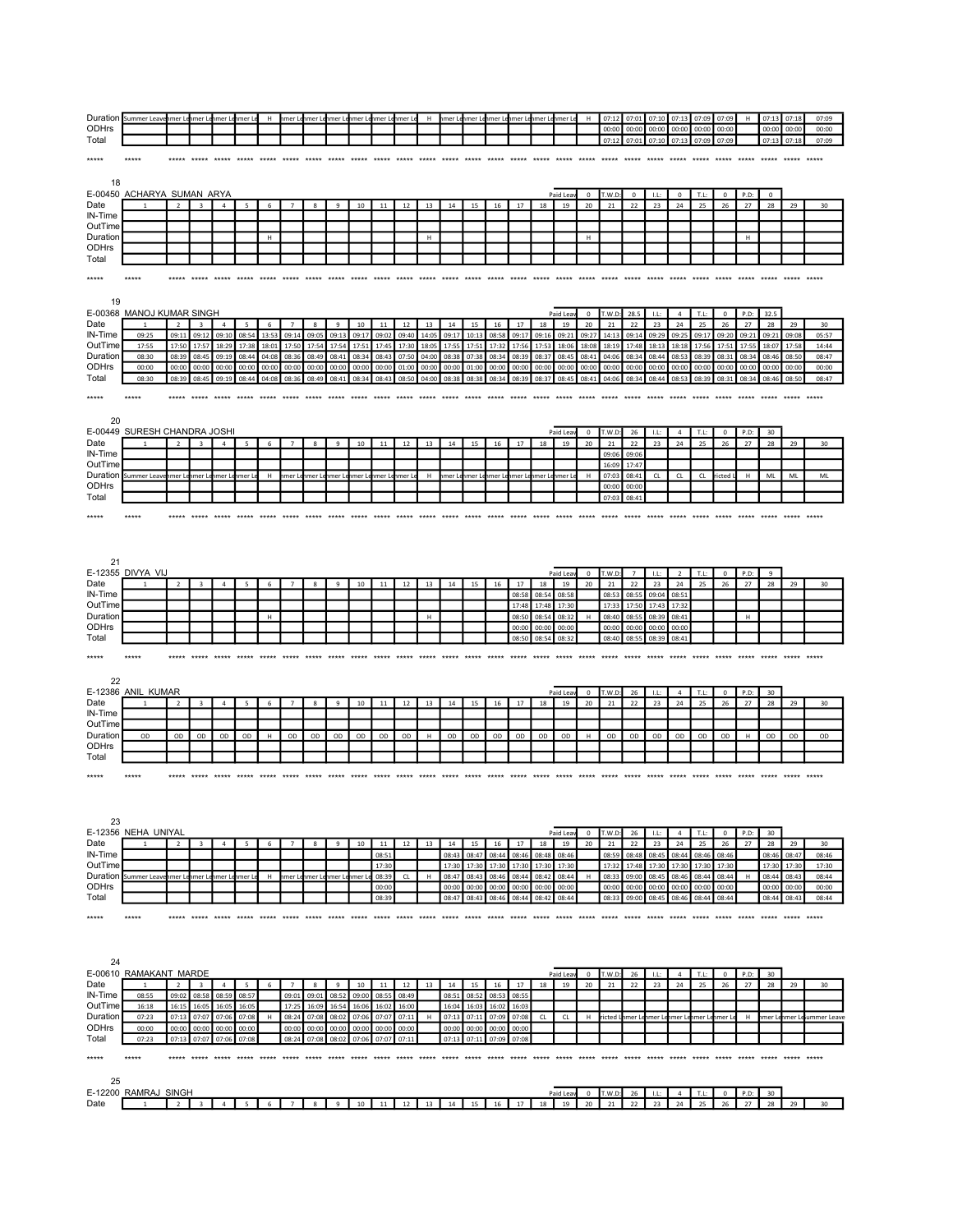| ODHrs                    | Duration Summer Leavenmer Lenmer Lenmer Lenmer Le |                          |                         |                                     |                | H              |                                |                  |                | nmer Lenmer Lenmer Lenmer Lenmer Lenmer Le |                |                |                |                |                      |                |                      |                | H Inmer Lehmer Lehmer Lehmer Lehmer Lehmer Le | H                 | 07:12<br>00:00          | 07:01<br>00:00       | 07:10<br>00:00 | 07:13<br>00:00       | 07:09<br>00:00 | 07:09<br>00:00    | H              | 07:13<br>00:00    | 07:18<br>00:00    | 07:09<br>00:00     |
|--------------------------|---------------------------------------------------|--------------------------|-------------------------|-------------------------------------|----------------|----------------|--------------------------------|------------------|----------------|--------------------------------------------|----------------|----------------|----------------|----------------|----------------------|----------------|----------------------|----------------|-----------------------------------------------|-------------------|-------------------------|----------------------|----------------|----------------------|----------------|-------------------|----------------|-------------------|-------------------|--------------------|
| Total                    |                                                   |                          |                         |                                     |                |                |                                |                  |                |                                            |                |                |                |                |                      |                |                      |                |                                               |                   | 07:12                   | 07:01                | 07:10          | 07:13                | 07:09          | 07:09             |                | 07:13             | 07:18             | 07:09              |
| *****                    | *****                                             |                          |                         | ***** ***** ***** ***** ***** ***** |                |                |                                | *****            | *****          |                                            |                | *****          | *****          |                |                      |                |                      | *****          | *****                                         | *****             | *****                   | *****                |                | ***** *****          | *****          | *****             | *****          | *****             | *****             | *****              |
| 18                       |                                                   |                          |                         |                                     |                |                |                                |                  |                |                                            |                |                |                |                |                      |                |                      |                |                                               |                   |                         |                      |                |                      |                |                   |                |                   |                   |                    |
| Date                     | E-00450 ACHARYA SUMAN ARYA                        | $\overline{\phantom{a}}$ | $\overline{a}$          | $\overline{a}$                      | 5              | 6              |                                | 8                | $\ddot{q}$     | $10\,$                                     | $11\,$         | $12\,$         | 13             | 14             | 15                   | 16             | 17                   | 18             | Paid Lea<br>19                                | $\mathbf 0$<br>20 | T.W.D<br>21             | $\mathsf 0$<br>22    | LL:<br>23      | $\mathbf 0$<br>24    | T.L:<br>25     | $\mathbf 0$<br>26 | P.D:<br>$27\,$ | $\mathbf 0$<br>28 | 29                | 30                 |
| IN-Time                  |                                                   |                          |                         |                                     |                |                |                                |                  |                |                                            |                |                |                |                |                      |                |                      |                |                                               |                   |                         |                      |                |                      |                |                   |                |                   |                   |                    |
| OutTime<br>Duration      |                                                   |                          |                         |                                     |                | $\,$ H         |                                |                  |                |                                            |                |                | H              |                |                      |                |                      |                |                                               | $\mathsf H$       |                         |                      |                |                      |                |                   | H              |                   |                   |                    |
| <b>ODHrs</b><br>Total    |                                                   |                          |                         |                                     |                |                |                                |                  |                |                                            |                |                |                |                |                      |                |                      |                |                                               |                   |                         |                      |                |                      |                |                   |                |                   |                   |                    |
| *****                    |                                                   |                          |                         |                                     |                |                |                                |                  |                |                                            |                |                |                |                |                      |                |                      |                |                                               |                   |                         |                      |                |                      |                |                   |                |                   |                   |                    |
|                          |                                                   |                          |                         |                                     |                |                |                                |                  |                |                                            |                |                |                |                |                      |                |                      |                |                                               |                   |                         |                      |                |                      |                |                   |                |                   |                   |                    |
| 19                       | E-00368 MANOJ KUMAR SINGH                         |                          |                         |                                     |                |                |                                |                  |                |                                            |                |                |                |                |                      |                |                      |                | Paid Lea                                      | $\mathbf{0}$      | T.W.D:                  | 28.5                 | LL:            | $\overline{4}$       | T.L:           | $\mathbf{0}$      | P.D:           | 32.5              |                   |                    |
| Date                     | $\overline{1}$                                    | $\overline{2}$           | $\overline{\mathbf{3}}$ | $\overline{4}$                      | 5              | 6              | $\overline{7}$                 | 8                | 9              | 10                                         | 11             | 12             | 13             | 14             | 15                   | 16             | 17                   | 18             | 19                                            | 20                | 21                      | 22                   | 23             | 24                   | 25             | 26                | 27             | 28                | 29                | 30                 |
| IN-Time<br>OutTime       | 09:25<br>17:55                                    | 09:11<br>17:50           | 09:12<br>17:57          | 09:10<br>18:29                      | 08:54<br>17:38 | 13:53<br>18:01 | 09:14<br>17:50                 | 09:05<br>17:54   | 09:13<br>17:54 | 09:17<br>17:51                             | 09:02<br>17:45 | 09:40<br>17:30 | 14:05<br>18:05 | 09:17<br>17:55 | 10:13<br>17:51       | 08:58<br>17:32 | 09:17<br>17:56       | 09:16<br>17:53 | 09:21<br>18:06                                | 09:27<br>18:08    | 14:13<br>18:19          | 09:14<br>17:48       | 09:29<br>18:13 | 09:25<br>18:18       | 09:17<br>17:56 | 09:20<br>17:51    | 09:21<br>17:55 | 09:21<br>18:07    | 09:08<br>17:58    | 05:57<br>14:44     |
| Duration<br><b>ODHrs</b> | 08:30<br>00:00                                    | 08:39<br>00:00           | 08:45<br>00:00          | 09:19<br>00:00                      | 08:44<br>00:00 | 04:08<br>00:00 | 08:36<br>00:00                 | 08:49<br>00:00   | 08:41<br>00:00 | 08:34<br>00:00                             | 08:43<br>00:00 | 07:50<br>01:00 | 04:00<br>00:00 | 08:38<br>00:00 | 07:38<br>01:00       | 08:34<br>00:00 | 08:39<br>00:00       | 08:37<br>00:00 | 08:45<br>00:00                                | 08:41<br>00:00    | 04:06<br>00:00          | 08:34<br>00:00       | 08:44<br>00:00 | 08:53<br>00:00       | 08:39<br>00:00 | 08:31<br>00:00    | 08:34<br>00:00 | 08:46<br>00:00    | 08:50<br>00:00    | 08:47<br>00:00     |
| Total                    | 08:30                                             | 08:39                    | 08:45                   | 09:19                               | 08:44          | 04:08          | 08:36                          | 08:49            | 08:41          | 08:34                                      | 08:43          | 08:50          | 04:00          | 08:38          | 08:38                | 08:34          | 08:39                | 08:37          | 08:45                                         | 08:41             | 04:06                   | 08:34                | 08:44          | 08:53                | 08:39          | 08:31             | 08:34          | 08:46             | 08:50             | 08:47              |
| *****                    | *****                                             | *****                    | *****                   | *****                               | *****          | ***** *****    |                                | *****            | *****          | *****                                      | *****          | *****          | *****          | ***** *****    |                      | ***** *****    |                      | *****          | *****                                         | *****             | *****                   | *****                | *****          | *****                | *****          | *****             | *****          | *****             | *****             | *****              |
|                          |                                                   |                          |                         |                                     |                |                |                                |                  |                |                                            |                |                |                |                |                      |                |                      |                |                                               |                   |                         |                      |                |                      |                |                   |                |                   |                   |                    |
| 20                       | E-00449 SURESH CHANDRA JOSHI                      |                          |                         |                                     |                |                |                                |                  |                |                                            |                |                |                |                |                      |                |                      |                | Paid Lea                                      | $\mathbf 0$       | T.W.D:                  | 26                   | LL:            | $\sqrt{4}$           | T.L:           | $\mathbf 0$       | P.D:           | 30                |                   |                    |
| Date<br>IN-Time          |                                                   |                          | $\overline{\mathbf{3}}$ | $\overline{4}$                      | 5              | 6              | $\overline{7}$                 | $\bf8$           | 9              | 10                                         | $11\,$         | 12             | 13             | 14             | 15                   | 16             | 17                   | 18             | 19                                            | 20                | 21<br>09:06             | 22<br>09:06          | 23             | 24                   | 25             | 26                | 27             | 28                | 29                | 30                 |
| OutTime                  |                                                   |                          |                         |                                     |                |                |                                |                  |                |                                            |                |                |                |                |                      |                |                      |                |                                               |                   | 16:09                   | 17:47                |                |                      |                |                   |                |                   |                   |                    |
| Duration<br><b>ODHrs</b> | Summer Leave                                      |                          | imer Lenmer Le          | nmer L                              | nmer L         | н              | nmer Lenmer Le                 |                  |                | imer Leinmer Le                            | hmer L         | ımer L         | н              |                | nmer Lenmer Le       | hmer L         | hmer Le              | mer Le         | hmer l                                        | H                 | 07:03<br>00:00          | 08:41<br>00:00       | CL             | ${\sf CL}$           | CL             | ricted            | н              | ML                | ML                | ML                 |
| Total                    |                                                   |                          |                         |                                     |                |                |                                |                  |                |                                            |                |                |                |                |                      |                |                      |                |                                               |                   | 07:03                   | 08:41                |                |                      |                |                   |                |                   |                   |                    |
| *****                    | *****                                             | *****                    | *****                   |                                     |                |                |                                |                  |                |                                            |                |                |                |                |                      |                |                      |                | *****                                         | *****             |                         |                      |                |                      |                | *****             |                |                   |                   |                    |
|                          |                                                   |                          |                         |                                     |                |                |                                |                  |                |                                            |                |                |                |                |                      |                |                      |                |                                               |                   |                         |                      |                |                      |                |                   |                |                   |                   |                    |
| 21                       |                                                   |                          |                         |                                     |                |                |                                |                  |                |                                            |                |                |                |                |                      |                |                      |                |                                               |                   |                         |                      |                |                      |                |                   |                |                   |                   |                    |
|                          | E-12355 DIVYA VIJ                                 |                          |                         |                                     |                |                |                                |                  |                |                                            |                |                |                |                |                      |                |                      |                | Paid Lea                                      | $^{\circ}$        | T.W.D                   | $\overline{7}$       | LL:            | $\overline{2}$       | T.L:           | $^{\circ}$        | P.D:           | 9                 |                   |                    |
| Date<br>IN-Time          |                                                   | $\overline{2}$           | $\overline{\mathbf{3}}$ | $\sqrt{4}$                          | 5              | 6              | $\overline{7}$                 | 8                | 9              | 10                                         | 11             | 12             | 13             | 14             | 15                   | 16             | 17<br>08:58          | 18<br>08:54    | 19<br>08:58                                   | 20                | 21<br>08:53             | 22<br>08:55          | 23<br>09:04    | 24<br>08:51          | 25             | 26                | 27             | 28                | 29                | 30                 |
| OutTime<br>Duration      |                                                   |                          |                         |                                     |                |                |                                |                  |                |                                            |                |                |                |                |                      |                | 17:48                | 17:48          | 17:30                                         |                   | 17:33                   | 17:50                | 17:43          | 17:32                |                |                   |                |                   |                   |                    |
| ODHrs                    |                                                   |                          |                         |                                     |                | н              |                                |                  |                |                                            |                |                | н              |                |                      |                | 08:50<br>00:00       | 08:54<br>00:00 | 08:32<br>00:00                                | $\mathsf H$       | 08:40<br>00:00          | 08:55<br>00:00       | 08:39<br>00:00 | 08:41<br>00:00       |                |                   | н              |                   |                   |                    |
| Total                    |                                                   |                          |                         |                                     |                |                |                                |                  |                |                                            |                |                |                |                |                      |                | 08:50                | 08:54          | 08:32                                         |                   | 08:40                   | 08:55                | 08:39          | 08:41                |                |                   |                |                   |                   |                    |
| *****                    | *****                                             | *****                    |                         |                                     |                |                |                                |                  |                |                                            |                |                |                |                |                      |                |                      |                |                                               |                   |                         |                      |                |                      |                | ***** ***** ***** |                |                   | ***** ***** ***** |                    |
| 22                       |                                                   |                          |                         |                                     |                |                |                                |                  |                |                                            |                |                |                |                |                      |                |                      |                |                                               |                   |                         |                      |                |                      |                |                   |                |                   |                   |                    |
| Date                     | E-12386 ANIL KUMAR<br>$\overline{1}$              | $\overline{2}$           | $\overline{\mathbf{3}}$ | $\sqrt{4}$                          | 5              | 6              | $\overline{7}$                 | 8                | 9              | 10                                         | 11             | 12             | 13             | 14             | 15                   | 16             | 17                   | 18             | Paid Lea<br>19                                | 0<br>20           | T.W.D:<br>21            | 26<br>22             | LL:<br>23      | $\overline{4}$<br>24 | T.L:<br>25     | $^{\circ}$<br>26  | P.D:<br>27     | 30<br>28          | 29                | 30                 |
| IN-Time                  |                                                   |                          |                         |                                     |                |                |                                |                  |                |                                            |                |                |                |                |                      |                |                      |                |                                               |                   |                         |                      |                |                      |                |                   |                |                   |                   |                    |
| OutTime<br>Duration      | OD                                                | OD                       | OD                      | OD                                  | OD             | н              | OD                             | OD               | OD             | OD                                         | OD             | OD             | н              | OD             | OD                   | OD             | OD                   | OD             | OD                                            | н                 | OD                      | OD                   | OD             | OD                   | OD             | OD                | н              | OD                | OD                | OD                 |
| ODHrs<br>Total           |                                                   |                          |                         |                                     |                |                |                                |                  |                |                                            |                |                |                |                |                      |                |                      |                |                                               |                   |                         |                      |                |                      |                |                   |                |                   |                   |                    |
| *****                    | *****                                             |                          |                         |                                     |                |                |                                |                  |                |                                            |                |                |                |                |                      |                |                      |                |                                               |                   |                         |                      |                |                      |                |                   |                |                   |                   |                    |
|                          |                                                   |                          |                         |                                     |                |                |                                |                  |                |                                            |                |                |                |                |                      |                |                      |                |                                               |                   |                         |                      |                |                      |                |                   |                |                   |                   |                    |
|                          |                                                   |                          |                         |                                     |                |                |                                |                  |                |                                            |                |                |                |                |                      |                |                      |                |                                               |                   |                         |                      |                |                      |                |                   |                |                   |                   |                    |
| 23                       |                                                   |                          |                         |                                     |                |                |                                |                  |                |                                            |                |                |                |                |                      |                |                      |                |                                               |                   |                         |                      |                |                      |                |                   |                |                   |                   |                    |
| Date                     | E-12356 NEHA UNIYAL                               |                          | $\overline{3}$          | $\overline{4}$                      | 5              | 6              | $\overline{7}$                 | $\boldsymbol{8}$ | 9              | 10                                         | 11             | 12             | 13             | 14             | 15                   | 16             | 17                   | 18             | Paid Lea<br>19                                | $\mathbf 0$<br>20 | T.W.D:<br>21            | 26<br>22             | LL:<br>23      | $\sqrt{4}$<br>24     | T.L:<br>25     | $\mathbf 0$<br>26 | P.D:<br>27     | 30<br>28          | 29                | 30                 |
| IN-Time                  |                                                   |                          |                         |                                     |                |                |                                |                  |                |                                            | 08:51          |                |                | 08:43          | 08:47                | 08:44          | 08:46                | 08:48          | 08:46                                         |                   | 08:59                   | 08:48                | 08:45          | 08:44                | 08:46          | 08:46             |                | 08:46             | 08:47             | 08:46              |
| OutTime                  | Duration Summer Leavenmer Lenmer Lenmer Lenmer Le |                          |                         |                                     |                |                | H nmer Lenmer Lenmer Lenmer Le |                  |                |                                            | 17:30<br>08:39 | CL             | H              | 17:30<br>08:47 | 17:30<br>08:43       | 17:30<br>08:46 | 17:30<br>08:44       | 17:30<br>08:42 | 17:30<br>08:44                                | H                 | 17:32<br>08:33          | 17:48<br>09:00       | 17:30<br>08:45 | 17:30<br>08:46       | 17:30<br>08:44 | 17:30<br>08:44    | H              | 17:30<br>08:44    | 17:30<br>08:43    | 17:30<br>08:44     |
| <b>ODHrs</b><br>Total    |                                                   |                          |                         |                                     |                |                |                                |                  |                |                                            | 00:00<br>08:39 |                |                | 00:00<br>08:47 | 00:00<br>08:43       | 00:00          | 00:00<br>08:46 08:44 | 00:00<br>08:42 | 00:00<br>08:44                                |                   | 00:00                   | 00:00<br>08:33 09:00 | 00:00<br>08:45 | 00:00<br>08:46       | 00:00<br>08:44 | 00:00<br>08:44    |                | 00:00<br>08:44    | 00:00<br>08:43    | 00:00<br>08:44     |
| *****                    | *****                                             |                          |                         |                                     |                |                |                                |                  |                |                                            |                |                |                |                |                      |                |                      |                |                                               |                   |                         |                      |                |                      |                |                   |                |                   |                   |                    |
|                          |                                                   |                          |                         |                                     |                |                |                                |                  |                |                                            |                |                |                |                |                      |                |                      |                |                                               |                   |                         |                      |                |                      |                |                   |                |                   |                   |                    |
|                          |                                                   |                          |                         |                                     |                |                |                                |                  |                |                                            |                |                |                |                |                      |                |                      |                |                                               |                   |                         |                      |                |                      |                |                   |                |                   |                   |                    |
| 24                       |                                                   |                          |                         |                                     |                |                |                                |                  |                |                                            |                |                |                |                |                      |                |                      |                |                                               |                   |                         |                      |                |                      |                |                   |                |                   |                   |                    |
| Date                     | E-00610 RAMAKANT MARDE                            | $\overline{2}$           | $\overline{\mathbf{3}}$ | $\overline{4}$                      | 5              | 6              | $\overline{7}$                 | $\boldsymbol{8}$ | 9              | 10                                         | $11\,$         | 12             | 13             | 14             | 15                   | 16             | 17                   | 18             | Paid Lea<br>19                                | $\mathbf 0$<br>20 | T.W.D:<br>$\bf{21}$     | 26<br>22             | -LL:<br>23     | $\overline{4}$<br>24 | T.L:<br>25     | $\circ$<br>26     | P.D:<br>27     | 30<br>28          | 29                | 30                 |
| IN-Time                  | 08:55                                             |                          | 09:02 08:58             | 08:59                               | 08:57          |                |                                | 09:01 09:01      | 08:52          | 09:00                                      | 08:55          | 08:49          |                | 08:51          | 08:52                | 08:53          | 08:55                |                |                                               |                   |                         |                      |                |                      |                |                   |                |                   |                   |                    |
| OutTime<br>Duration      | 16:18<br>07:23                                    | 16:15<br>07:13           | 16:05<br>07:07          | 16:05<br>07:06                      | 16:05<br>07:08 | н              | 17:25<br>08:24                 | 16:09<br>07:08   | 16:54<br>08:02 | 16:06<br>07:06                             | 16:02<br>07:07 | 16:00<br>07:11 | H              | 16:04<br>07:13 | 16:03<br>07:11       | 16:02<br>07:09 | 16:03<br>07:08       | CL             | CL                                            | H                 | ricted Linmer Lenmer Le |                      |                | nmer Le              | nmer Le        | nmer L            | H              | nmer L            |                   | nmer Leummer Leave |
| <b>ODHrs</b><br>Total    | 00:00<br>07:23                                    | 07:13                    | 00:00 00:00<br>07:07    | 00:00<br>07:06                      | 00:00<br>07:08 |                | 00:00<br>08:24                 | 00:00<br>07:08   | 00:00<br>08:02 | 00:00<br>07:06                             | 00:00<br>07:07 | 00:00<br>07:11 |                | 07:13          | 00:00 00:00<br>07:11 | 00:00<br>07:09 | 00:00<br>07:08       |                |                                               |                   |                         |                      |                |                      |                |                   |                |                   |                   |                    |
|                          |                                                   |                          |                         |                                     |                |                |                                |                  |                |                                            |                |                |                |                |                      |                |                      |                |                                               |                   |                         |                      |                |                      |                |                   |                |                   |                   |                    |
| *****                    | *****                                             |                          |                         |                                     |                |                |                                |                  |                |                                            |                |                |                |                |                      |                |                      |                |                                               |                   |                         |                      |                |                      |                |                   |                |                   |                   |                    |
| 25                       |                                                   |                          |                         |                                     |                |                |                                |                  |                |                                            |                |                |                |                |                      |                |                      |                |                                               |                   |                         |                      |                |                      |                |                   |                |                   |                   |                    |

| ΣU      |         |       |  |  |  |    |          |           |         |    |    |    |    |      |           |    |    |  |               |            |        |           |     |   |  |
|---------|---------|-------|--|--|--|----|----------|-----------|---------|----|----|----|----|------|-----------|----|----|--|---------------|------------|--------|-----------|-----|---|--|
| E-12200 | `RAMRA. | SINGH |  |  |  |    |          |           |         |    |    |    |    |      | Paid Leav |    |    |  |               |            |        |           |     |   |  |
| Date    |         |       |  |  |  | 10 | A<br>. . | 12<br>-14 | 12<br>. | 14 | 15 | 16 | 17 | 18 i | 19<br>    | 20 | 21 |  | $\sim$<br>. . | $\sim$<br> | --<br> | --<br>- - | . . | u |  |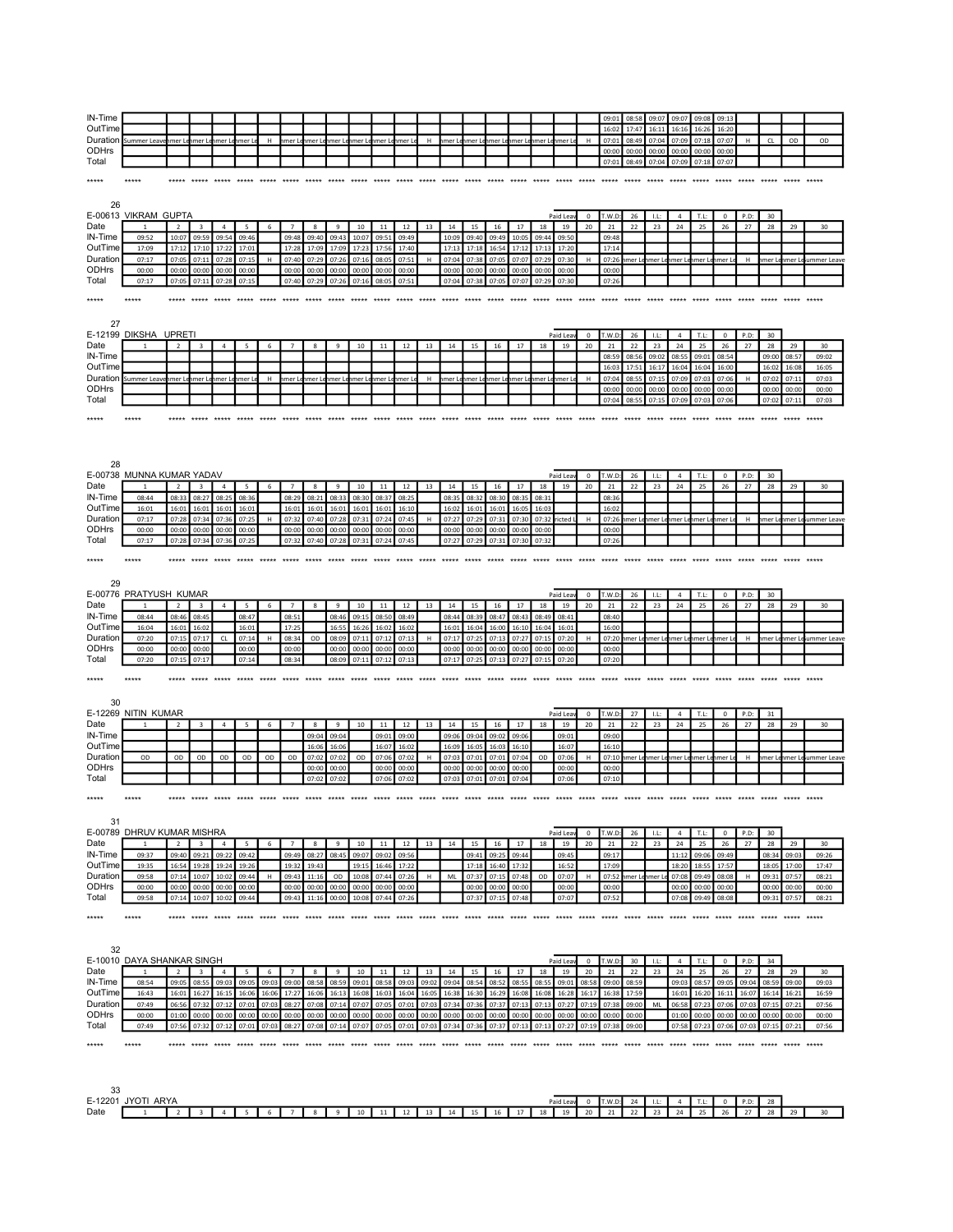| IN-Time                                                                                                                                                                                                                                     |                                                   |                |                                                             |                |                 |             |                |                   |              |                                            |                   |       |       |                   |       |             |                                            |       |                                            |                | 09:01  | 08:58                                     | 09:07  | 09:07                  | 09:08  | 09:13          |                         |                |       |                            |
|---------------------------------------------------------------------------------------------------------------------------------------------------------------------------------------------------------------------------------------------|---------------------------------------------------|----------------|-------------------------------------------------------------|----------------|-----------------|-------------|----------------|-------------------|--------------|--------------------------------------------|-------------------|-------|-------|-------------------|-------|-------------|--------------------------------------------|-------|--------------------------------------------|----------------|--------|-------------------------------------------|--------|------------------------|--------|----------------|-------------------------|----------------|-------|----------------------------|
| OutTime                                                                                                                                                                                                                                     |                                                   |                |                                                             |                |                 |             |                |                   |              |                                            |                   |       |       |                   |       |             |                                            |       |                                            |                | 16:02  | 17:47                                     | 16:1   | 16:16                  | 16:26  | 16:20          |                         |                |       |                            |
|                                                                                                                                                                                                                                             | Duration Summer Leavenmer Lenmer Lenmer Lenmer Le |                |                                                             |                |                 | H           |                |                   |              | hmer Lehmer Lehmer Lehmer Lehmer Lehmer Le |                   |       | H     |                   |       |             | hmer Lehmer Lehmer Lehmer Lehmer Lehmer Le |       |                                            | H              | 07:01  | 08:49                                     | 07:04  | 07:09                  | 07:18  | 07:07          | H                       | CL             | OD    | OD                         |
| ODHrs                                                                                                                                                                                                                                       |                                                   |                |                                                             |                |                 |             |                |                   |              |                                            |                   |       |       |                   |       |             |                                            |       |                                            |                | 00:00  | 00:00                                     | 00:00  | 00:00                  | 00:00  | 00:00          |                         |                |       |                            |
| Total                                                                                                                                                                                                                                       |                                                   |                |                                                             |                |                 |             |                |                   |              |                                            |                   |       |       |                   |       |             |                                            |       |                                            |                | 07:01  | 08:49                                     | 07:04  |                        |        | 07:07          |                         |                |       |                            |
|                                                                                                                                                                                                                                             |                                                   |                |                                                             |                |                 |             |                |                   |              |                                            |                   |       |       |                   |       |             |                                            |       |                                            |                |        |                                           |        | 07:09                  | 07:18  |                |                         |                |       |                            |
| *****                                                                                                                                                                                                                                       | *****                                             |                |                                                             |                |                 |             |                |                   |              |                                            |                   |       |       |                   |       |             |                                            |       |                                            |                |        | *****                                     | *****  |                        |        |                |                         |                |       |                            |
|                                                                                                                                                                                                                                             |                                                   |                |                                                             |                |                 |             |                |                   |              |                                            |                   |       |       |                   |       |             |                                            |       |                                            |                |        |                                           |        |                        |        |                |                         |                |       |                            |
|                                                                                                                                                                                                                                             |                                                   |                |                                                             |                |                 |             |                |                   |              |                                            |                   |       |       |                   |       |             |                                            |       |                                            |                |        |                                           |        |                        |        |                |                         |                |       |                            |
| 26                                                                                                                                                                                                                                          |                                                   |                |                                                             |                |                 |             |                |                   |              |                                            |                   |       |       |                   |       |             |                                            |       |                                            |                |        |                                           |        |                        |        |                |                         |                |       |                            |
|                                                                                                                                                                                                                                             | E-00613 VIKRAM GUPTA                              |                |                                                             |                |                 |             |                |                   |              |                                            |                   |       |       |                   |       |             |                                            |       | Paid Leav                                  | $\mathbf{0}$   | T.W.D: | 26                                        | 1.1    | $\overline{4}$         | T.L:   | $^{\circ}$     | P.D:                    | 30             |       |                            |
| Date                                                                                                                                                                                                                                        |                                                   | $\overline{2}$ | $\overline{3}$                                              | $\overline{a}$ | $5\overline{5}$ | -6          | $\overline{7}$ | $^{\circ}$        | $\mathbf{q}$ | 10                                         | 11                | 12    | 13    | 14                | 15    | 16          | 17                                         | 18    | 19                                         | 20             | 21     | 22                                        | 23     | 24                     | 25     | 26             | 27                      | 28             | 29    | 30                         |
| IN-Time                                                                                                                                                                                                                                     | 09:52                                             | 10:07          | 09:59                                                       | 09:54          | 09:46           |             | 09:48          | 09:40             | 09:43        | 10:07                                      | 09:51             | 09:49 |       | 10:09             | 09:40 | 09:49       | 10:05                                      | 09:44 | 09:50                                      |                | 09:48  |                                           |        |                        |        |                |                         |                |       |                            |
|                                                                                                                                                                                                                                             |                                                   |                |                                                             |                |                 |             |                |                   |              |                                            |                   |       |       |                   |       |             |                                            |       |                                            |                |        |                                           |        |                        |        |                |                         |                |       |                            |
| OutTime                                                                                                                                                                                                                                     | 17:09                                             | 17:12          | 17:10                                                       | 17:22          | 17:01           |             | 17:28          | 17:09             | 17:09        | 17:23                                      | 17:56             | 17:40 |       | 17:13             | 17:18 | 16:54       | 17:12                                      | 17:13 | 17:20                                      |                | 17:14  |                                           |        |                        |        |                |                         |                |       |                            |
| Duration                                                                                                                                                                                                                                    | 07:17                                             | 07:05          | 07:11                                                       | 07:28          | 07:15           | н           | 07:40          | 07:29             | 07:26        | 07:16                                      | 08:05             | 07:51 | H     | 07:04             | 07:38 | 07:05       | 07:07                                      | 07:29 | 07:30                                      | н              |        | 07:26 nmer Lenmer Lenmer Lenmer Lenmer Le |        |                        |        |                | H                       |                |       | hmer Lehmer Leiummer Leave |
| ODHrs                                                                                                                                                                                                                                       | 00:00                                             | 00:00          | 00:00                                                       | 00:00          | 00:00           |             | 00:00          | 00:00             | 00:00        | 00:00                                      | 00:00             | 00:00 |       | 00:00             | 00:00 | 00:00       | 00:00                                      | 00:00 | 00:00                                      |                | 00:00  |                                           |        |                        |        |                |                         |                |       |                            |
| Total                                                                                                                                                                                                                                       | 07:17                                             |                | 07:05 07:11 07:28                                           |                | 07:15           |             |                |                   |              | 07:40 07:29 07:26 07:16 08:05              |                   | 07:51 |       | 07:04             | 07:38 | 07:05       | 07:07 07:29 07:30                          |       |                                            |                | 07:26  |                                           |        |                        |        |                |                         |                |       |                            |
|                                                                                                                                                                                                                                             |                                                   |                |                                                             |                |                 |             |                |                   |              |                                            |                   |       |       |                   |       |             |                                            |       |                                            |                |        |                                           |        |                        |        |                |                         |                |       |                            |
| *****                                                                                                                                                                                                                                       | *****                                             |                |                                                             |                |                 |             |                |                   |              |                                            |                   |       |       |                   |       |             |                                            |       |                                            |                |        |                                           |        |                        |        |                |                         |                |       |                            |
|                                                                                                                                                                                                                                             |                                                   |                |                                                             |                |                 |             |                |                   |              |                                            |                   |       |       |                   |       |             |                                            |       |                                            |                |        |                                           |        |                        |        |                |                         |                |       |                            |
|                                                                                                                                                                                                                                             |                                                   |                |                                                             |                |                 |             |                |                   |              |                                            |                   |       |       |                   |       |             |                                            |       |                                            |                |        |                                           |        |                        |        |                |                         |                |       |                            |
| 27                                                                                                                                                                                                                                          |                                                   |                |                                                             |                |                 |             |                |                   |              |                                            |                   |       |       |                   |       |             |                                            |       |                                            |                |        |                                           |        |                        |        |                |                         |                |       |                            |
|                                                                                                                                                                                                                                             | E-12199 DIKSHA UPRETI                             |                |                                                             |                |                 |             |                |                   |              |                                            |                   |       |       |                   |       |             |                                            |       | Paid Lea                                   | $^{\circ}$     | T.W.D  | 26                                        | LL:    | $\overline{4}$         | T.L:   | $^{\circ}$     | P.D:                    | 30             |       |                            |
| Date                                                                                                                                                                                                                                        | $\mathbf{1}$                                      | 2              | $\mathbf{3}$                                                | $\overline{4}$ | -5              | 6           | $\overline{7}$ | $\mathbf{R}$      | 9            | 10                                         | 11                | 12    | 13    | 14                | 15    | 16          | 17                                         | 18    | 19                                         | 20             | 21     | 22                                        | 23     | 24                     | 25     | 26             | 27                      | 28             | 29    | 30                         |
| IN-Time                                                                                                                                                                                                                                     |                                                   |                |                                                             |                |                 |             |                |                   |              |                                            |                   |       |       |                   |       |             |                                            |       |                                            |                | 08:59  | 08:56                                     | 09:02  | 08:55                  | 09:01  | 08:54          |                         | 09:00          | 08:57 | 09:02                      |
| OutTime                                                                                                                                                                                                                                     |                                                   |                |                                                             |                |                 |             |                |                   |              |                                            |                   |       |       |                   |       |             |                                            |       |                                            |                | 16:03  | 17:51                                     | 16:1   | 16:04                  | 16:04  | 16:00          |                         | 16:02          | 16:08 | 16:05                      |
|                                                                                                                                                                                                                                             | Duration Summer Leavenmer Lenmer Lenmer Lenmer Le |                |                                                             |                |                 | H           |                |                   |              | nmer Lehmer Lehmer Lehmer Lehmer Lehmer Le |                   |       | H     |                   |       |             |                                            |       | nmer Lenmer Lenmer Lenmer Lenmer Lenmer Le | H              | 07:04  | 08:55                                     | 07:15  | 07:09                  | 07:03  | 07:06          | H                       | 07:02          | 07:11 | 07:03                      |
| ODHrs                                                                                                                                                                                                                                       |                                                   |                |                                                             |                |                 |             |                |                   |              |                                            |                   |       |       |                   |       |             |                                            |       |                                            |                | 00:00  | 00:00                                     | 00:00  | 00:00                  | 00:00  | 00:00          |                         | 00:00          | 00:00 | 00:00                      |
| Total                                                                                                                                                                                                                                       |                                                   |                |                                                             |                |                 |             |                |                   |              |                                            |                   |       |       |                   |       |             |                                            |       |                                            |                |        |                                           | 07:15  |                        |        |                |                         |                |       |                            |
|                                                                                                                                                                                                                                             |                                                   |                |                                                             |                |                 |             |                |                   |              |                                            |                   |       |       |                   |       |             |                                            |       |                                            |                | 07:04  | 08:55                                     |        | 07:09                  | 07:03  | 07:06          |                         | 07:02          | 07:11 | 07:03                      |
| *****                                                                                                                                                                                                                                       | *****                                             |                |                                                             |                |                 |             |                |                   |              |                                            |                   |       |       |                   |       |             |                                            |       |                                            |                |        |                                           |        |                        |        |                | ***** ***** ***** ***** |                |       |                            |
|                                                                                                                                                                                                                                             |                                                   |                |                                                             |                |                 |             |                |                   |              |                                            |                   |       |       |                   |       |             |                                            |       |                                            |                |        |                                           |        |                        |        |                |                         |                |       |                            |
|                                                                                                                                                                                                                                             |                                                   |                |                                                             |                |                 |             |                |                   |              |                                            |                   |       |       |                   |       |             |                                            |       |                                            |                |        |                                           |        |                        |        |                |                         |                |       |                            |
|                                                                                                                                                                                                                                             |                                                   |                |                                                             |                |                 |             |                |                   |              |                                            |                   |       |       |                   |       |             |                                            |       |                                            |                |        |                                           |        |                        |        |                |                         |                |       |                            |
|                                                                                                                                                                                                                                             |                                                   |                |                                                             |                |                 |             |                |                   |              |                                            |                   |       |       |                   |       |             |                                            |       |                                            |                |        |                                           |        |                        |        |                |                         |                |       |                            |
| 28                                                                                                                                                                                                                                          |                                                   |                |                                                             |                |                 |             |                |                   |              |                                            |                   |       |       |                   |       |             |                                            |       |                                            |                |        |                                           |        |                        |        |                |                         |                |       |                            |
|                                                                                                                                                                                                                                             | E-00738 MUNNA KUMAR YADAV                         |                |                                                             |                |                 |             |                |                   |              |                                            |                   |       |       |                   |       |             |                                            |       | Paid Lea                                   | $^{\circ}$     | T.W.D  | 26                                        | 1.1    | $\overline{4}$         | T.L:   | $^{\circ}$     | P.D                     | 30             |       |                            |
|                                                                                                                                                                                                                                             |                                                   |                |                                                             |                |                 |             |                |                   |              |                                            |                   |       |       |                   |       |             |                                            |       |                                            |                |        |                                           |        |                        |        |                |                         |                |       |                            |
| Date                                                                                                                                                                                                                                        | $\mathbf{1}$                                      | $\overline{2}$ | $\overline{3}$                                              | $\overline{4}$ | 5               | 6           | $\overline{7}$ | 8                 | 9            | 10                                         | 11                | 12    | 13    | 14                | 15    | 16          | 17                                         | 18    | 19                                         | 20             | 21     | 22                                        | 23     | 24                     | 25     | 26             | 27                      | 28             | 29    | 30                         |
| IN-Time                                                                                                                                                                                                                                     | 08:44                                             | 08:33          | 08:27                                                       | 08:25          | 08:36           |             | 08:29          | 08:21             | 08:32        | 08:30                                      | 08:37             | 08:25 |       | 08:35             | 08:32 | 08:30       | 08:35                                      | 08:3' |                                            |                | 08:36  |                                           |        |                        |        |                |                         |                |       |                            |
| OutTime                                                                                                                                                                                                                                     | 16:01                                             | 16:01          | 16:01                                                       | 16:01          | 16:01           |             | 16:01          | 16:01             | 16:01        | 16:01                                      | 16:01             | 16:10 |       | 16:02             | 16:01 | 16:01       | 16:05                                      | 16:03 |                                            |                | 16:02  |                                           |        |                        |        |                |                         |                |       |                            |
| Duration                                                                                                                                                                                                                                    | 07:17                                             | 07:28          | 07:34                                                       | 07:36          | 07:25           | H           | 07:32          | 07:40             | 07:28        | 07:31                                      | 07:24             | 07:45 | H     | 07:27             | 07:29 | 07:31       | 07:30                                      |       | 07:32 ricted L                             | H              | 07:26  | nmer Lenmer L                             |        | enmer Lenmer Lenmer Le |        |                | H                       |                |       | imer Lenmer Leiummer Leave |
| ODHrs                                                                                                                                                                                                                                       | 00:00                                             | 00:00          | 00:00                                                       | 00:00          | 00:00           |             | 00:00          | 00:00             | 00:00        | 00:00                                      | 00:00             | 00:00 |       | 00:00             | 00:00 | 00:00       | 00:00                                      | 00:00 |                                            |                | 00:00  |                                           |        |                        |        |                |                         |                |       |                            |
| Total                                                                                                                                                                                                                                       | 07:17                                             | 07:28          | 07:34                                                       | 07:36          | 07:25           |             | 07:32          | 07:40             | 07:28        | 07:31                                      | 07:24             | 07:45 |       | 07:27             | 07:29 | 07:31       | 07:30                                      | 07:32 |                                            |                | 07:26  |                                           |        |                        |        |                |                         |                |       |                            |
|                                                                                                                                                                                                                                             |                                                   |                |                                                             |                |                 |             |                |                   |              |                                            |                   |       |       |                   |       |             |                                            |       |                                            |                |        |                                           |        |                        |        |                |                         |                |       |                            |
| *****                                                                                                                                                                                                                                       | *****                                             |                |                                                             |                |                 |             |                |                   |              |                                            |                   |       |       |                   |       |             |                                            |       |                                            |                |        |                                           |        |                        |        |                |                         |                |       |                            |
|                                                                                                                                                                                                                                             |                                                   |                |                                                             |                |                 |             |                |                   |              |                                            |                   |       |       |                   |       |             |                                            |       |                                            |                |        |                                           |        |                        |        |                |                         |                |       |                            |
| 29                                                                                                                                                                                                                                          |                                                   |                |                                                             |                |                 |             |                |                   |              |                                            |                   |       |       |                   |       |             |                                            |       |                                            |                |        |                                           |        |                        |        |                |                         |                |       |                            |
|                                                                                                                                                                                                                                             |                                                   |                |                                                             |                |                 |             |                |                   |              |                                            |                   |       |       |                   |       |             |                                            |       |                                            |                |        |                                           |        |                        |        |                |                         |                |       |                            |
|                                                                                                                                                                                                                                             | E-00776 PRATYUSH KUMAR                            |                |                                                             |                |                 |             |                |                   |              |                                            |                   |       |       |                   |       |             |                                            |       | Paid Lea                                   | $\mathsf 0$    | T.W.D  | 26                                        | LL:    | $\overline{a}$         | T.L:   | $\mathbf 0$    | P.D:                    | 30             |       |                            |
| Date                                                                                                                                                                                                                                        |                                                   | $\overline{2}$ | 3                                                           | $\overline{a}$ | 5               | 6           | $\overline{7}$ | $\mathbf{R}$      | $\mathbf{q}$ | 10                                         | 11                | 12    | 13    | 14                | 15    | 16          | 17                                         | 18    | 19                                         | 20             | 21     | 22                                        | 23     | 24                     | 25     | 26             | 27                      | 28             | 29    | 30                         |
| IN-Time                                                                                                                                                                                                                                     | 08:44                                             | 08:46          | 08:45                                                       |                | 08:47           |             | 08:51          |                   | 08:46        | 09:15                                      | 08:50             | 08:49 |       | 08:44             | 08:39 | 08:47       | 08:43                                      | 08:49 | 08:41                                      |                | 08:40  |                                           |        |                        |        |                |                         |                |       |                            |
|                                                                                                                                                                                                                                             |                                                   |                |                                                             |                |                 |             | 17:25          |                   | 16:55        | 16:26                                      | 16:02             | 16:02 |       | 16:01             | 16:04 | 16:00       | 16:10                                      | 16:04 | 16:01                                      |                | 16:00  |                                           |        |                        |        |                |                         |                |       |                            |
|                                                                                                                                                                                                                                             | 16:04                                             | 16:01          | 16:02                                                       |                | 16:01           |             |                |                   |              |                                            |                   |       |       | 07:17             | 07:25 |             |                                            | 07:15 | 07:20                                      |                | 07:20  | ımer L                                    | hmer l | ımer L                 | ımer L |                |                         |                |       | ummer Leave                |
|                                                                                                                                                                                                                                             | 07:20                                             | 07:15          | 07:17                                                       | CL             | 07:14           | H           | 08:34          | OD                | 08:09        | 07:11                                      | 07:12             | 07:13 | H     |                   |       | 07:13       | 07:27                                      |       |                                            |                |        |                                           |        |                        |        | nmer L         | H                       | ımer Lenmer Lı |       |                            |
|                                                                                                                                                                                                                                             | 00:00                                             |                | 00:00                                                       |                | 00:00           |             | 00:00          |                   | 00:00        |                                            |                   | 00:00 |       |                   | 00:00 | 00:00       | 00:00                                      | 00:00 |                                            |                | 00:00  |                                           |        |                        |        |                |                         |                |       |                            |
|                                                                                                                                                                                                                                             |                                                   | 00:00          |                                                             |                |                 |             |                |                   |              | 00:00                                      | 00:00             |       |       | 00:00             |       |             |                                            |       | 00:00                                      |                |        |                                           |        |                        |        |                |                         |                |       |                            |
|                                                                                                                                                                                                                                             | 07:20                                             | 07:15          | 07:17                                                       |                | 07:14           |             | 08:34          |                   | 08:09        | 07:11                                      | 07:12             | 07:13 |       | 07:17             | 07:25 | 07:13       | 07:27                                      | 07:15 | 07:20                                      |                | 07:20  |                                           |        |                        |        |                |                         |                |       |                            |
|                                                                                                                                                                                                                                             | *****                                             |                | ***** ***** *****                                           |                |                 |             |                |                   |              |                                            |                   |       |       |                   |       |             |                                            |       | ***** ***** ***** ***** *****              |                |        |                                           |        |                        |        |                |                         |                |       |                            |
|                                                                                                                                                                                                                                             |                                                   |                |                                                             |                |                 |             |                |                   |              |                                            |                   |       |       |                   |       |             |                                            |       |                                            |                |        |                                           |        |                        |        |                |                         |                |       |                            |
|                                                                                                                                                                                                                                             |                                                   |                |                                                             |                |                 |             |                |                   |              |                                            |                   |       |       |                   |       |             |                                            |       |                                            |                |        |                                           |        |                        |        |                |                         |                |       |                            |
| 30                                                                                                                                                                                                                                          |                                                   |                |                                                             |                |                 |             |                |                   |              |                                            |                   |       |       |                   |       |             |                                            |       |                                            |                |        |                                           |        |                        |        |                |                         |                |       |                            |
|                                                                                                                                                                                                                                             | E-12269 NITIN KUMAR                               |                |                                                             |                |                 |             |                |                   |              |                                            |                   |       |       |                   |       |             |                                            |       | Paid Lea                                   | $\mathbf{0}$   | T.W.D: | 27                                        | LL:    | $\overline{4}$         | T.L:   | $\circ$        | P.D:                    | 31             |       |                            |
|                                                                                                                                                                                                                                             | 1                                                 | $\overline{2}$ | $\overline{\mathbf{3}}$                                     | $\overline{4}$ | 5               | 6           | $\overline{7}$ | 8                 | 9            | 10                                         | 11                | 12    | 13    | 14                | 15    | 16          | 17                                         | 18    | 19                                         | 20             | 21     | 22                                        | 23     | 24                     | 25     | 26             | 27                      | 28             | 29    | 30                         |
|                                                                                                                                                                                                                                             |                                                   |                |                                                             |                |                 |             |                | 09:04             | 09:04        |                                            | 09:01             | 09:00 |       | 09:06             | 09:04 | 09:02       | 09:06                                      |       | 09:01                                      |                | 09:00  |                                           |        |                        |        |                |                         |                |       |                            |
|                                                                                                                                                                                                                                             |                                                   |                |                                                             |                |                 |             |                |                   |              |                                            |                   |       |       | 16:09             |       |             |                                            |       |                                            |                | 16:10  |                                           |        |                        |        |                |                         |                |       |                            |
|                                                                                                                                                                                                                                             |                                                   |                |                                                             |                |                 |             |                | 16:06             | 16:06        |                                            | 16:07             | 16:02 |       |                   | 16:05 | 16:03       | 16:10                                      |       | 16:07                                      |                |        |                                           |        |                        |        |                |                         |                |       |                            |
|                                                                                                                                                                                                                                             | OD                                                | OD             | OD                                                          | OD             | OD              | OD          | OD             | 07:02             | 07:02        | OD                                         | 07:06             | 07:02 | H     | 07:03             | 07:01 | 07:01       | 07:04                                      | OD    | 07:06                                      | H              | 07:10  | nmer Lenmer Lenmer Lenmer Lenmer Le       |        |                        |        |                | H                       |                |       | imer Leimer Leiummer Leave |
|                                                                                                                                                                                                                                             |                                                   |                |                                                             |                |                 |             |                | 00:00             | 00:00        |                                            | 00:00             | 00:00 |       | 00:00             | 00:00 | 00:00       | 00:00                                      |       | 00:00                                      |                | 00:00  |                                           |        |                        |        |                |                         |                |       |                            |
|                                                                                                                                                                                                                                             |                                                   |                |                                                             |                |                 |             |                | 07:02             | 07:02        |                                            | 07:06             | 07:02 |       | 07:03             | 07:01 | 07:01       | 07:04                                      |       | 07:06                                      |                | 07:10  |                                           |        |                        |        |                |                         |                |       |                            |
|                                                                                                                                                                                                                                             |                                                   |                |                                                             |                |                 |             |                |                   |              |                                            |                   |       |       |                   |       |             |                                            |       |                                            |                |        |                                           |        |                        |        |                |                         |                |       |                            |
|                                                                                                                                                                                                                                             | *****                                             |                |                                                             |                |                 |             |                |                   |              |                                            |                   |       |       |                   |       |             |                                            |       |                                            |                |        |                                           |        |                        |        |                |                         |                |       |                            |
|                                                                                                                                                                                                                                             |                                                   |                |                                                             |                |                 |             |                |                   |              |                                            |                   |       |       |                   |       |             |                                            |       |                                            |                |        |                                           |        |                        |        |                |                         |                |       |                            |
| -31                                                                                                                                                                                                                                         |                                                   |                |                                                             |                |                 |             |                |                   |              |                                            |                   |       |       |                   |       |             |                                            |       |                                            |                |        |                                           |        |                        |        |                |                         |                |       |                            |
|                                                                                                                                                                                                                                             | E-00789 DHRUV KUMAR MISHRA                        |                |                                                             |                |                 |             |                |                   |              |                                            |                   |       |       |                   |       |             |                                            |       | Paid Leav                                  | $\mathbf{0}$   | T.W.D: | 26                                        | L.1    | $\overline{4}$         | T.L:   | $\mathbf{0}$   | P.D:                    | 30             |       |                            |
|                                                                                                                                                                                                                                             |                                                   | $\overline{2}$ | $\overline{\mathbf{3}}$                                     | $\overline{4}$ | 5               | 6           | 7              | 8                 | 9            | 10                                         | 11                | 12    | 13    | 14                | 15    | 16          | 17                                         | 18    | 19                                         | 20             | 21     | 22                                        | 23     | 24                     | 25     | 26             |                         | 28             | 29    | 30                         |
|                                                                                                                                                                                                                                             |                                                   |                |                                                             |                |                 |             |                |                   |              |                                            |                   |       |       |                   |       |             | 09:44                                      |       |                                            |                | 09:17  |                                           |        | 11:12 09:06            |        |                |                         |                |       | 09:26                      |
|                                                                                                                                                                                                                                             | 09:37                                             |                | 09:40 09:21 09:22 09:42                                     |                |                 |             |                | 09:49 08:27 08:45 |              | 09:07 09:02 09:56                          |                   |       |       |                   |       | 09:41 09:25 |                                            |       | 09:45                                      |                |        |                                           |        |                        |        | 09:49          |                         | 08:34 09:03    |       |                            |
|                                                                                                                                                                                                                                             | 19:35                                             | 16:54          | 19:28                                                       | 19:24          | 19:26           |             | 19:32          | 19:43             |              | 19:15                                      | 16:46             | 17:22 |       |                   | 17:18 | 16:40       | 17:32                                      |       | 16:52                                      |                | 17:09  |                                           |        | 18:20                  | 18:55  | 17:57          |                         | 18:05          | 17:00 | 17:47                      |
|                                                                                                                                                                                                                                             | 09:58                                             | 07:14          | 10:07                                                       | 10:02          | 09:44           | н           | 09:43          | 11:16             | OD           | 10:08                                      | 07:44             | 07:26 | H     | ML                | 07:37 | 07:15       | 07:48                                      | OD    | 07:07                                      | H              |        | 07:52 nmer Lenmer L                       |        | 07:08                  | 09:49  | 08:08          |                         | 09:31          | 07:57 | 08:21                      |
|                                                                                                                                                                                                                                             | 00:00                                             |                | 00:00 00:00 00:00 00:00                                     |                |                 |             |                | 00:00 00:00 00:00 |              |                                            | 00:00 00:00 00:00 |       |       |                   |       | 00:00 00:00 | 00:00                                      |       | 00:00                                      |                | 00:00  |                                           |        | 00:00                  | 00:00  | 00:00          |                         | 00:00          | 00:00 | 00:00                      |
|                                                                                                                                                                                                                                             | 09:58                                             |                | 07:14 10:07                                                 | 10:02          | 09:44           |             | 09:43          | 11:16             | 00:00        | 10:08                                      | 07:44             | 07:26 |       |                   | 07:37 | 07:15       | 07:48                                      |       | 07:07                                      |                | 07:52  |                                           |        | 07:08                  | 09:49  | 08:08          |                         | 09:31          | 07:57 | 08:21                      |
|                                                                                                                                                                                                                                             |                                                   |                |                                                             |                |                 |             |                |                   |              |                                            |                   |       |       |                   |       |             |                                            |       |                                            |                |        |                                           |        |                        |        |                |                         |                |       |                            |
|                                                                                                                                                                                                                                             | *****                                             |                |                                                             |                |                 |             |                |                   |              |                                            |                   |       |       |                   |       |             |                                            |       |                                            |                |        |                                           |        |                        |        |                |                         |                |       |                            |
|                                                                                                                                                                                                                                             |                                                   |                |                                                             |                |                 |             |                |                   |              |                                            |                   |       |       |                   |       |             |                                            |       |                                            |                |        |                                           |        |                        |        |                |                         |                |       |                            |
|                                                                                                                                                                                                                                             |                                                   |                |                                                             |                |                 |             |                |                   |              |                                            |                   |       |       |                   |       |             |                                            |       |                                            |                |        |                                           |        |                        |        |                |                         |                |       |                            |
| 32                                                                                                                                                                                                                                          |                                                   |                |                                                             |                |                 |             |                |                   |              |                                            |                   |       |       |                   |       |             |                                            |       |                                            |                |        |                                           |        |                        |        |                |                         |                |       |                            |
|                                                                                                                                                                                                                                             | E-10010 DAYA SHANKAR SINGH                        |                |                                                             |                |                 |             |                |                   |              |                                            |                   |       |       |                   |       |             |                                            |       | Paid Leav                                  | $\overline{0}$ | T.W.D: | 30                                        | LE:    | 4                      | T.L:   | $\overline{0}$ | P.D:                    | 34             |       |                            |
|                                                                                                                                                                                                                                             | -1                                                |                |                                                             |                |                 |             |                |                   |              |                                            |                   |       |       |                   |       |             |                                            |       |                                            |                |        |                                           |        |                        |        |                |                         |                |       |                            |
|                                                                                                                                                                                                                                             |                                                   | $\overline{2}$ | 3 <sup>1</sup>                                              | 4              | $5^{\circ}$     | $6^{\circ}$ | 7              | 8                 | 9            |                                            | 10 11 12          |       |       |                   |       |             | 13 14 15 16 17 18                          |       | 19                                         | 20             | 21     | 22                                        | 23     | 24                     | 25     | 26             | 27                      | 28             | 29    | 30                         |
|                                                                                                                                                                                                                                             | 08:54                                             |                | 09:05 08:55 09:03 09:05 09:03 09:00 08:58 08:59             |                |                 |             |                |                   |              |                                            | 09:01 08:58 09:03 |       | 09:02 | 09:04 08:54 08:52 |       |             | 08:55                                      | 08:55 | 09:01 08:58                                |                | 09:00  | 08:59                                     |        | 09:03                  | 08:57  | 09:05          | 09:04                   | 08:59 09:00    |       | 09:03                      |
|                                                                                                                                                                                                                                             | 16:43                                             | 16:01          | 16:27                                                       | 16:15          | 16:06           | 16:06       | 17:27          | 16:06             | 16:13        | 16:08                                      | 16:03             | 16:04 | 16:05 | 16:38             | 16:30 | 16:29       | 16:08                                      | 16:08 | 16:28                                      | 16:17          | 16:38  | 17:59                                     |        | 16:01                  | 16:20  | 16:11          | 16:07                   | 16:14          | 16:21 | 16:59                      |
|                                                                                                                                                                                                                                             | 07:49                                             |                | 06:56 07:32 07:12 07:01 07:03 08:27 07:08 07:14 07:07 07:05 |                |                 |             |                |                   |              |                                            |                   | 07:01 | 07:03 | 07:34             |       | 07:36 07:37 |                                            |       | 07:13 07:13 07:27 07:19                    |                | 07:38  | 09:00                                     | ML     | 06:58                  | 07:23  | 07:06          | 07:03                   | 07:15          | 07:21 | 07:56                      |
| OutTime<br>Duration<br>ODHrs<br>Total<br>*****<br>Date<br>IN-Time<br>OutTime<br>Duration<br>ODHrs<br>Total<br>*****<br>Date<br>IN-Time<br>OutTime<br>Duration<br>ODHrs<br>Total<br>*****<br>Date<br>IN-Time<br>OutTime<br>Duration<br>ODHrs | 00:00                                             | 01:00          | 00:00                                                       | 00:00          | 00:00           | 00:00       | 00:00          | 00:00             | 00:00        | 00:00                                      | 00:00             | 00:00 | 00:00 | 00:00             | 00:00 | 00:00       | 00:00                                      | 00:00 | 00:00                                      | 00:00          | 00:00  | 00:00                                     |        | 01:00                  | 00:00  | 00:00          | 00:00                   | 00:00          | 00:00 | 00:00                      |
| Total                                                                                                                                                                                                                                       | 07:49                                             |                | 07:56 07:32                                                 | 07:12          | 07:01           |             | 07:03 08:27    | 07:08             | 07:14        | 07:07                                      | 07:05             | 07:01 | 07:03 | 07:34             | 07:36 | 07:37       | 07:13                                      | 07:13 | 07:27                                      | 07:19          | 07:38  | 09:00                                     |        | 07:58                  | 07:23  | 07:06          | 07:03                   | 07:15          | 07:21 | 07:56                      |
|                                                                                                                                                                                                                                             |                                                   |                |                                                             |                |                 |             |                |                   |              |                                            |                   |       |       |                   |       |             |                                            |       |                                            |                |        |                                           |        |                        |        |                |                         |                |       |                            |
| *****                                                                                                                                                                                                                                       | *****                                             |                |                                                             |                |                 |             |                |                   |              |                                            |                   |       |       |                   |       |             |                                            |       |                                            |                |        |                                           |        |                        |        |                |                         |                |       |                            |
|                                                                                                                                                                                                                                             |                                                   |                |                                                             |                |                 |             |                |                   |              |                                            |                   |       |       |                   |       |             |                                            |       |                                            |                |        |                                           |        |                        |        |                |                         |                |       |                            |
|                                                                                                                                                                                                                                             |                                                   |                |                                                             |                |                 |             |                |                   |              |                                            |                   |       |       |                   |       |             |                                            |       |                                            |                |        |                                           |        |                        |        |                |                         |                |       |                            |
|                                                                                                                                                                                                                                             |                                                   |                |                                                             |                |                 |             |                |                   |              |                                            |                   |       |       |                   |       |             |                                            |       |                                            |                |        |                                           |        |                        |        |                |                         |                |       |                            |

33<br>E-12201 <u>JYOTI ARYA</u><br>Date | 1 2 3 4 5 26 27 28 29 30 30 30 31 4 5 6 7 8 9 10 11 12 13 14 15 16 17 18 19 20 21 22 23 24 25 26 27 28 29 30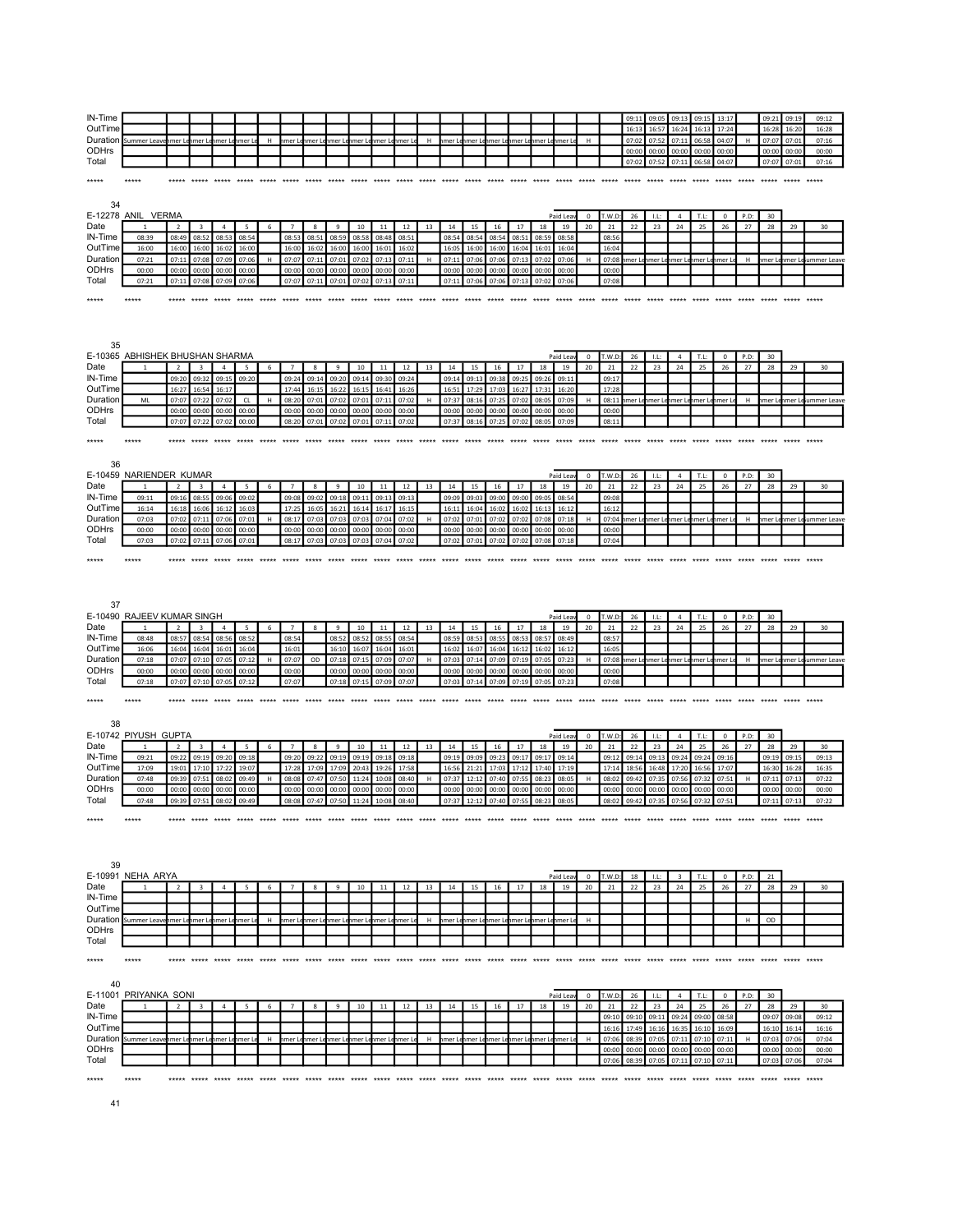| IN-Time                                                           |                                     |                          |                         |                |                          |    |                         |              |              |                                     |                         |       |             |                               |        |       |                                            |               |           |              |        | 09:11          | 09:05 | 09:13                               | 09:15         | 13:17          |      | 09:21           | 09:19 | 09:12                       |
|-------------------------------------------------------------------|-------------------------------------|--------------------------|-------------------------|----------------|--------------------------|----|-------------------------|--------------|--------------|-------------------------------------|-------------------------|-------|-------------|-------------------------------|--------|-------|--------------------------------------------|---------------|-----------|--------------|--------|----------------|-------|-------------------------------------|---------------|----------------|------|-----------------|-------|-----------------------------|
| OutTime                                                           |                                     |                          |                         |                |                          |    |                         |              |              |                                     |                         |       |             |                               |        |       |                                            |               |           |              |        | 16:1           | 16:5  | 16:24                               | 16:1          | 17:24          |      | 16:28           | 16:2  | 16:28                       |
| Duration                                                          | Summer Leave                        | nmer Lenmer Le           |                         | nmer Lenmer Le |                          | H  | hmer Le                 |              |              | nmer Lenmer Lenmer Lenmer Lenmer Le |                         |       | H           |                               |        |       | nmer Lehmer Lehmer Lehmer Lehmer Lehmer Le |               |           | $\mathsf H$  |        | 07:02          | 07:52 | 07:11                               | 06:58         | 04:07          | H    | 07:07           | 07:01 | 07:16                       |
| ODHrs                                                             |                                     |                          |                         |                |                          |    |                         |              |              |                                     |                         |       |             |                               |        |       |                                            |               |           |              |        | 00:00          | 00:00 | 00:00                               | 00:00         | 00:00          |      | 00:00           | 00:00 | 00:00                       |
| Total                                                             |                                     |                          |                         |                |                          |    |                         |              |              |                                     |                         |       |             |                               |        |       |                                            |               |           |              |        | 07:02          | 07:52 | 07:11                               | 06:58         | 04:07          |      | 07:07           | 07:01 | 07:16                       |
|                                                                   |                                     |                          |                         |                |                          |    |                         |              |              |                                     |                         |       |             |                               |        |       |                                            |               |           |              |        |                |       |                                     |               |                |      |                 |       |                             |
| *****                                                             | *****                               | *****                    | ***** ***** ***** ***** |                |                          |    | ***** *****             |              | ***** *****  |                                     | ***** ***** ***** ***** |       |             |                               |        |       |                                            | *****         |           | *****        | *****  | *****          | ***** | *****                               | *****         | ***** *****    |      | ***** *****     |       | *****                       |
|                                                                   |                                     |                          |                         |                |                          |    |                         |              |              |                                     |                         |       |             |                               |        |       |                                            |               |           |              |        |                |       |                                     |               |                |      |                 |       |                             |
| 34                                                                |                                     |                          |                         |                |                          |    |                         |              |              |                                     |                         |       |             |                               |        |       |                                            |               |           |              |        |                |       |                                     |               |                |      |                 |       |                             |
|                                                                   | E-12278 ANIL VERMA                  |                          |                         |                |                          |    |                         |              |              |                                     |                         |       |             |                               |        |       |                                            |               | Paid Leav | $\mathbf{0}$ | T.W.D: | 26             | 11:   | $\overline{a}$                      | T.L:          | $\mathbf 0$    | P.D: | 30 <sub>o</sub> |       |                             |
| Date                                                              |                                     |                          | $\mathbf{3}$            | $\overline{a}$ | $5\phantom{.00}$         | 6  | $\overline{7}$          | 8            | 9            | 10                                  | 11                      | 12    | 13          | 14                            | 15     | 16    | 17                                         | 18            | 19        | 20           | 21     | 22             | 23    | 24                                  | 25            | 26             | 27   | 28              | 29    | 30                          |
| IN-Time                                                           | 08:39                               | 08:49                    | 08:52                   | 08:53          | 08:54                    |    | 08:53                   | 08:51        | 08:59        | 08:58                               | 08:48                   | 08:51 |             | 08:54                         | 08:54  | 08:54 | 08:51                                      | 08:59         | 08:58     |              | 08:56  |                |       |                                     |               |                |      |                 |       |                             |
| OutTime                                                           | 16:00                               | 16:00                    | 16:00                   | 16:02          | 16:00                    |    | 16:00                   | 16:02        | 16:00        | 16:00                               | 16:01                   | 16:02 |             | 16:05                         | 16:00  | 16:00 | 16:04                                      | 16:01         | 16:04     |              | 16:04  |                |       |                                     |               |                |      |                 |       |                             |
| Duration                                                          | 07:21                               | 07:11                    | 07:08                   | 07:09          | 07:06                    | H  | 07:07                   | 07:11        | 07:01        | 07:02                               | 07:13                   | 07:11 | $\mathsf H$ | 07:11                         | 07:06  | 07:06 | 07:13                                      | 07:02         | 07:06     | H            | 07:08  | imer Lehmer Le |       | mer Le                              |               | nmer Lenmer Le | H    |                 |       | imer Leinner Leiummer Leave |
| ODHrs                                                             | 00:00                               | 00:00                    | 00:00                   | 00:00          | 00:00                    |    | 00:00                   | 00:00        | 00:00        | 00:00                               | 00:00                   | 00:00 |             | 00:00                         | 00:00  | 00:00 | 00:00                                      | 00:00         | 00:00     |              | 00:00  |                |       |                                     |               |                |      |                 |       |                             |
| Total                                                             | 07:21                               | 07:11                    | 07:08                   | 07:09          | 07:06                    |    | 07:07                   | 07:11        | 07:01        | 07:02                               | 07:13                   | 07:11 |             | 07:11                         | 07:06  | 07:06 | 07:13                                      | 07:02         | 07:06     |              | 07:08  |                |       |                                     |               |                |      |                 |       |                             |
| *****                                                             | *****                               | *****                    | ***** *****             |                |                          |    |                         |              |              |                                     |                         |       |             | ***** ***** ***** ***** ***** |        |       | *****                                      | *****         | *****     | *****        |        |                |       |                                     |               |                |      |                 |       |                             |
|                                                                   |                                     |                          |                         |                |                          |    |                         |              |              |                                     |                         |       |             |                               |        |       |                                            |               |           |              |        |                |       |                                     |               |                |      |                 |       |                             |
|                                                                   |                                     |                          |                         |                |                          |    |                         |              |              |                                     |                         |       |             |                               |        |       |                                            |               |           |              |        |                |       |                                     |               |                |      |                 |       |                             |
|                                                                   |                                     |                          |                         |                |                          |    |                         |              |              |                                     |                         |       |             |                               |        |       |                                            |               |           |              |        |                |       |                                     |               |                |      |                 |       |                             |
| 35                                                                |                                     |                          |                         |                |                          |    |                         |              |              |                                     |                         |       |             |                               |        |       |                                            |               |           |              |        |                |       |                                     |               |                |      |                 |       |                             |
|                                                                   | E-10365 ABHISHEK BHUSHAN SHARMA     |                          |                         |                |                          |    |                         |              |              |                                     |                         |       |             |                               |        |       |                                            |               | Paid Lea  | $^{\circ}$   | T.W.D: | 26             | LL:   | $\overline{a}$                      | T.L:          | $\mathbf 0$    | P.D: | 30              |       |                             |
| Date                                                              |                                     | $\overline{\phantom{a}}$ | $\mathbf{a}$            | $\overline{a}$ | $\overline{\phantom{a}}$ | -6 | $\overline{7}$          | $\mathbf{R}$ | $\mathbf{q}$ | 10                                  | 11                      | 12    | 13          | 14                            | 15     | 16    | 17                                         | 18            | 19        | 20           | 21     | 22             | 23    | 24                                  | 25            | 26             | 27   | 28              | 29    | 30                          |
| IN-Time                                                           |                                     | 09:20                    | 09:32                   | 09:15          | 09:20                    |    | 09:24                   | 09:1         | 09:20        | 09:14                               | 09:30                   | 09:24 |             | 09:14                         | 09:13  | 09:38 | 09:25                                      | 09:26         | 09:11     |              | 09:17  |                |       |                                     |               |                |      |                 |       |                             |
| OutTime                                                           |                                     | 16:27                    | 16:54                   | 16:17          |                          |    | 17:44                   | 16:15        | 16:22        | 16:15                               | 16:41                   | 16:26 |             | 16:51                         | 17:29  | 17:03 | 16:27                                      | 17:31         | 16:20     |              | 17:28  |                |       |                                     |               |                |      |                 |       |                             |
| Duration                                                          | ML                                  | 07:07                    | 07:22                   | 07:02          | <b>CL</b>                | H  | 08:20                   | 07:01        | 07:02        | 07:01                               | 07:11                   | 07:02 | H           | 07:37                         | 08:16  | 07:25 | 07:02                                      | 08:05         | 07:09     | н            | 08:11  | hmer Lehmer Le |       | nmer Le                             | nmer Lenmer L |                | H    |                 |       | imer Lehmer Leiummer Leav   |
| ODHrs                                                             |                                     | 00:00                    | 00:00                   | 00:00          | 00:00                    |    | 00:00                   | 00:00        | 00:00        | 00:00                               | 00:00                   | 00:00 |             | 00:00                         | 00:00  | 00:00 | 00:00                                      | 00:00         | 00:00     |              | 00:00  |                |       |                                     |               |                |      |                 |       |                             |
| Total                                                             |                                     | 07:07                    | 07:22                   | 07:02          | 00:00                    |    | 08:20                   | 07:01        | 07:02        | 07:01 07:11                         |                         | 07:02 |             | 07:37                         | 08:16  | 07:25 | 07:02                                      | 08:05         | 07:09     |              | 08:11  |                |       |                                     |               |                |      |                 |       |                             |
|                                                                   |                                     |                          |                         |                |                          |    |                         |              |              |                                     |                         |       |             |                               |        |       |                                            |               |           |              |        |                |       |                                     |               |                |      |                 |       |                             |
| *****                                                             | *****                               |                          |                         |                |                          |    |                         |              |              |                                     |                         |       |             |                               |        |       |                                            |               |           |              |        |                |       |                                     |               |                |      |                 |       |                             |
|                                                                   |                                     |                          |                         |                |                          |    |                         |              |              |                                     |                         |       |             |                               |        |       |                                            |               |           |              |        |                |       |                                     |               |                |      |                 |       |                             |
| 36                                                                |                                     |                          |                         |                |                          |    |                         |              |              |                                     |                         |       |             |                               |        |       |                                            |               |           |              |        |                |       |                                     |               |                |      |                 |       |                             |
|                                                                   | E-10459 NARIENDER KUMAR             |                          |                         |                |                          |    |                         |              |              |                                     |                         |       |             |                               |        |       |                                            |               | Paid Lea  | $^{\circ}$   | T.W.D  | 26             | LL:   | $\Delta$                            | T.L:          | $^{\circ}$     | P.D: | 30              |       |                             |
| Date                                                              |                                     | $\overline{2}$           | $\mathbf{a}$            | $\overline{4}$ | -5                       | 6  | $\overline{ }$          | $\mathbf{R}$ | $\mathbf{q}$ | 10                                  | 11                      | 12    | 13          | 14                            | 15     | 16    | 17                                         | 18            | 19        | 20           | 21     | 22             | 23    | 24                                  | 25            | 26             | 27   | 28              | 29    | 30                          |
| IN-Time                                                           | 09:11                               | 09:16                    | 08:55                   | 09:06          | 09:02                    |    | 09:08                   | 09:02        | 09:18        | 09:11                               | 09:13                   | 09:13 |             | 09:09                         | 09:03  | 09:00 | 09:00                                      | 09:05         | 08:54     |              | 09:08  |                |       |                                     |               |                |      |                 |       |                             |
| OutTime                                                           | 16:14                               | 16:18                    | 16:06                   | 16:12          | 16:03                    |    | 17:25                   | 16:05        | 16:21        | 16:14                               | 16:17                   | 16:15 |             | 16:11                         | 16:04  | 16:02 | 16:02                                      | 16:13         | 16:12     |              | 16:12  |                |       |                                     |               |                |      |                 |       |                             |
| Duration                                                          | 07:03                               | 07:02                    | 07:11                   | 07:06          | 07:01                    | H  | 08:17                   | 07:03        | 07:03        | 07:03 07:04                         |                         | 07:02 | H           | 07:02                         | 07:01  | 07:02 | 07:02                                      | 07:08         | 07:18     | H            | 07:04  |                |       | nmer Lenmer Lenmer Lenmer Lenmer Le |               |                | H    |                 |       | nmer Lenmer Leiummer Leave  |
| ODHrs                                                             | 00:00                               | 00:00                    | 00:00                   | 00:00          | 00:00                    |    | 00:00                   | 00:00        | 00:00        | 00:00                               | 00:00                   | 00:00 |             | 00:00                         | 00:00  | 00:00 | 00:00                                      | 00:00         | 00:00     |              | 00:00  |                |       |                                     |               |                |      |                 |       |                             |
| Total                                                             | 07:03                               | 07:02                    | 07:11                   | 07:06          | 07:01                    |    | 08:17                   | 07:03        | 07:03        | 07:03                               | 07:04                   | 07:02 |             | 07:02                         | 07:01  | 07:02 | 07:02                                      | 07:08         | 07:18     |              | 07:04  |                |       |                                     |               |                |      |                 |       |                             |
|                                                                   |                                     |                          |                         |                |                          |    |                         |              |              |                                     |                         |       |             |                               |        |       |                                            |               |           |              |        |                |       |                                     |               |                |      |                 |       |                             |
| *****                                                             | *****                               |                          | ***** *****             |                |                          |    | ***** ***** ***** ***** |              |              |                                     |                         |       |             | ***** ***** ***** *****       |        |       |                                            |               |           |              |        |                |       |                                     |               |                |      |                 |       |                             |
|                                                                   |                                     |                          |                         |                |                          |    |                         |              |              |                                     |                         |       |             |                               |        |       |                                            |               |           |              |        |                |       |                                     |               |                |      |                 |       |                             |
|                                                                   |                                     |                          |                         |                |                          |    |                         |              |              |                                     |                         |       |             |                               |        |       |                                            |               |           |              |        |                |       |                                     |               |                |      |                 |       |                             |
|                                                                   |                                     |                          |                         |                |                          |    |                         |              |              |                                     |                         |       |             |                               |        |       |                                            |               |           |              |        |                |       |                                     |               |                |      |                 |       |                             |
|                                                                   |                                     |                          |                         |                |                          |    |                         |              |              |                                     |                         |       |             |                               |        |       |                                            |               |           |              |        |                |       |                                     |               |                |      |                 |       |                             |
| 37                                                                |                                     |                          |                         |                |                          |    |                         |              |              |                                     |                         |       |             |                               |        |       |                                            |               |           |              |        |                |       |                                     |               |                |      |                 |       |                             |
|                                                                   | E-10490 RAJEEV KUMAR SINGH          |                          |                         |                |                          |    |                         |              |              |                                     |                         |       |             |                               |        |       |                                            |               | Paid Leav | $\mathsf 0$  | T.W.D: | 26             | LL:   | $\Delta$                            | T.L:          | $\mathbf 0$    | P.D: | 30              |       |                             |
|                                                                   |                                     | $\overline{2}$           | $\overline{\mathbf{3}}$ | $\overline{4}$ | -5                       | 6  | $\overline{7}$          | 8            | 9            | 10                                  | 11                      | 12    | 13          | 14                            | 15     | 16    | 17                                         | 18            | 19        | 20           | 21     | 22             | 23    | 24                                  | 25            | 26             | 27   | 28              | 29    | 30                          |
|                                                                   | 08:48                               | 08:57                    | 08:54                   | 08:56          | 08:52                    |    | 08:54                   |              | 08:52        | 08:52                               | 08:55                   | 08:54 |             | 08:59                         | 08:53  | 08:55 | 08:53                                      | 08:57         | 08:49     |              | 08:57  |                |       |                                     |               |                |      |                 |       |                             |
|                                                                   | 16:06                               | 16:04                    | 16:04                   | 16:01          | 16:04                    |    | 16:01                   |              | 16:10        | 16:07                               | 16:04                   | 16:01 |             | 16:02                         | 16:07  | 16:04 | 16:12                                      | 16:02         | 16:12     |              | 16:05  |                |       |                                     |               |                |      |                 |       |                             |
|                                                                   | 07:18                               | 07:07                    | 07:10                   | 07:05          | 07:12                    | н  | 07:07                   | OD           | 07:18        | 07:15                               | 07:09                   | 07:07 | H           | 07:03                         | 07:14  | 07:09 | 07:19                                      | 07:05         | 07:23     | н            | 07:08  | mer Lenmer Le  |       | nmer Le                             | nmer Lenmer L |                | н    |                 |       | imer Lenmer Le ummer Leave  |
|                                                                   | 00:00                               | 00:00                    | 00:00                   | 00:00          | 00:00                    |    | 00:00                   |              | 00:00        | 00:00                               | 00:00                   | 00:00 |             | 00:00                         | 00:00  | 00:00 | 00:00                                      | 00:00         | 00:00     |              | 00:00  |                |       |                                     |               |                |      |                 |       |                             |
|                                                                   | 07:18                               | 07:07                    | 07:10                   | 07:05          | 07:12                    |    | 07:07                   |              | 07:18        | 07:15                               | 07:09                   | 07:07 |             | 07:03                         | 07:14  | 07:09 | 07:19                                      | 07:05         | 07:23     |              | 07:08  |                |       |                                     |               |                |      |                 |       |                             |
|                                                                   |                                     |                          |                         |                |                          |    |                         |              |              |                                     |                         |       |             |                               |        |       |                                            |               |           |              |        |                |       |                                     |               |                |      |                 |       |                             |
|                                                                   |                                     |                          |                         |                |                          |    |                         |              |              |                                     |                         |       |             |                               |        |       |                                            |               |           |              |        |                |       |                                     |               |                |      |                 |       |                             |
| 38                                                                |                                     |                          |                         |                |                          |    |                         |              |              |                                     |                         |       |             |                               |        |       |                                            |               |           |              |        |                |       |                                     |               |                |      |                 |       |                             |
| Date<br>IN-Time<br>OutTime<br>Duration<br>ODHrs<br>Total<br>***** | E-10742 PIYUSH GUPTA                |                          |                         |                |                          |    |                         |              |              |                                     |                         |       |             |                               |        |       |                                            |               | Paid Leav | $\mathsf 0$  | T.W.D: | 26             | 11:   | $\overline{a}$                      | T.L:          | $\mathbf 0$    | P.D: | 30              |       |                             |
|                                                                   |                                     |                          |                         | $\overline{4}$ |                          | 6  |                         | 8            | 9            | 10                                  | 11                      | 12    | 13          | 14                            | 15     | 16    | 17                                         | 18            | 19        | 20           | 21     | 22             | 23    | 24                                  | 25            | 26             | 27   | 28              | 29    | 30                          |
|                                                                   | 09:21                               | 09:22                    | 09:19                   | 09:20          | 09:18                    |    | 09:20                   | 09:22        | 09:19        | 09:19                               | 09:18                   | 09:18 |             | 09:19                         | 09:09  | 09:23 | 09:17                                      | 09:17         | 09:14     |              | 09:12  | 09:14          | 09:13 | 09:24                               | 09:24         | 09:16          |      | 09:19           | 09:15 | 09:13                       |
|                                                                   | 17:09                               | 19:01                    | 17:10                   | 17:22          | 19:07                    |    | 17:28                   | 17:09        | 17:09        | 20:43                               | 19:26                   | 17:58 |             | 16:56                         | 21:21  | 17:03 | 17:12                                      | 17:40         | 17:19     |              | 17:14  | 18:56          | 16:48 | 17:20                               | 16:56         | 17:07          |      | 16:30           | 16:28 | 16:35                       |
|                                                                   | 07:48                               | 09:39                    | 07:51                   | 08:02          | 09:49                    |    | 08:08                   | 07:47        | 07:50        | 11:24                               | 10:08                   | 08:40 |             | 07:37                         | 12:12  | 07:40 | 07:55                                      | 08:23         | 08:05     |              | 08:02  | 09:42          | 07:35 | 07:56                               | 07:32         | 07:51          |      | 07:11           | 07:1  | 07:22                       |
|                                                                   | 00:00                               | 00:00                    | 00:00                   | 00:00          | 00:00                    |    | 00:00                   | 00:00        | 00:00        | 00:00                               | 00:00                   | 00:00 |             | 00:00                         | 00:00  | 00:00 | 00:00                                      | 00:00         | 00:00     |              | 00:00  | 00:00          | 00:00 | 00:00                               | 00:00         | 00:00          |      | 00:00           | 00:00 | 00:00                       |
|                                                                   | 07:48                               | 09:39                    | 07:51                   | 08:02          | 09:49                    |    | 08:08                   | 07:47        | 07:50        | 11:24                               | 10:08                   | 08:40 |             | 07:37                         | 12:12  | 07:40 | 07:55                                      | 08:23         | 08:05     |              | 08:02  | 09:42          | 07:35 | 07:56                               | 07:32         | 07:51          |      | 07:11           | 07:13 | 07:22                       |
|                                                                   |                                     |                          |                         |                |                          |    |                         |              |              |                                     |                         |       |             |                               |        |       |                                            |               |           |              |        |                |       |                                     |               |                |      |                 |       |                             |
|                                                                   |                                     |                          |                         |                |                          |    |                         |              |              |                                     |                         |       |             |                               |        |       |                                            |               |           |              |        |                |       |                                     |               |                |      |                 |       |                             |
|                                                                   |                                     |                          |                         |                |                          |    |                         |              |              |                                     |                         |       |             |                               |        |       |                                            |               |           |              |        |                |       |                                     |               |                |      |                 |       |                             |
| Date<br>IN-Time<br>OutTime<br>Duration<br>ODHrs<br>Total<br>***** |                                     |                          |                         |                |                          |    |                         |              |              |                                     |                         |       |             |                               |        |       |                                            |               |           |              |        |                |       |                                     |               |                |      |                 |       |                             |
|                                                                   |                                     |                          |                         |                |                          |    |                         |              |              |                                     |                         |       |             |                               |        |       |                                            |               |           |              |        |                |       |                                     |               |                |      |                 |       |                             |
| 39                                                                |                                     |                          |                         |                |                          |    |                         |              |              |                                     |                         |       |             |                               |        |       |                                            |               |           |              |        |                |       |                                     |               |                |      |                 |       |                             |
|                                                                   | E-10991 NEHA ARYA                   |                          |                         |                |                          |    |                         |              |              |                                     |                         |       |             |                               |        |       |                                            |               | Paid Lea  | 0            | T.W.D  | 18             | 11:   | $\overline{\mathbf{a}}$             | T.L:          | $\Omega$       | P.D: | 21              |       |                             |
| Date                                                              |                                     | $\overline{2}$           | 3                       | $\Delta$       |                          | 6  |                         | 8            | 9            | 10                                  | 11                      | 12    | 13          | 14                            | 15     | 16    | 17                                         | 18            | 19        | 20           | 21     | 22             | 23    | 24                                  | 25            | 26             | 27   | 28              | 29    | 30                          |
| IN-Time                                                           |                                     |                          |                         |                |                          |    |                         |              |              |                                     |                         |       |             |                               |        |       |                                            |               |           |              |        |                |       |                                     |               |                |      |                 |       |                             |
| OutTime                                                           |                                     |                          |                         |                |                          |    |                         |              |              |                                     |                         |       |             |                               |        |       |                                            |               |           | H            |        |                |       |                                     |               |                | H    |                 |       |                             |
|                                                                   | Duration Summer Leavenmer Lenmer Le |                          |                         | nmer Lenmer Le |                          | н  | hmer Le                 |              |              | nmer Lenmer Lenmer Lenmer Lenmer Le |                         |       | н           |                               |        |       | nmer Lenmer Lenmer Lenmer Lenmer Lenmer Le |               |           |              |        |                |       |                                     |               |                |      | OD              |       |                             |
|                                                                   |                                     |                          |                         |                |                          |    |                         |              |              |                                     |                         |       |             |                               |        |       |                                            |               |           |              |        |                |       |                                     |               |                |      |                 |       |                             |
|                                                                   |                                     |                          |                         |                |                          |    |                         |              |              |                                     |                         |       |             |                               |        |       |                                            |               |           |              |        |                |       |                                     |               |                |      |                 |       |                             |
|                                                                   | *****                               |                          |                         |                |                          |    |                         |              |              |                                     |                         |       |             |                               |        |       |                                            |               |           |              |        |                |       |                                     |               |                |      |                 |       |                             |
|                                                                   |                                     |                          |                         |                |                          |    |                         |              |              |                                     |                         |       |             |                               |        |       |                                            |               |           |              |        |                |       |                                     |               |                |      |                 |       |                             |
| 40                                                                |                                     |                          |                         |                |                          |    |                         |              |              |                                     |                         |       |             |                               |        |       |                                            |               |           |              |        |                |       |                                     |               |                |      |                 |       |                             |
|                                                                   | E-11001 PRIYANKA SONI               |                          |                         |                |                          |    |                         |              |              |                                     |                         |       |             |                               |        |       |                                            |               | Paid Leav | $^{\circ}$   | T.W.D: | 26             | LL:   | $\overline{4}$                      | T.L:          | $\overline{0}$ | P.D: | 30              |       |                             |
| ODHrs<br>Total<br>*****<br>Date                                   |                                     | $\overline{\phantom{a}}$ |                         | $\Delta$       | 5                        | -6 |                         | 8            | 9            | 10                                  | 11                      | 12    | 13          | 14                            | 15     | 16    | 17                                         | 18            | 19        | 20           | 21     | 22             | 23    | 24                                  | 25            | 26             | 27   | 28              | 29    | 30                          |
| IN-Time                                                           |                                     |                          |                         |                |                          |    |                         |              |              |                                     |                         |       |             |                               |        |       |                                            |               |           |              | 09:10  | 09:10          | 09:11 | 09:24                               | 09:00         | 08:58          |      | 09:07           | 09:08 | 09:12                       |
| OutTime                                                           |                                     |                          |                         |                |                          |    |                         |              |              |                                     |                         |       |             |                               |        |       |                                            |               |           |              | 16:16  | 17:49          | 16:16 | 16:35                               | 16:10         | 16:09          |      | 16:10           | 16:14 | 16:16                       |
| Duration                                                          | Summer Leav                         | nmer Lenmer L            |                         | ımer L         | mer                      | н  | hmer L                  | ımer l       |              | imer Lehmer Lehmer Lehmer I         |                         |       | H           | ımer L                        | ımer L |       | imer Lehmer Li                             | hmer Lehmer L |           | H            | 07:06  | 08:39          | 07:05 | 07:11                               | 07:10         | 07:11          | H    | 07:03           | 07:0  | 07:04                       |
| ODHrs                                                             |                                     |                          |                         |                |                          |    |                         |              |              |                                     |                         |       |             |                               |        |       |                                            |               |           |              | 00:00  | 00:00          | 00:00 | 00:00                               | 00:00         | 00:00          |      | 00:00           | 00:00 | 00:00                       |
| Total                                                             |                                     |                          |                         |                |                          |    |                         |              |              |                                     |                         |       |             |                               |        |       |                                            |               |           |              | 07:06  | 08:39          | 07:05 | 07:11                               | 07:10         | 07:11          |      | 07:03           | 07:06 | 07:04                       |
| *****                                                             | *****                               |                          |                         |                |                          |    |                         |              |              |                                     |                         |       |             |                               |        |       |                                            |               |           |              |        |                |       |                                     |               |                |      |                 |       |                             |

41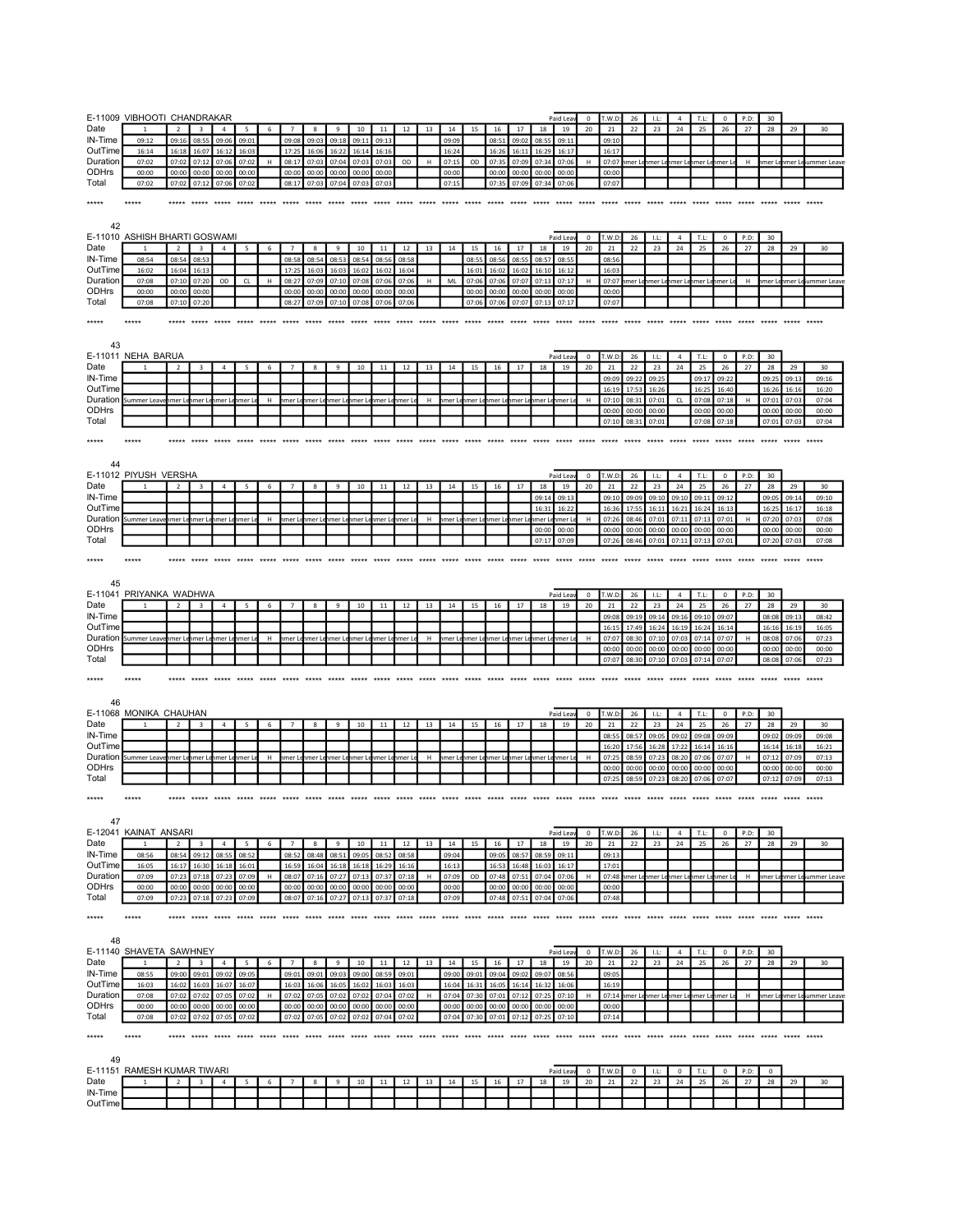|                       | E-11009 VIBHOOTI CHANDRAKAR                   |                          |                   |                |                  |   |                |                                                 |                |                |                |                                      |    |                |                              |                |                                            |                |                | $^{\circ}$              | T.W.D          |                   | $11^{\circ}$   |                                     | T.L:           | $^{\circ}$        |            | 30                         |                |                             |
|-----------------------|-----------------------------------------------|--------------------------|-------------------|----------------|------------------|---|----------------|-------------------------------------------------|----------------|----------------|----------------|--------------------------------------|----|----------------|------------------------------|----------------|--------------------------------------------|----------------|----------------|-------------------------|----------------|-------------------|----------------|-------------------------------------|----------------|-------------------|------------|----------------------------|----------------|-----------------------------|
| Date                  |                                               |                          | $\overline{3}$    | $\overline{a}$ | 5                | 6 | $\overline{7}$ | $\boldsymbol{8}$                                | $\mathbf{q}$   | 10             | 11             | 12                                   | 13 | 14             | 15                           | 16             | 17                                         | 18             | Paid Lea<br>19 | 20                      | 21             | 26<br>22          | 23             | 24                                  | 25             | 26                | P.D:<br>27 | 28                         | 29             | 30                          |
| IN-Time               | 09:12                                         | 09:16                    | 08:55             | 09:06          | 09:01            |   | 09:08          | 09:03                                           | 09:18          | 09:11          | 09:13          |                                      |    | 09:09          |                              | 08:51          | 09:02                                      | 08:55          | 09:11          |                         | 09:10          |                   |                |                                     |                |                   |            |                            |                |                             |
| OutTime               | 16:14                                         | 16:18                    | 16:07             | 16:12          | 16:03            |   | 17:25          | 16:06                                           | 16:22          | 16:14          | 16:16          |                                      |    | 16:24          |                              | 16:26          | 16:11                                      | 16:29          | 16:17          |                         | 16:17          |                   |                |                                     |                |                   |            |                            |                |                             |
| Duration              | 07:02                                         | 07:02                    | 07:12             | 07:06          | 07:02            | H | 08:17          | 07:03                                           | 07:04          | 07:03          | 07:03          | OD                                   | H  | 07:15          | OD                           | 07:35          | 07:09                                      | 07:34          | 07:06          | н                       | 07:07          | hmer Lehmer Le    |                | hmer Le                             | mer Lenmer L   |                   | н          |                            |                | mer Lenmer Leummer Leave    |
| ODHrs<br>Total        | 00:00<br>07:02                                | 00:00<br>07:02           | 00:00<br>07:12    | 00:00<br>07:06 | 00:00<br>07:02   |   | 00:00<br>08:17 | 00:00<br>07:03                                  | 00:00<br>07:04 | 00:00<br>07:03 | 00:00<br>07:03 |                                      |    | 00:00<br>07:15 |                              | 00:00<br>07:35 | 00:00<br>07:09                             | 00:00<br>07:34 | 00:00<br>07:06 |                         | 00:00<br>07:07 |                   |                |                                     |                |                   |            |                            |                |                             |
|                       |                                               |                          |                   |                |                  |   |                |                                                 |                |                |                |                                      |    |                |                              |                |                                            |                |                |                         |                |                   |                |                                     |                |                   |            |                            |                |                             |
| *****                 | *****                                         |                          | ***** ***** ***** |                | ***** *****      |   | *****          | *****                                           | *****          | *****          | *****          | ------ ----- ----- ----- ----- ----- |    |                |                              |                |                                            | *****          | *****          | ***** ***** ***** ***** |                |                   |                | ***** *****                         |                |                   |            |                            |                |                             |
|                       |                                               |                          |                   |                |                  |   |                |                                                 |                |                |                |                                      |    |                |                              |                |                                            |                |                |                         |                |                   |                |                                     |                |                   |            |                            |                |                             |
| 42                    |                                               |                          |                   |                |                  |   |                |                                                 |                |                |                |                                      |    |                |                              |                |                                            |                |                |                         |                |                   |                |                                     |                |                   |            |                            |                |                             |
| Date                  | E-11010 ASHISH BHARTI GOSWAMI<br>$\mathbf{1}$ | $\overline{2}$           | $\mathbf{3}$      | $\overline{4}$ | $\overline{5}$   | 6 | $\overline{7}$ | $\mathbf{R}$                                    | $\mathbf{q}$   | 10             | 11             | 12                                   | 13 | 14             | 15                           | 16             | 17                                         | 18             | Paid Lea<br>19 | $^{\circ}$<br>20        | T.W.D<br>21    | 26<br>22          | LL:<br>23      | $\Delta$<br>24                      | T.L:<br>25     | $\mathbf 0$<br>26 | P.D:<br>27 | 30<br>28                   | 29             | 30                          |
| IN-Time               | 08:54                                         | 08:54                    | 08:53             |                |                  |   | 08:58          | 08:54                                           | 08:53          | 08:54          | 08:56          | 08:58                                |    |                | 08:55                        | 08:56          | 08:55                                      | 08:57          | 08:55          |                         | 08:56          |                   |                |                                     |                |                   |            |                            |                |                             |
| OutTime               | 16:02                                         | 16:04                    | 16:13             |                |                  |   | 17:25          | 16:03                                           | 16:03          | 16:02          | 16:02          | 16:04                                |    |                | 16:01                        | 16:02          | 16:02                                      | 16:10          | 16:12          |                         | 16:03          |                   |                |                                     |                |                   |            |                            |                |                             |
| Duration              | 07:08                                         | 07:10                    | 07:20             | OD             | CL               | H | 08:27          | 07:09                                           | 07:10          | 07:08          | 07:06          | 07:06                                | H  | ML             | 07:06                        | 07:06          | 07:07                                      | 07:13          | 07:17          | H                       | 07:07          |                   |                | nmer Lenmer Lenmer Lenmer Lenmer Le |                |                   | H          |                            |                | imer Lenmer Leiummer Leave  |
| <b>ODHrs</b>          | 00:00                                         | 00:00                    | 00:00             |                |                  |   | 00:00          | 00:00                                           | 00:00          | 00:00          | 00:00          | 00:00                                |    |                | 00:00                        | 00:00          | 00:00                                      | 00:00          | 00:00          |                         | 00:00          |                   |                |                                     |                |                   |            |                            |                |                             |
| Total                 | 07:08                                         | 07:10                    | 07:20             |                |                  |   | 08:27          | 07:09                                           | 07:10          | 07:08          | 07:06          | 07:06                                |    |                | 07:06                        | 07:06          | 07:07                                      | 07:13          | 07:17          |                         | 07:07          |                   |                |                                     |                |                   |            |                            |                |                             |
| *****                 | *****                                         |                          |                   |                |                  |   |                |                                                 |                |                |                |                                      |    |                |                              |                | *****                                      |                |                |                         | *****          |                   |                |                                     |                |                   |            |                            |                |                             |
|                       |                                               |                          |                   |                |                  |   |                |                                                 |                |                |                |                                      |    |                |                              |                |                                            |                |                |                         |                |                   |                |                                     |                |                   |            |                            |                |                             |
| 43                    |                                               |                          |                   |                |                  |   |                |                                                 |                |                |                |                                      |    |                |                              |                |                                            |                |                |                         |                |                   |                |                                     |                |                   |            |                            |                |                             |
|                       | E-11011 NEHA BARUA                            |                          |                   |                |                  |   |                |                                                 |                |                |                |                                      |    |                |                              |                |                                            |                | Paid Lea       | 0                       | T.W.D:         | 26                | LL:            | $\overline{4}$                      | T.L:           | $\mathbf{0}$      | P.D:       | 30 <sub>o</sub>            |                |                             |
| Date                  |                                               | $\overline{\phantom{a}}$ | $\overline{3}$    | $\overline{a}$ | 5                | 6 | $\overline{7}$ | $\mathbf{R}$                                    | $\mathbf{q}$   | 10             | 11             | 12                                   | 13 | 14             | 15                           | 16             | 17                                         | 18             | 19             | 20                      | 21             | 22                | 23             | 24                                  | 25             | 26                | 27         | 28                         | 29             | 30                          |
| IN-Time               |                                               |                          |                   |                |                  |   |                |                                                 |                |                |                |                                      |    |                |                              |                |                                            |                |                |                         | 09:09          | 09:22             | 09:25          |                                     | 09:17          | 09:22             |            | 09:25                      | 09:13          | 09:16                       |
| OutTime<br>Duration   |                                               |                          |                   |                |                  |   |                |                                                 |                |                |                |                                      |    |                |                              |                |                                            |                |                |                         | 16:19          | 17:53             | 16:26<br>07:01 |                                     | 16:25          | 16:40             |            | 16:26<br>07:01             | 16:16          | 16:20                       |
| ODHrs                 | Summer Leav                                   | nmer L                   | nmer I            | mer l          | hmer I           | H |                | mer Lehmer L                                    | nmer           | hmer L         | hmer L         | hmer I                               | H  | ımer I         | ımer I                       | mer l          | ımer l                                     | ımer Le        | ımer L         | H                       | 07:10<br>00:00 | 08:33<br>00:00    | 00:00          | <sup>C</sup>                        | 07:08<br>00:00 | 07:18<br>00:00    | H          | 00:00                      | 07:03<br>00:00 | 07:04<br>00:00              |
| Total                 |                                               |                          |                   |                |                  |   |                |                                                 |                |                |                |                                      |    |                |                              |                |                                            |                |                |                         | 07:10          | 08:31             | 07:01          |                                     | 07:08          | 07:18             |            | 07:01                      | 07:03          | 07:04                       |
|                       |                                               |                          |                   |                |                  |   |                |                                                 |                |                |                |                                      |    |                |                              |                |                                            |                |                |                         |                |                   |                |                                     |                |                   |            |                            |                |                             |
| *****                 |                                               |                          |                   |                |                  |   |                |                                                 |                |                |                |                                      |    |                |                              |                |                                            |                |                |                         |                |                   |                |                                     | *****          |                   |            |                            |                |                             |
|                       |                                               |                          |                   |                |                  |   |                |                                                 |                |                |                |                                      |    |                |                              |                |                                            |                |                |                         |                |                   |                |                                     |                |                   |            |                            |                |                             |
| 44                    | E-11012 PIYUSH VERSHA                         |                          |                   |                |                  |   |                |                                                 |                |                |                |                                      |    |                |                              |                |                                            |                |                |                         |                |                   |                |                                     |                |                   |            |                            |                |                             |
| Date                  | -1                                            | $\overline{2}$           | $\mathbf{3}$      | $\overline{4}$ | $5\phantom{.00}$ | 6 | $\overline{7}$ | 8                                               | 9              | 10             | 11             | 12                                   | 13 | 14             | 15                           |                | 17                                         | 18             | Paid Lea<br>19 | $^{\circ}$<br>20        | T.W.D<br>21    | 26<br>22          | LL:<br>23      | $\overline{4}$<br>24                | T.L:<br>25     | $\mathbf 0$<br>26 | P.D:<br>27 | 30<br>28                   | 29             | 30                          |
| IN-Time               |                                               |                          |                   |                |                  |   |                |                                                 |                |                |                |                                      |    |                |                              | 16             |                                            | 09:14          | 09:13          |                         | 09:10          | 09:09             | 09:10          | 09:10                               | 09:11          | 09:12             |            | 09:05                      | 09:14          | 09:10                       |
| OutTime               |                                               |                          |                   |                |                  |   |                |                                                 |                |                |                |                                      |    |                |                              |                |                                            | 16:31          | 16:22          |                         | 16:36          | 17:55             | 16:11          | 16:21                               | 16:24          | 16:13             |            | 16:25                      | 16:17          | 16:18                       |
| Duration              | Summer Leavenmer Lenmer Lenmer Lenmer Le      |                          |                   |                |                  | H |                | imer Lehmer Lehmer Lehmer Lehmer Lehmer Le      |                |                |                |                                      | H  |                | nmer Lehmer Lehmer Lehmer Le |                |                                            |                | mer Lehmer Le  | H                       | 07:26          | 08:46             | 07:01          | 07:11                               | 07:13          | 07:01             | H          | 07:20                      | 07:03          | 07:08                       |
| <b>ODHrs</b>          |                                               |                          |                   |                |                  |   |                |                                                 |                |                |                |                                      |    |                |                              |                |                                            | 00:00          | 00:00          |                         | 00:00          | 00:00             | 00:00          | 00:00                               | 00:00          | 00:00             |            | 00:00                      | 00:00          | 00:00                       |
| Total                 |                                               |                          |                   |                |                  |   |                |                                                 |                |                |                |                                      |    |                |                              |                |                                            | 07:1           | 07:09          |                         | 07:26          | 08:46             | 07:01          | 07:11                               | 07:13          | 07:0              |            | 07:20                      | 07:03          | 07:08                       |
| *****                 |                                               |                          |                   |                |                  |   |                |                                                 |                |                |                |                                      |    |                |                              |                |                                            |                |                |                         |                |                   |                |                                     |                |                   |            |                            |                |                             |
|                       |                                               |                          |                   |                |                  |   |                |                                                 |                |                |                |                                      |    |                |                              |                |                                            |                |                |                         |                |                   |                |                                     |                |                   |            |                            |                |                             |
| 45                    |                                               |                          |                   |                |                  |   |                |                                                 |                |                |                |                                      |    |                |                              |                |                                            |                |                |                         |                |                   |                |                                     |                |                   |            |                            |                |                             |
|                       | E-11041 PRIYANKA WADHWA                       |                          |                   |                |                  |   |                |                                                 |                |                |                |                                      |    |                |                              |                |                                            |                | Paid Lea       | $^{\circ}$              | T.W.D          | 26                | LL:            | $\overline{4}$                      | T.L:           | $\mathbf 0$       | P.D:       | 30                         |                |                             |
| Date                  |                                               | $\overline{2}$           | $\overline{3}$    | $\overline{a}$ | $\overline{5}$   | 6 | $\overline{7}$ | $\mathbf{R}$                                    | $\mathbf{q}$   | 10             | 11             | 12                                   | 13 | 14             | 15                           | 16             | 17                                         | 18             | 19             | 20                      | 21             | 22                | 23             | 24                                  | 25             | 26                | 27         | 28                         | 29             | 30                          |
| IN-Time               |                                               |                          |                   |                |                  |   |                |                                                 |                |                |                |                                      |    |                |                              |                |                                            |                |                |                         | 09:08          | 09:19             | 09:14          | 09:16                               | 09:10          | 09:07             |            | 08:08                      | 09:13          | 08:42                       |
| OutTime               |                                               |                          |                   |                |                  |   |                |                                                 |                |                |                |                                      |    |                |                              |                |                                            |                |                |                         | 16:15          | 17:49             | 16:24          | 16:19                               | 16:24          | 16:14             |            | 16:16                      | 16:19          | 16:05                       |
| Duration              | Summer Leavenmer Lenmer Le                    |                          |                   | nmer i enmer i |                  | H |                | imer Lehmer Lehmer Lehmer Lehmer L              |                |                |                | hmer L                               | H  |                | hmer Lehmer Lehmer Le        |                | hmer Le                                    |                | hmer Lehmer Lo | H                       | 07:07          | 08:30             | 07:10          | 07:03                               | 07:14          | 07:07             | H          | 08:08                      | 07:06          | 07:23                       |
| <b>ODHrs</b><br>Total |                                               |                          |                   |                |                  |   |                |                                                 |                |                |                |                                      |    |                |                              |                |                                            |                |                |                         | 00:00<br>07:07 | 00:00             | 00:00          | 00:00                               | 00:00          | 00:00<br>07:07    |            | 00:00                      | 00:00<br>07:06 | 00:00                       |
|                       |                                               |                          |                   |                |                  |   |                |                                                 |                |                |                |                                      |    |                |                              |                |                                            |                |                |                         |                | 08:30             | 07:10          | 07:03                               | 07:14          |                   |            | 08:08                      |                | 07:23                       |
| *****                 |                                               |                          |                   |                |                  |   |                |                                                 |                |                |                |                                      |    |                |                              |                |                                            |                |                |                         |                |                   |                |                                     |                |                   |            |                            |                |                             |
|                       |                                               |                          |                   |                |                  |   |                |                                                 |                |                |                |                                      |    |                |                              |                |                                            |                |                |                         |                |                   |                |                                     |                |                   |            |                            |                |                             |
| 46                    |                                               |                          |                   |                |                  |   |                |                                                 |                |                |                |                                      |    |                |                              |                |                                            |                |                |                         |                |                   |                |                                     |                |                   |            |                            |                |                             |
|                       | E-11068 MONIKA CHAUHAN                        |                          |                   |                |                  |   |                |                                                 |                |                |                |                                      |    |                |                              |                |                                            |                | Paid Lea       | $^{\circ}$              | T.W.D          | 26                | LL:            |                                     | T.L:           | $\mathbf 0$       | P.D:       | 30                         |                |                             |
| Date<br>IN-Time       | -1                                            | $\overline{2}$           | $\mathbf{3}$      | $\overline{4}$ | 5                | 6 | $\overline{7}$ | $\overline{\mathbf{8}}$                         | 9              | 10             | 11             | 12                                   | 13 | 14             | 15                           | 16             | 17                                         | 18             | 19             | 20                      | 21<br>08:55    | 22<br>08:57       | 23<br>09:05    | 24<br>09:02                         | 25<br>09:08    | 26                | 27         | 28                         | 29             | 30<br>09:08                 |
| OutTime               |                                               |                          |                   |                |                  |   |                |                                                 |                |                |                |                                      |    |                |                              |                |                                            |                |                |                         |                |                   |                |                                     |                |                   |            |                            |                |                             |
| Duration              |                                               |                          |                   |                |                  |   |                |                                                 |                |                |                |                                      |    |                |                              |                |                                            |                |                |                         |                |                   |                |                                     |                | 09:09             |            | 09:02                      | 09:09          |                             |
|                       | Summer Leavenmer Lenmer Lenmer Lenmer Le      |                          |                   |                |                  | H |                |                                                 |                |                |                |                                      |    |                |                              |                | hmer Lehmer Lehmer Lehmer Lehmer Lehmer Le |                |                | H                       | 16:20<br>07:25 | 17:56             | 16:28          | 17:22                               | 16:14<br>07:06 | 16:16             | H          | 16:14                      | 16:18<br>07:09 | 16:21<br>07:13              |
| ODHrs                 |                                               |                          |                   |                |                  |   |                | imer Leinner Leinner Leinner Leinner Leinner Le |                |                |                |                                      | H  |                |                              |                |                                            |                |                |                         | 00:00          | 08:59<br>00:00    | 07:23<br>00:00 | 08:20<br>00:00                      | 00:00          | 07:07<br>00:00    |            | 07:12<br>00:00             | 00:00          | 00:00                       |
| Total                 |                                               |                          |                   |                |                  |   |                |                                                 |                |                |                |                                      |    |                |                              |                |                                            |                |                |                         | 07:25          | 08:59             | 07:23          | 08:20                               | 07:06          | 07:07             |            | 07:12                      | 07:09          | 07:13                       |
|                       |                                               |                          |                   |                |                  |   |                |                                                 |                |                |                |                                      |    |                |                              |                |                                            |                |                |                         |                |                   |                |                                     |                |                   |            |                            |                |                             |
| *****                 |                                               |                          |                   |                |                  |   |                |                                                 |                |                |                |                                      |    |                |                              |                |                                            |                |                | *****                   |                | ***** ***** ***** |                | ***** *****                         |                | ***** ***** ***** |            |                            |                |                             |
| 47                    |                                               |                          |                   |                |                  |   |                |                                                 |                |                |                |                                      |    |                |                              |                |                                            |                |                |                         |                |                   |                |                                     |                |                   |            |                            |                |                             |
|                       | E-12041 KAINAT ANSARI                         |                          |                   |                |                  |   |                |                                                 |                |                |                |                                      |    |                |                              |                |                                            |                | Paid Lea       | $^{\circ}$              | T.W.D          | 26                | LL:            | $\overline{4}$                      | T.L:           | $\mathbf 0$       | P.D:       | 30                         |                |                             |
| Date                  |                                               |                          |                   | $\overline{a}$ | 5                | 6 | $\overline{7}$ | 8                                               | 9              | 10             | 11             | 12                                   | 13 | 14             | 15                           | 16             | 17                                         | 18             | 19             | 20                      | 21             | 22                | 23             | 24                                  | 25             | 26                | 27         | $\sqrt{28}$                | 29             | 30                          |
| IN-Time               | 08:56                                         | 08:54                    | 09:12             | 08:55          | 08:52            |   | 08:52          | 08:48                                           | 08:51          | 09:05          | 08:52          | 08:58                                |    | 09:04          |                              | 09:05          | 08:57                                      | 08:59          | 09:11          |                         | 09:13          |                   |                |                                     |                |                   |            |                            |                |                             |
| OutTime               | 16:05                                         | 16:17                    | 16:30             | 16:18          | 16:01            |   | 16:59          | 16:04                                           | 16:18          | 16:18          | 16:29          | 16:16                                |    | 16:13          |                              | 16:53          | 16:48                                      | 16:03          | 16:17          |                         | 17:01          |                   |                |                                     |                |                   |            |                            |                |                             |
| Duration              | 07:09                                         | 07:23                    | 07:18             | 07:23          | 07:09            | H | 08:07          | 07:16                                           | 07:27          | 07:13          | 07:37          | 07:18                                | H  | 07:09          | OD                           | 07:48          | 07:51                                      | 07:04          | 07:06          | H                       | 07:48          |                   |                | nmer Lenmer Lenmer Lenmer Lenmer L  |                |                   | H          |                            |                | nmer Lenmer Le ummer Leave  |
| <b>ODHrs</b>          | 00:00                                         | 00:00                    | 00:00             | 00:00          | 00:00            |   | 00:00          | 00:00                                           | 00:00          | 00:00          | 00:00          | 00:00                                |    | 00:00          |                              | 00:00          | 00:00                                      | 00:00          | 00:00          |                         | 00:00          |                   |                |                                     |                |                   |            |                            |                |                             |
| Total                 | 07:09                                         | 07:23                    | 07:18             | 07:23          | 07:09            |   | 08:07          | 07:16                                           |                | 07:27 07:13    | 07:37          | 07:18                                |    | 07:09          |                              | 07:48          | 07:51                                      | 07:04 07:06    |                |                         | 07:48          |                   |                |                                     |                |                   |            |                            |                |                             |
| *****                 | *****                                         |                          |                   |                |                  |   |                |                                                 |                |                |                |                                      |    |                |                              |                |                                            |                |                |                         |                |                   |                |                                     |                |                   |            |                            |                |                             |
|                       |                                               |                          |                   |                |                  |   |                |                                                 |                |                |                |                                      |    |                |                              |                |                                            |                |                |                         |                |                   |                |                                     |                |                   |            |                            |                |                             |
| 48                    |                                               |                          |                   |                |                  |   |                |                                                 |                |                |                |                                      |    |                |                              |                |                                            |                |                |                         |                |                   |                |                                     |                |                   |            |                            |                |                             |
|                       | E-11140 SHAVETA SAWHNEY                       |                          |                   |                |                  |   |                |                                                 |                |                |                |                                      |    |                |                              |                |                                            |                | Paid Lea       | 0                       | T.W.D          | 26                | L              | $\overline{4}$                      | T.L:           | $\mathbf 0$       | P.D:       | 30                         |                |                             |
| Date                  | 1                                             | $\overline{2}$           | 3                 | $\overline{4}$ | -5               | 6 | $\overline{7}$ | 8                                               | 9              | 10             | 11             | 12                                   | 13 | 14             | 15                           | 16             | 17                                         | 18             | 19             | 20                      | 21             | 22                | 23             | 24                                  | 25             | 26                | 27         | 28                         | 29             | 30                          |
| IN-Time               | 08:55                                         | 09:00                    | 09:01             | 09:02          | 09:05            |   | 09:01          | 09:01                                           | 09:03          | 09:00          | 08:59          | 09:01                                |    | 09:00          | 09:01                        | 09:04          | 09:02                                      | 09:07          | 08:56          |                         | 09:05          |                   |                |                                     |                |                   |            |                            |                |                             |
| OutTime               | 16:03                                         | 16:02                    | 16:03             | 16:07          | 16:07            |   | 16:03          | 16:06                                           | 16:05          | 16:02          | 16:03          | 16:03                                |    | 16:04          | 16:31                        | 16:05          | 16:14                                      | 16:32          | 16:06          |                         | 16:19          |                   |                |                                     |                |                   |            |                            |                |                             |
| Duration<br>ODHrs     | 07:08<br>00:00                                | 07:02<br>00:00           | 07:02<br>00:00    | 07:05<br>00:00 | 07:02<br>00:00   | H | 07:02<br>00:00 | 07:05<br>00:00                                  | 07:02<br>00:00 | 07:02<br>00:00 | 07:04<br>00:00 | 07:02<br>00:00                       | H  | 07:04<br>00:00 | 07:30<br>00:00               | 07:01<br>00:00 | 07:12<br>00:00                             | 07:25<br>00:00 | 07:10<br>00:00 | H                       | 07:14<br>00:00 |                   |                | hmer Lehmer Lehmer Lehmer Lehmer Le |                |                   |            |                            |                | H nmer Lenmer Leummer Leave |
| Total                 | 07:08                                         | 07:02                    | 07:02             | 07:05          | 07:02            |   | 07:02          | 07:05                                           | 07:02          | 07:02          | 07:04          | 07:02                                |    | 07:04          | 07:30                        | 07:01          | 07:12                                      | 07:25          | 07:10          |                         | 07:14          |                   |                |                                     |                |                   |            |                            |                |                             |
|                       |                                               |                          |                   |                |                  |   |                |                                                 |                |                |                |                                      |    |                |                              |                |                                            |                |                |                         |                |                   |                |                                     |                |                   |            |                            |                |                             |
| *****                 | *****                                         | *****                    | *****             |                | ***** *****      |   | *****          | *****                                           | ***** *****    |                | *****          |                                      |    |                |                              |                |                                            |                |                |                         |                |                   |                | ***** ***** ***** ***** ***** ***** |                |                   |            |                            |                |                             |
|                       |                                               |                          |                   |                |                  |   |                |                                                 |                |                |                |                                      |    |                |                              |                |                                            |                |                |                         |                |                   |                |                                     |                |                   |            |                            |                |                             |
| 49                    |                                               |                          |                   |                |                  |   |                |                                                 |                |                |                |                                      |    |                |                              |                |                                            |                |                |                         |                |                   |                |                                     |                |                   |            |                            |                |                             |
| Date                  | E-11151 RAMESH KUMAR TIWARI                   |                          | 3                 | $\overline{4}$ | 5                | 6 | $\overline{7}$ | 8                                               | 9              | 10             | $11\,$         | 12                                   | 13 | 14             | 15                           | 16             | 17                                         | 18             | Paid Lea<br>19 | $\mathbf 0$<br>$20\,$   | T.W.D<br>21    | $\mathbf 0$<br>22 | L<br>23        | 0<br>24                             | T.L:<br>25     | $\mathbf 0$<br>26 | P.D:<br>27 | $\mathbf 0$<br>$\sqrt{28}$ | 29             | 30                          |
| IN-Time               |                                               |                          |                   |                |                  |   |                |                                                 |                |                |                |                                      |    |                |                              |                |                                            |                |                |                         |                |                   |                |                                     |                |                   |            |                            |                |                             |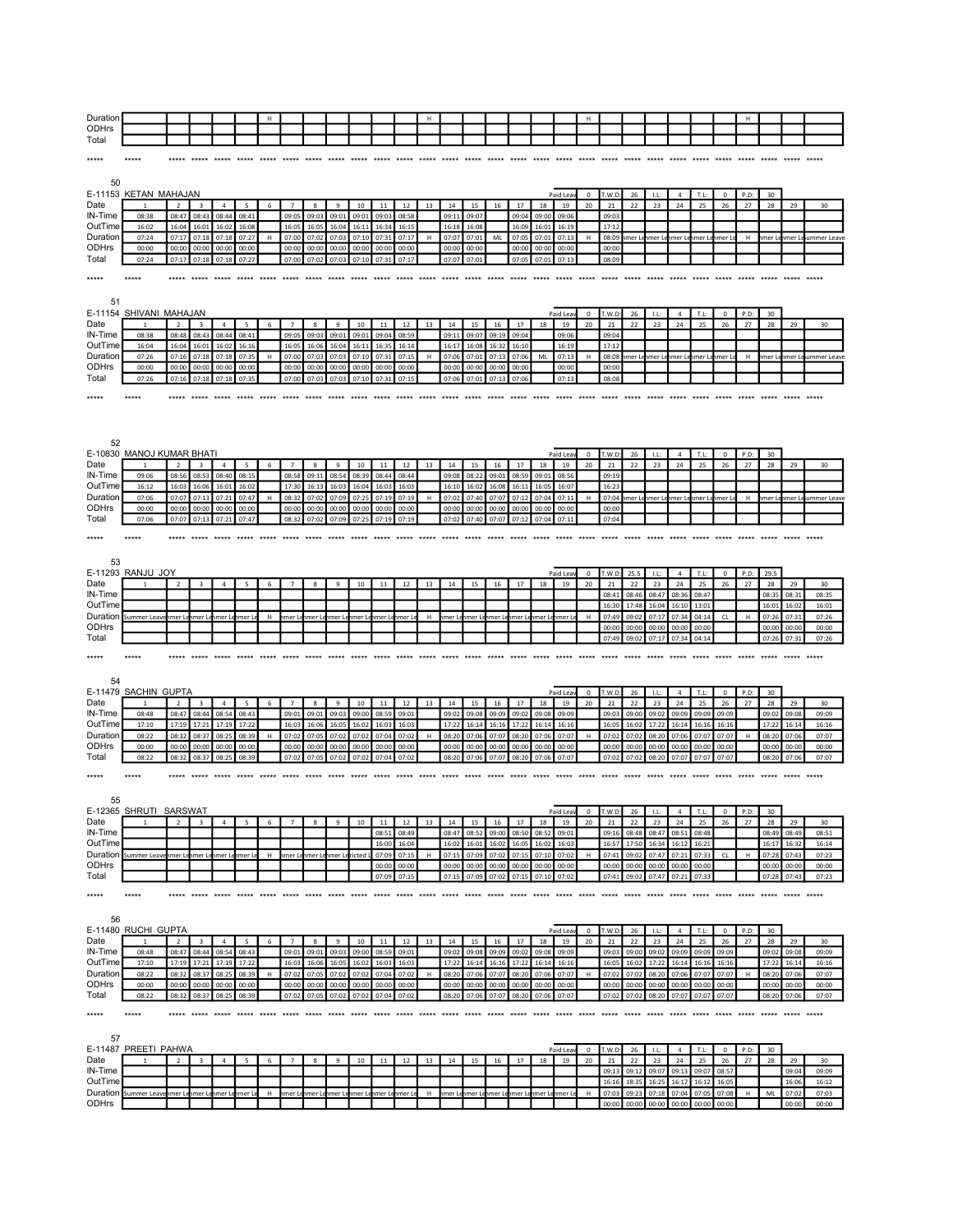| Duratio |  |  |  |  |  |  |  |  |  | . |  |  |  |  |  |
|---------|--|--|--|--|--|--|--|--|--|---|--|--|--|--|--|
| ODHrs   |  |  |  |  |  |  |  |  |  |   |  |  |  |  |  |
| Total   |  |  |  |  |  |  |  |  |  |   |  |  |  |  |  |

| ***** | ***** |  |  |  |  |  |  |  |  |  |  |  |  |  |  |  |
|-------|-------|--|--|--|--|--|--|--|--|--|--|--|--|--|--|--|
|       |       |  |  |  |  |  |  |  |  |  |  |  |  |  |  |  |

| 50                       |                                      |                          |                         |                |                               |       |                |                |                |                                    |                |                   |             |                |                |                |                             |                |                 |                   |                |                         |                |                                     |                |                      |             |                       |                |                            |
|--------------------------|--------------------------------------|--------------------------|-------------------------|----------------|-------------------------------|-------|----------------|----------------|----------------|------------------------------------|----------------|-------------------|-------------|----------------|----------------|----------------|-----------------------------|----------------|-----------------|-------------------|----------------|-------------------------|----------------|-------------------------------------|----------------|----------------------|-------------|-----------------------|----------------|----------------------------|
|                          | E-11153 KETAN MAHAJAN                |                          |                         |                |                               |       |                |                |                |                                    |                |                   |             |                |                |                |                             |                | Paid Lea        | $^{\circ}$        | r.w.d          | 26                      | LL             | $\overline{4}$                      | T.L:           | 0                    | P.D:        | 30                    |                |                            |
| Date                     |                                      | $\overline{\phantom{a}}$ | $\overline{3}$          | $\overline{a}$ | -5                            | 6     | $\overline{7}$ | $\mathbf{R}$   | $\ddot{q}$     | 10                                 | 11             | 12                | 13          | 14             | 15             | 16             | 17                          | 18             | 19              | 20                | 21             | 22                      | 23             | 24                                  | 25             | 26                   | 27          | 28                    | 29             | 30                         |
| IN-Time                  | 08:38                                | 08:47                    | 08:43                   | 08:44          | 08:41                         |       | 09:05          | 09:03          | 09:01          | 09:01                              | 09:03          | 08:58             |             | 09:11          | 09:07          |                | 09:04                       | 09:00          | 09:06           |                   | 09:03          |                         |                |                                     |                |                      |             |                       |                |                            |
| OutTime<br>Duration      | 16:02<br>07:24                       | 16:04<br>07:17           | 16:01<br>07:18          | 16:02<br>07:18 | 16:08<br>07:27                | H     | 16:05<br>07:00 | 16:05<br>07:02 | 16:04<br>07:03 | 16:11<br>07:10                     | 16:34<br>07:31 | 16:15<br>07:17    | H           | 16:18<br>07:07 | 16:08<br>07:01 | MI             | 16:09<br>07:05              | 16:01<br>07:01 | 16:19<br>07:13  | H                 | 17:12<br>08:09 |                         | imer Lehmer Le | hmer Lehmer Lehmer L                |                |                      | H           |                       |                | hmer Lehmer Leiummer Leave |
| <b>ODHrs</b>             | 00:00                                | 00:00                    | 00:00                   | 00:00          | 00:00                         |       | 00:00          | 00:00          | 00:00          | 00:00                              | 00:00          | 00:00             |             | 00:00          | 00:00          |                | 00:00                       | 00:00          | 00:00           |                   | 00:00          |                         |                |                                     |                |                      |             |                       |                |                            |
| Total                    | 07:24                                | 07:17                    | 07:18                   | 07:18          | 07:27                         |       | 07:00          | 07:02          | 07:03          | 07:10                              | 07:31          | 07:17             |             | 07:07          | 07:01          |                | 07:05                       | 07:01          | 07:13           |                   | 08:09          |                         |                |                                     |                |                      |             |                       |                |                            |
| *****                    |                                      |                          | ***** *****             |                | *****                         |       | *****          | *****          | *****          | *****                              |                | ***** ***** ***** |             |                | *****          | *****          | *****                       |                | ***** *****     |                   |                | ***** ***** ***** ***** |                | ***** ***** ***** ***** *****       |                |                      |             |                       |                |                            |
|                          |                                      |                          |                         |                |                               |       |                |                |                |                                    |                |                   |             |                |                |                |                             |                |                 |                   |                |                         |                |                                     |                |                      |             |                       |                |                            |
| 51                       |                                      |                          |                         |                |                               |       |                |                |                |                                    |                |                   |             |                |                |                |                             |                |                 |                   |                |                         |                |                                     |                |                      |             |                       |                |                            |
|                          | E-11154 SHIVANI MAHAJAN              |                          |                         |                |                               |       |                |                |                |                                    |                |                   |             |                |                |                |                             |                | Paid Lea        | $^{\circ}$        | T.W.D          | 26                      | LL:            | $\overline{4}$                      | T.L:           | 0                    | P.D:        | 30                    |                |                            |
| Date                     |                                      | $\overline{2}$           | $\overline{\mathbf{3}}$ | $\overline{4}$ | 5                             | 6     | $\overline{7}$ | 8              | 9              | 10                                 | 11             | 12                | 13          | 14             | 15             | 16             | 17                          | 18             | 19              | 20                | 21             | 22                      | 23             | 24                                  | 25             | 26                   | 27          | 28                    | 29             | 30                         |
| IN-Time<br>OutTime       | 08:38<br>16:04                       | 08:48<br>16:04           | 08:43                   | 08:44          | 08:41                         |       | 09:05<br>16:0  | 09:03<br>16:06 | 09:01          | 09:01                              | 09:04<br>16:35 | 08:59             |             | 09:11          | 09:07<br>16:08 | 09:19          | 09:04                       |                | 09:06           |                   | 09:04<br>17:1  |                         |                |                                     |                |                      |             |                       |                |                            |
| Duration                 | 07:26                                | 07:16                    | 16:01<br>07:18          | 16:02<br>07:18 | 16:16<br>07:35                | H     | 07:00          | 07:03          | 16:04<br>07:03 | 16:11<br>07:10                     | 07:31          | 16:14<br>07:15    | H           | 16:17<br>07:06 | 07:01          | 16:32<br>07:13 | 16:10<br>07:06              | ML             | 16:19<br>07:13  | H                 | 08:08          |                         |                | imer Lehmer Lehmer Lehmer Lehmer Le |                |                      | H           |                       |                | nmer Lenmer Le ummer Leave |
| <b>ODHrs</b>             | 00:00                                | 00:00                    | 00:00                   | 00:00          | 00:00                         |       | 00:00          | 00:00          | 00:00          | 00:00                              | 00:00          | 00:00             |             | 00:00          | 00:00          | 00:00          | 00:00                       |                | 00:00           |                   | 00:00          |                         |                |                                     |                |                      |             |                       |                |                            |
| Total                    | 07:26                                | 07:16                    | 07:18                   | 07:18          | 07:35                         |       | 07:00          | 07:03          | 07:03          | 07:10                              | 07:31          | 07:15             |             | 07:06          | 07:01          | 07:13          | 07:06                       |                | 07:13           |                   | 08:08          |                         |                |                                     |                |                      |             |                       |                |                            |
| *****                    | *****                                | *****                    |                         | *****          |                               |       | *****          | *****          |                |                                    |                |                   | ***** ***** |                |                |                |                             |                |                 |                   |                |                         |                |                                     |                |                      |             |                       |                |                            |
|                          |                                      |                          |                         |                |                               |       |                |                |                |                                    |                |                   |             |                |                |                |                             |                |                 |                   |                |                         |                |                                     |                |                      |             |                       |                |                            |
|                          |                                      |                          |                         |                |                               |       |                |                |                |                                    |                |                   |             |                |                |                |                             |                |                 |                   |                |                         |                |                                     |                |                      |             |                       |                |                            |
|                          |                                      |                          |                         |                |                               |       |                |                |                |                                    |                |                   |             |                |                |                |                             |                |                 |                   |                |                         |                |                                     |                |                      |             |                       |                |                            |
| 52                       |                                      |                          |                         |                |                               |       |                |                |                |                                    |                |                   |             |                |                |                |                             |                |                 |                   |                |                         |                |                                     |                |                      |             |                       |                |                            |
| Date                     | E-10830 MANOJ KUMAR BHATI            | $\overline{2}$           | $\overline{\mathbf{3}}$ | $\overline{4}$ | 5                             | 6     |                | 8              | 9              | 10                                 | 11             | 12                | 13          | 14             | 15             | 16             | 17                          | 18             | Paid Leav<br>19 | $\mathbf 0$<br>20 | T.W.D<br>21    | 26<br>22                | LL:<br>23      | $\overline{4}$<br>24                | T.L:<br>25     | $\mathbf 0$<br>26    | P.D:<br>27  | 30<br>28              | 29             | 30                         |
| IN-Time                  | 09:06                                | 08:56                    | 08:53                   | 08:40          | 08:1!                         |       | 08:58          | 09:11          | 08:54          | 08:39                              | 08:44          | 08:44             |             | 09:08          | 08:22          | 09:01          | 08:59                       | 09:01          | 08:56           |                   | 09:19          |                         |                |                                     |                |                      |             |                       |                |                            |
| OutTime                  | 16:12                                | 16:03                    | 16:06                   | 16:01          | 16:02                         |       | 17:30          | 16:13          | 16:03          | 16:04                              | 16:03          | 16:03             |             | 16:10          | 16:02          | 16:08          | 16:11                       | 16:05          | 16:07           |                   | 16:23          |                         |                |                                     |                |                      |             |                       |                |                            |
| Duration                 | 07:06                                | 07:07                    | 07:13                   | 07:21          | 07:47                         | н     | 08:32          | 07:02          | 07:09          | 07:25                              | 07:19          | 07:19             | H           | 07:02          | 07:40          | 07:07          | 07:12                       | 07:04          | 07:11           | H                 | 07:04          | nmer Lenmer Le          |                | hmer Lehmer Lehmer Le               |                |                      | н           |                       |                | imer Lenmer Leummer Leave  |
| <b>ODHrs</b><br>Total    | 00:00<br>07:06                       | 00:00<br>07:07           | 00:00<br>07:13          | 00:00<br>07:21 | 00:00<br>07:47                |       | 00:00<br>08:32 | 00:00<br>07:02 | 00:00<br>07:09 | 00:00<br>07:25                     | 00:00<br>07:19 | 00:00<br>07:19    |             | 00:00<br>07:02 | 00:00<br>07:40 | 00:00<br>07:07 | 00:00<br>07:12              | 00:00<br>07:04 | 00:00<br>07:11  |                   | 00:00<br>07:04 |                         |                |                                     |                |                      |             |                       |                |                            |
|                          |                                      |                          |                         |                |                               |       |                |                |                |                                    |                |                   |             |                |                |                |                             |                |                 |                   |                |                         |                |                                     |                |                      |             |                       |                |                            |
| *****                    | *****                                |                          |                         |                | ***** ***** ***** ***** ***** |       | *****          | *****          | *****          | *****                              | *****          | *****             | *****       | *****          | *****          |                | ***** ***** ***** *****     |                |                 |                   |                |                         |                |                                     |                |                      |             |                       | *****          |                            |
|                          |                                      |                          |                         |                |                               |       |                |                |                |                                    |                |                   |             |                |                |                |                             |                |                 |                   |                |                         |                |                                     |                |                      |             |                       |                |                            |
| 53                       | E-11293 RANJU JOY                    |                          |                         |                |                               |       |                |                |                |                                    |                |                   |             |                |                |                |                             |                | Paid Lea        | $^{\circ}$        | T.W.D          | 25.5                    | $11^{\circ}$   | $\overline{a}$                      | T.L:           | $\mathbf 0$          | P.D:        | 29.5                  |                |                            |
| Date                     |                                      | $\overline{2}$           | 3                       | $\overline{4}$ |                               | 6     |                | 8              | $\overline{9}$ | $10\,$                             | $11\,$         | $12\,$            | 13          | 14             | 15             | 16             | 17                          | $18\,$         | 19              | 20                | 21             | 22                      | 23             | 24                                  | 25             | 26                   | 27          | 28                    | 29             | 30                         |
| IN-Time                  |                                      |                          |                         |                |                               |       |                |                |                |                                    |                |                   |             |                |                |                |                             |                |                 |                   | 08:41          | 08:46                   | 08:47          | 08:36                               | 08:47          |                      |             | 08:35                 | 08:31          | 08:35                      |
| OutTime                  |                                      |                          |                         |                |                               |       |                |                |                |                                    |                |                   |             |                |                |                |                             |                |                 |                   | 16:30          | 17:48                   | 16:04          | 16:10                               | 13:01          |                      |             | 16:01                 | 16:02          | 16:01                      |
| Duration<br><b>ODHrs</b> | Summer Leavi                         | imer L                   | nmer Le                 | mer Le         | nmer L                        | н     |                |                |                | nmer Lenmer Lenmer Lenmer Lenmer L |                | enmer Le          | н           | hmer Le        | hmer Le        |                | hmer Lehmer Lehmer Lehmer L |                |                 | H                 | 07:49<br>00:00 | 09:02<br>00:00          | 07:1           | 07:34<br>00:00                      | 04:14<br>00:00 | ${\sf CL}$           | H           | 07:26<br>00:00        | 07:31<br>00:00 | 07:26<br>00:00             |
|                          |                                      |                          |                         |                |                               |       |                |                |                |                                    |                |                   |             |                |                |                |                             |                |                 |                   |                |                         | 00:00          |                                     |                |                      |             | 07:26                 | 07:31          |                            |
|                          |                                      |                          |                         |                |                               |       |                |                |                |                                    |                |                   |             |                |                |                |                             |                |                 |                   |                |                         |                | 07:34                               |                |                      |             |                       |                |                            |
| Total                    |                                      |                          |                         |                |                               |       |                |                |                |                                    |                |                   |             |                |                |                |                             |                |                 |                   | 07:49          | 09:02                   | 07:17          |                                     | 04:14          |                      |             |                       |                | 07:26                      |
| *****                    | *****                                |                          |                         |                |                               |       |                |                |                | *****                              |                |                   |             |                |                |                |                             |                |                 |                   |                |                         |                |                                     |                |                      |             | *****                 | ***** *****    |                            |
|                          |                                      |                          |                         |                |                               |       |                |                |                |                                    |                |                   |             |                |                |                |                             |                |                 |                   |                |                         |                |                                     |                |                      |             |                       |                |                            |
| 54                       |                                      |                          |                         |                |                               |       |                |                |                |                                    |                |                   |             |                |                |                |                             |                |                 |                   |                |                         |                |                                     |                |                      |             |                       |                |                            |
| Date                     | E-11479 SACHIN GUPTA<br>$\mathbf{1}$ | $\overline{2}$           | $\overline{3}$          | $\overline{4}$ | 5                             | 6     | $\overline{7}$ | 8              | 9              | 10                                 | 11             | 12                | 13          | 14             | 15             | 16             | 17                          | 18             | Paid Leav<br>19 | $\mathbf 0$<br>20 | T.W.D<br>21    | 26<br>22                | L<br>23        | $\overline{4}$<br>24                | T.L:<br>25     | $\overline{0}$<br>26 | P.D:<br>27  | 30 <sub>o</sub><br>28 | 29             | 30                         |
| IN-Time                  | 08:48                                | 08:47                    | 08:44                   | 08:54          | 08:43                         |       | 09:01          | 09:01          | 09:03          | 09:00                              | 08:59          | 09:01             |             | 09:02          | 09:08          | 09:09          | 09:02                       | 09:08          | 09:09           |                   | 09:03          | 09:00                   | 09:02          | 09:09                               | 09:09          | 09:09                |             | 09:02                 | 09:08          | 09:09                      |
| OutTime                  | 17:10                                | 17:19                    | 17:21                   | 17:19          | 17:22                         |       | 16:03          | 16:06          | 16:05          | 16:02                              | 16:03          | 16:03             |             | 17:22          | 16:14          | 16:16          | 17:22                       | 16:14          | 16:16           |                   | 16:05          | 16:02                   | 17:22          | 16:14                               | 16:16          | 16:16                |             | 17:22                 | 16:14          | 16:16                      |
| Duration                 | 08:22                                | 08:32                    | 08:37                   | 08:25          | 08:39                         | H     | 07:02          | 07:05          | 07:02          | 07:02                              | 07:04          | 07:02             | H           | 08:20          | 07:06          | 07:07          | 08:20                       | 07:06          | 07:07           | H                 | 07:02          | 07:02                   | 08:20          | 07:06                               | 07:07          | 07:07                | H           | 08:20<br>00:00        | 07:06          | 07:07                      |
| ODHrs<br>Total           | 00:00<br>08:22                       | 00:00<br>08:32           | 00:00<br>08:37          | 00:00<br>08:25 | 00:00<br>08:39                |       | 00:00<br>07:02 | 00:00<br>07:05 | 00:00<br>07:02 | 00:00<br>07:02                     | 00:00<br>07:04 | 00:00<br>07:02    |             | 00:00<br>08:20 | 00:00<br>07:06 | 00:00<br>07:07 | 00:00<br>08:20              | 00:00<br>07:06 | 00:00<br>07:07  |                   | 00:00<br>07:02 | 00:00<br>07:02          | 00:00<br>08:20 | 00:00<br>07:07                      | 00:00<br>07:07 | 00:00<br>07:07       |             | 08:20                 | 00:00<br>07:06 | 00:00<br>07:07             |
|                          |                                      |                          |                         |                |                               |       |                |                |                |                                    |                |                   |             |                |                |                |                             |                |                 |                   |                |                         |                |                                     |                |                      |             |                       |                |                            |
| *****                    | *****                                | *****                    | *****                   | *****          | *****                         | ***** | *****          | *****          | *****          | *****                              | *****          | *****             |             | *****          | *****          | *****          | *****                       | *****          | *****           | *****             | *****          | *****                   | *****          | *****                               | *****          | *****                |             | *****                 |                |                            |
|                          |                                      |                          |                         |                |                               |       |                |                |                |                                    |                |                   |             |                |                |                |                             |                |                 |                   |                |                         |                |                                     |                |                      |             |                       |                |                            |
| 55                       | E-12365 SHRUTI SARSWAT               |                          |                         |                |                               |       |                |                |                |                                    |                |                   |             |                |                |                |                             |                | Paid Lea        | $\mathbf 0$       | T.W.D          | 26                      | L              | $\overline{4}$                      | T.L:           | $^{\circ}$           | P.D:        | 30                    |                |                            |
| Date                     |                                      | $\overline{2}$           | 3                       | $\overline{4}$ | 5                             | 6     | $\overline{7}$ | 8              | 9              | 10                                 | 11             | 12                | 13          | 14             | 15             | 16             | 17                          | 18             | 19              | 20                | 21             | 22                      | 23             | 24                                  | 25             | 26                   | 27          | 28                    | 29             | 30                         |
| IN-Time                  |                                      |                          |                         |                |                               |       |                |                |                |                                    | 08:51          | 08:49             |             | 08:47          | 08:52          | 09:00          | 08:50                       | 08:52          | 09:01           |                   | 09:16          | 08:48                   | 08:47          | 08:51                               | 08:48          |                      |             | 08:49                 | 08:49          | 08:51                      |
| OutTime                  | Summer Leave                         |                          | mer Lenmer Le           |                |                               | н     |                |                |                | nmer Lericted L                    | 16:00          | 16:04<br>07:15    | н           | 16:02<br>07:15 | 16:01          | 16:02          | 16:05                       | 16:02          | 16:03           | H                 | 16:5           | 17:50                   | 16:34<br>07:47 | 16:12                               | 16:2<br>07:33  |                      | $\mathsf H$ | 16:17<br>07:28        | 16:3<br>07:43  | 16:14<br>07:23             |
| Duration<br><b>ODHrs</b> |                                      |                          |                         |                | nmer Lenmer Le                |       | nmer Le        | nmer Le        |                |                                    | 07:09<br>00:00 | 00:00             |             | 00:00          | 07:09<br>00:00 | 07:02          | 07:15<br>00:00 00:00        | 07:10<br>00:00 | 07:02<br>00:00  |                   | 07:41<br>00:00 | 09:02<br>00:00          | 00:00          | 07:21<br>00:00                      | 00:00          | ${\sf CL}$           |             | 00:00                 | 00:00          | 00:00                      |
| Total                    |                                      |                          |                         |                |                               |       |                |                |                |                                    | 07:09          | 07:15             |             | 07:15          | 07:09          |                | 07:02 07:15                 | 07:10          | 07:02           |                   | 07:41          | 09:02                   | 07:47          | 07:21 07:33                         |                |                      |             | 07:28                 | 07:43          | 07:23                      |
| *****                    |                                      |                          |                         |                |                               |       |                |                |                |                                    |                |                   |             |                |                |                |                             |                |                 |                   |                |                         |                | ***** ***** ***** *****             |                |                      |             |                       |                |                            |
|                          |                                      |                          |                         |                |                               |       |                |                |                |                                    |                |                   |             |                |                |                |                             |                |                 |                   |                |                         |                |                                     |                |                      |             |                       |                |                            |
| 56                       |                                      |                          |                         |                |                               |       |                |                |                |                                    |                |                   |             |                |                |                |                             |                |                 |                   |                |                         |                |                                     |                |                      |             |                       |                |                            |
|                          | E-11480 RUCHI GUPTA                  |                          |                         |                |                               |       |                |                |                |                                    |                |                   |             |                |                |                |                             |                | Paid Lear       | $^{\circ}$        | T.W.D:         | 26                      | -LL:           | $\overline{4}$                      | T.L:           | $\mathbf{0}$         | P.D:        | 30                    |                |                            |
| Date                     |                                      |                          | $\overline{\mathbf{3}}$ | $\overline{a}$ | 5                             | 6     | $\overline{7}$ | 8              | $\,9$          | 10                                 | 11             | 12                | 13          | 14             | 15             | 16             | 17                          | 18             | 19              | 20                | 21             | 22                      | 23             | 24                                  | 25             | 26                   | 27          | 28                    | 29             | 30                         |
| IN-Time                  | 08:48                                | 08:47                    | 08:44                   | 08:54          | 08:43                         |       | 09:01          | 09:01          | 09:03          | 09:00                              | 08:59          | 09:01             |             | 09:02          | 09:08          | 09:09          | 09:02                       | 09:08          | 09:09           |                   | 09:03          | 09:00                   | 09:02          | 09:09                               | 09:09          | 09:09                |             | 09:02                 | 09:08          | 09:09                      |
| OutTime<br>Duration      | 17:10<br>08:22                       | 17:19<br>08:32           | 17:21<br>08:37          | 17:19<br>08:25 | 17:22<br>08:39                | Н     | 16:03<br>07:02 | 16:06<br>07:05 | 16:05<br>07:02 | 16:02<br>07:02                     | 16:03<br>07:04 | 16:03<br>07:02    | H           | 17:22<br>08:20 | 16:14<br>07:06 | 16:16<br>07:07 | 17:22<br>08:20              | 16:14<br>07:06 | 16:16<br>07:07  | H                 | 16:05<br>07:02 | 16:02<br>07:02          | 17:22<br>08:20 | 16:14<br>07:06                      | 16:16<br>07:07 | 16:16<br>07:07       | H           | 17:22<br>08:20        | 16:14<br>07:06 | 16:16<br>07:07             |
| ODHrs                    | 00:00                                | 00:00                    | 00:00                   | 00:00          | 00:00                         |       | 00:00          | 00:00          | 00:00          | 00:00                              | 00:00          | 00:00             |             | 00:00          | 00:00          | 00:00          | 00:00                       | 00:00          | 00:00           |                   | 00:00          | 00:00                   | 00:00          | 00:00                               | 00:00          | 00:00                |             | 00:00                 | 00:00          | 00:00                      |
| Total                    | 08:22                                | 08:32                    | 08:37                   | 08:25          | 08:39                         |       | 07:02          | 07:05          | 07:02          | 07:02                              | 07:04          | 07:02             |             | 08:20          | 07:06          | 07:07          | 08:20                       | 07:06          | 07:07           |                   | 07:02          | 07:02                   | 08:20          | 07:07                               | 07:07          | 07:07                |             | 08:20                 | 07:06          | 07:07                      |
| *****                    | *****                                |                          |                         |                |                               |       |                |                |                |                                    |                |                   |             |                |                |                |                             |                |                 |                   |                |                         |                |                                     |                |                      |             |                       | ***** *****    |                            |
|                          |                                      |                          |                         |                |                               |       |                |                |                |                                    |                |                   |             |                |                |                |                             |                |                 |                   |                |                         |                |                                     |                |                      |             |                       |                |                            |
| 57                       |                                      |                          |                         |                |                               |       |                |                |                |                                    |                |                   |             |                |                |                |                             |                |                 |                   |                |                         |                |                                     |                |                      |             |                       |                |                            |
|                          | E-11487 PREETI PAHWA                 |                          |                         |                |                               |       |                |                |                |                                    |                |                   |             |                |                |                |                             |                | Paid Lea        | $^{\circ}$        | T.W.D          | 26                      | LL:            | $\overline{a}$                      | T.L:           | $\Omega$             | P.D:        | 30                    |                |                            |
| Date                     |                                      | $\mathcal{P}$            | $\overline{\mathbf{3}}$ | $\overline{a}$ | 5                             | 6     |                | s.             | $\ddot{q}$     | 10                                 | $11\,$         | 12                | 13          | 14             | 15             | 16             | 17                          | 18             | 19              | 20                | 21             | 22                      | 23             | 24                                  | 25             | 26                   | 27          | 28                    | 29             | 30                         |
| IN-Time                  |                                      |                          |                         |                |                               |       |                |                |                |                                    |                |                   |             |                |                |                |                             |                |                 |                   | 09:13<br>16:16 | 09:12<br>18:35          | 09:07<br>16:25 | 09:13<br>16:17                      | 09:07<br>16:1  | 08:57<br>16:05       |             |                       | 09:04<br>16:06 | 09:09<br>16:12             |
| OutTime<br>Duration      | Summer Leav                          |                          | imer Lehmer Le          | mer Le         | nmer L                        | н     | mer Le         | ımer Le        |                | imer Lenmer Le                     |                | nmer Lenmer Le    | H           | hmer Le        | hmer Le        | hmer Le        | hmer Le                     |                | imer Lehmer L   | н                 | 07:03          | 09:23                   | 07:18          | 07:04                               | 07:05          | 07:08                | н           | ML                    | 07:02          | 07:03                      |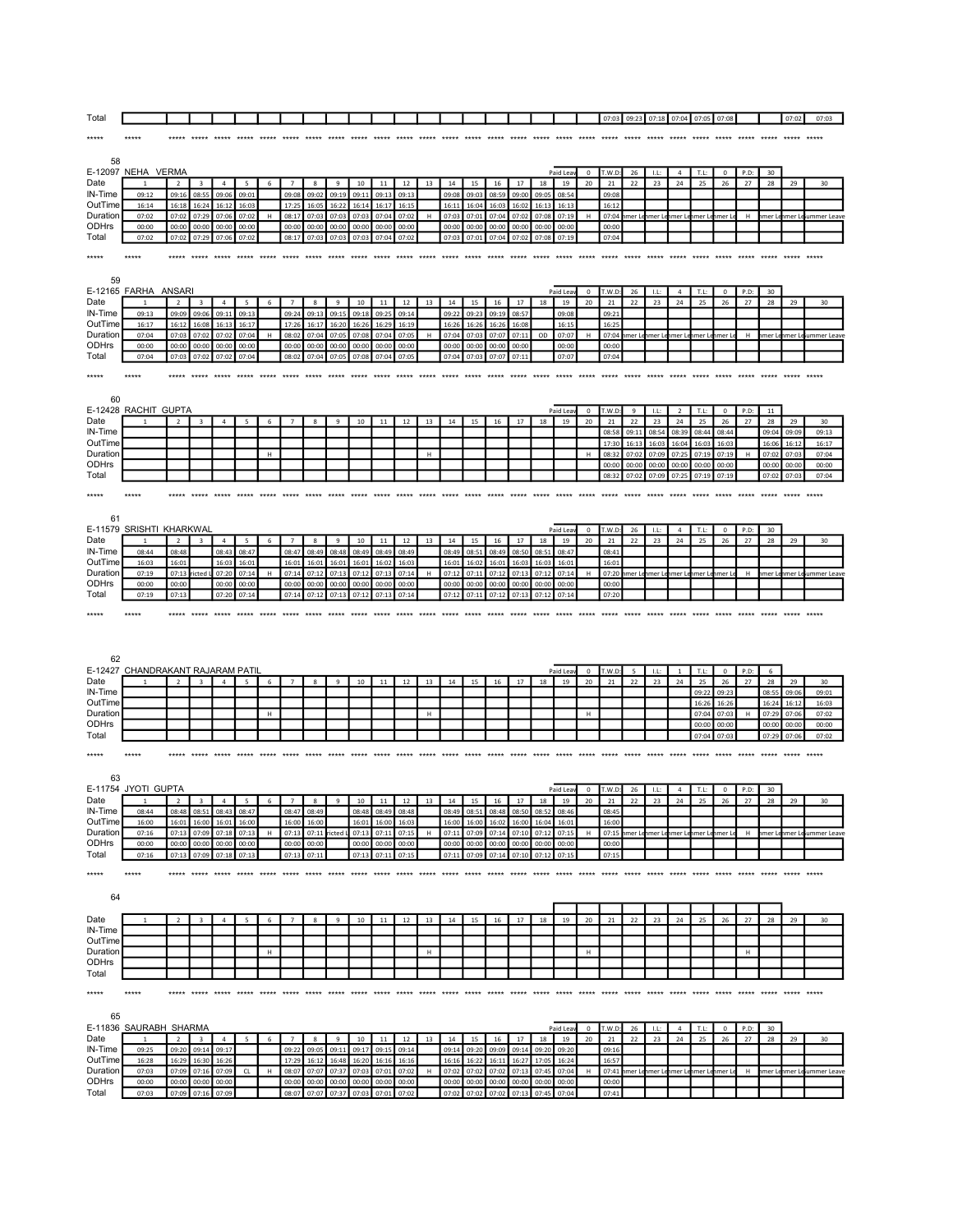| Total                       |                                   |                          |                         |                         |                |       |                |                         |                |                 |                |                |             |                |                               |                |                |                |                |             | 07:03          | 09:23          | 07:18 07:04           |                      | 07:05          | 07:08             |            |                | 07:02          | 07:03                       |
|-----------------------------|-----------------------------------|--------------------------|-------------------------|-------------------------|----------------|-------|----------------|-------------------------|----------------|-----------------|----------------|----------------|-------------|----------------|-------------------------------|----------------|----------------|----------------|----------------|-------------|----------------|----------------|-----------------------|----------------------|----------------|-------------------|------------|----------------|----------------|-----------------------------|
| *****                       |                                   |                          |                         |                         |                |       |                |                         |                |                 |                |                |             |                |                               |                |                |                |                |             |                |                |                       |                      |                |                   |            |                |                |                             |
|                             |                                   |                          |                         |                         |                |       |                |                         |                |                 |                |                |             |                |                               |                |                |                |                |             |                |                |                       |                      |                |                   |            |                |                |                             |
| 58                          |                                   |                          |                         |                         |                |       |                |                         |                |                 |                |                |             |                |                               |                |                |                |                |             |                |                |                       |                      |                |                   |            |                |                |                             |
| Date                        | E-12097 NEHA VERMA<br>1           | $\overline{2}$           | 3                       | $\overline{4}$          | 5              | 6     | $\overline{7}$ | 8                       | $\,9$          | 10              | 11             | 12             | 13          | 14             | 15                            | 16             | 17             | 18             | Paid Lea<br>19 | 0<br>20     | T.W.D<br>21    | 26<br>22       | LL:<br>23             | $\overline{4}$<br>24 | T.L:<br>25     | $\mathbf 0$<br>26 | P.D:<br>27 | 30<br>28       | 29             | 30                          |
| IN-Time                     | 09:12                             | 09:16                    | 08:55                   | 09:06                   | 09:01          |       | 09:08          | 09:02                   | 09:19          | 09:11           | 09:13          | 09:13          |             | 09:08          | 09:03                         | 08:59          | 09:00          | 09:05          | 08:54          |             | 09:08          |                |                       |                      |                |                   |            |                |                |                             |
| OutTime<br>Duration         | 16:14                             | 16:18                    | 16:24                   | 16:12                   | 16:03          |       | 17:25          | 16:05                   | 16:22          | 16:14           | 16:17          | 16:15          |             | 16:11          | 16:04                         | 16:03          | 16:02          | 16:13          | 16:13          |             | 16:12          |                |                       |                      |                |                   |            |                |                |                             |
| ODHrs                       | 07:02<br>00:00                    | 07:02<br>00:00           | 07:29<br>00:00          | 07:06<br>00:00          | 07:02<br>00:00 | н     | 08:17<br>00:00 | 07:03<br>00:00          | 07:03<br>00:00 | 07:03<br>00:00  | 07:04<br>00:00 | 07:02<br>00:00 | $\mathsf H$ | 07:03<br>00:00 | 07:01<br>00:00                | 07:04<br>00:00 | 07:02<br>00:00 | 07:08<br>00:00 | 07:19<br>00:00 | н           | 07:04<br>00:00 |                | imer Lenmer Lenmer L  |                      | hmer Le        | hmer L            | н          | mer Le         |                | nmer Lesummer Leav          |
| Total                       | 07:02                             | 07:02                    | 07:29                   | 07:06                   | 07:02          |       | 08:17          | 07:03                   | 07:03          | 07:03           | 07:04          | 07:02          |             | 07:03          | 07:01                         | 07:04          | 07:02          | 07:08          | 07:19          |             | 07:04          |                |                       |                      |                |                   |            |                |                |                             |
| *****                       | *****                             | *****                    | *****                   | *****                   |                |       | *****          | *****                   | *****          |                 |                |                |             |                |                               |                | *****          |                |                |             | *****          |                |                       |                      |                |                   |            |                |                |                             |
|                             |                                   |                          |                         |                         |                |       |                |                         |                |                 |                |                |             |                |                               |                |                |                |                |             |                |                |                       |                      |                |                   |            |                |                |                             |
| 59                          |                                   |                          |                         |                         |                |       |                |                         |                |                 |                |                |             |                |                               |                |                |                |                |             |                |                |                       |                      |                |                   |            |                |                |                             |
| Date                        | E-12165 FARHA ANSARI              | $\overline{\phantom{a}}$ | $\mathbf{3}$            | $\overline{a}$          | 5              | 6     | $\overline{7}$ | $\boldsymbol{8}$        | $\mathbf{q}$   | 10              | 11             | 12             | 13          | 14             | 15                            | 16             | 17             | 18             | Paid Lea<br>19 | 0<br>20     | T.W.D<br>21    | 26<br>22       | LL:<br>23             | $\overline{a}$<br>24 | T.L:<br>25     | $\mathbf 0$<br>26 | P.D:<br>27 | 30<br>28       | 29             | 30                          |
| IN-Time                     | 09:13                             | 09:09                    | 09:06                   | 09:11                   | 09:13          |       | 09:24          | 09:13                   | 09:15          | 09:18           | 09:25          | 09:14          |             | 09:22          | 09:23                         | 09:19          | 08:57          |                | 09:08          |             | 09:21          |                |                       |                      |                |                   |            |                |                |                             |
| OutTime                     | 16:17                             | 16:12                    | 16:08                   | 16:13                   | 16:17          |       | 17:26          | 16:17                   | 16:20          | 16:26           | 16:29          | 16:19          |             | 16:26          | 16:26                         | 16:26          | 16:08          |                | 16:15          |             | 16:25          |                |                       |                      |                |                   |            |                |                |                             |
| Duration<br>ODHrs           | 07:04<br>00:00                    | 07:03<br>00:00           | 07:02<br>00:00          | 07:02<br>00:00          | 07:04<br>00:00 | Н     | 08:02<br>00:00 | 07:04<br>00:00          | 07:05<br>00:00 | 07:08<br>00:00  | 07:04<br>00:00 | 07:05<br>00:00 | н           | 07:04<br>00:00 | 07:03<br>00:00                | 07:07<br>00:00 | 07:11<br>00:00 | OD             | 07:07<br>00:00 | н           | 07:04<br>00:00 |                | nmer Lehmer Lehmer L  |                      | nmer Lenmer L  |                   | н          | hmer Le        |                | hmer Lesummer Leave         |
| Total                       | 07:04                             | 07:03                    | 07:02                   | 07:02                   | 07:04          |       | 08:02          | 07:04                   | 07:05          | 07:08           | 07:04          | 07:05          |             | 07:04          | 07:03                         | 07:07 07:11    |                |                | 07:07          |             | 07:04          |                |                       |                      |                |                   |            |                |                |                             |
| *****                       | *****                             | *****                    | *****                   | *****                   | *****          | ***** | *****          | *****                   | *****          | *****           |                | *****          | *****       | *****          | *****                         |                |                |                | *****          |             | *****          |                |                       |                      |                |                   |            |                |                |                             |
|                             |                                   |                          |                         |                         |                |       |                |                         |                |                 |                |                |             |                |                               |                |                |                |                |             |                |                |                       |                      |                |                   |            |                |                |                             |
| 60                          |                                   |                          |                         |                         |                |       |                |                         |                |                 |                |                |             |                |                               |                |                |                |                |             |                |                |                       |                      |                |                   |            |                |                |                             |
|                             | E-12428 RACHIT GUPTA              |                          |                         |                         |                |       |                |                         |                |                 |                |                |             |                |                               |                |                |                | Paid Lea       | 0           | T.W.D          | 9              | LL:                   | $\overline{2}$       | T.L:           | $\mathbf 0$       | P.D:       | 11             |                |                             |
| Date<br>IN-Time             | $\mathbf{1}$                      | $\overline{2}$           | $\overline{3}$          | $\sqrt{4}$              | 5              | 6     |                | $\mathbf{R}$            | $\mathbf{q}$   | 10              | 11             | 12             | 13          | 14             | 15                            | 16             | 17             | 18             | 19             | 20          | 21<br>08:58    | 22<br>09:11    | 23<br>08:54           | 24<br>08:39          | 25<br>08:44    | 26<br>08:44       | 27         | 28<br>09:04    | 29<br>09:09    | 30<br>09:13                 |
| OutTime                     |                                   |                          |                         |                         |                |       |                |                         |                |                 |                |                |             |                |                               |                |                |                |                |             | 17:30          | 16:13          | 16:03                 | 16:04                | 16:03          | 16:03             |            | 16:06          | 16:1           | 16:17                       |
| Duration                    |                                   |                          |                         |                         |                | н     |                |                         |                |                 |                |                | $\mathsf H$ |                |                               |                |                |                |                | H           | 08:32          | 07:02          | 07:09                 | 07:25                | 07:19          | 07:19             | H          | 07:02          | 07:03          | 07:04                       |
| ODHrs<br>Total              |                                   |                          |                         |                         |                |       |                |                         |                |                 |                |                |             |                |                               |                |                |                |                |             | 00:00<br>08:32 | 00:00<br>07:02 | 00:00<br>07:09        | 00:00<br>07:25       | 00:00<br>07:19 | 00:00<br>07:19    |            | 00:00<br>07:02 | 00:00<br>07:03 | 00:00<br>07:04              |
|                             |                                   |                          |                         |                         |                |       |                |                         |                |                 |                |                |             |                |                               |                |                |                |                |             |                |                |                       |                      |                |                   |            |                |                |                             |
| *****                       |                                   |                          |                         |                         |                |       |                |                         |                |                 |                |                |             |                |                               |                |                |                |                |             |                |                |                       |                      |                |                   |            |                |                |                             |
| 61                          |                                   |                          |                         |                         |                |       |                |                         |                |                 |                |                |             |                |                               |                |                |                |                |             |                |                |                       |                      |                |                   |            |                |                |                             |
|                             | E-11579 SRISHTI KHARKWAL          |                          |                         |                         |                |       |                |                         |                |                 |                |                |             |                |                               |                |                |                | Paid Leav      | $\mathbf 0$ | T.W.D:         | 26             | LL:                   | $\overline{4}$       | T.L:           | $\pmb{0}$         | P.D:       | 30             |                |                             |
| Date                        |                                   | $\overline{\phantom{a}}$ | $\overline{\mathbf{a}}$ | $\overline{a}$          | 5              | 6     | $\overline{7}$ | $\mathbf{R}$            | $\mathbf{q}$   | 10              | 11             | 12             | 13          | 14             | 15                            | 16             | 17             | 18             | 19             | 20          | 21             | 22             | 23                    | 24                   | 25             | 26                | 27         | 28             | 29             | 30                          |
| IN-Time<br>OutTime          | 08:44                             | 08:48                    |                         | 08:43                   | 08:47          |       | 08:47          | 08:49                   | 08:48          | 08:49           | 08:49          | 08:49          |             | 08:49          | 08:51                         | 08:49          | 08:50          | 08:51          | 08:47          |             | 08:41          |                |                       |                      |                |                   |            |                |                |                             |
| Duration                    | 16:03<br>07:19                    | 16:01<br>07:13           | icted                   | 16:03<br>07:20          | 16:01<br>07:14 | H     | 16:01<br>07:14 | 16:01<br>07:12          | 16:01<br>07:13 | 16:01<br>07:12  | 16:02<br>07:13 | 16:03<br>07:14 | H           | 16:01<br>07:12 | 16:02<br>07:11                | 16:01<br>07:12 | 16:03<br>07:13 | 16:03<br>07:12 | 16:01<br>07:14 | H           | 16:01<br>07:20 | ımer L         | hmer I                | hmer L               | ımer Le        | ımer L            | H          | nmer L         | ımer I         | ummer Leav                  |
| ODHrs                       | 00:00                             | 00:00                    |                         | 00:00                   | 00:00          |       | 00:00          | 00:00                   | 00:00          | 00:00           | 00:00          | 00:00          |             | 00:00          | 00:00                         | 00:00          | 00:00          | 00:00          | 00:00          |             | 00:00          |                |                       |                      |                |                   |            |                |                |                             |
| Total                       | 07:19                             | 07:13                    |                         | 07:20                   | 07:14          |       | 07:14          | 07:12                   | 07:13          | 07:12           | 07:13          | 07:14          |             | 07:12          | 07:11                         | 07:12          | 07:13          | 07:12          | 07:14          |             | 07:20          |                |                       |                      |                |                   |            |                |                |                             |
|                             |                                   |                          |                         |                         |                |       |                |                         |                |                 |                |                |             |                |                               |                |                |                |                |             |                |                |                       |                      |                |                   |            |                |                |                             |
| *****                       | *****                             |                          |                         |                         |                |       |                |                         |                |                 |                |                |             |                |                               |                |                |                |                |             |                |                |                       |                      |                |                   |            |                |                |                             |
|                             |                                   |                          |                         |                         |                |       |                |                         |                |                 |                |                |             |                |                               |                |                |                |                |             |                |                |                       |                      |                |                   |            |                |                |                             |
|                             |                                   |                          |                         |                         |                |       |                |                         |                |                 |                |                |             |                |                               |                |                |                |                |             |                |                |                       |                      |                |                   |            |                |                |                             |
| 62                          |                                   |                          |                         |                         |                |       |                |                         |                |                 |                |                |             |                |                               |                |                |                |                |             |                |                |                       |                      |                |                   |            |                |                |                             |
|                             | E-12427 CHANDRAKANT RAJARAM PATIL |                          |                         |                         |                |       |                |                         |                |                 |                |                |             |                |                               |                |                |                | Paid Leav      | $\mathsf 0$ | T.W.D          | 5              | 112                   |                      | T.L:           | $\mathbf 0$       | P.D:       | 6              |                |                             |
| Date                        |                                   | $\overline{\phantom{a}}$ |                         | $\Delta$                |                | 6     |                | $\mathbf{R}$            | $\mathbf{Q}$   | 10              | 11             | 12             | 13          | 14             | 15                            | 16             | 17             | 18             | 19             | $20\,$      | $\bf{21}$      | 22             | 23                    | 24                   | 25             | 26                | 27         | 28             | 29             | 30                          |
| IN-Time<br>OutTime          |                                   |                          |                         |                         |                |       |                |                         |                |                 |                |                |             |                |                               |                |                |                |                |             |                |                |                       |                      | 09:22<br>16:26 | 09:23<br>16:26    |            | 08:55<br>16:24 | 09:06<br>16:12 | 09:01<br>16:03              |
| Duration                    |                                   |                          |                         |                         |                | H     |                |                         |                |                 |                |                | H           |                |                               |                |                |                |                | H           |                |                |                       |                      | 07:04          | 07:03             | н          | 07:29          | 07:0           | 07:02                       |
| ODHrs                       |                                   |                          |                         |                         |                |       |                |                         |                |                 |                |                |             |                |                               |                |                |                |                |             |                |                |                       |                      | 00:00          | 00:00             |            | 00:00          | 00:00          | 00:00                       |
| Total                       |                                   |                          |                         |                         |                |       |                |                         |                |                 |                |                |             |                |                               |                |                |                |                |             |                |                |                       |                      | 07:04          | 07:03             |            | 07:2           | 07:0           | 07:02                       |
| *****                       | *****                             |                          |                         |                         |                |       |                |                         |                |                 |                |                |             |                |                               |                |                |                |                |             |                |                |                       |                      |                |                   |            |                |                |                             |
|                             |                                   |                          |                         |                         |                |       |                |                         |                |                 |                |                |             |                |                               |                |                |                |                |             |                |                |                       |                      |                |                   |            |                |                |                             |
| 63                          | E-11754 JYOTI GUPTA               |                          |                         |                         |                |       |                |                         |                |                 |                |                |             |                |                               |                |                |                | Paid Leav      | $\mathbf 0$ | T.W.D:         | 26             | LL:                   | $\overline{4}$       | T.L:           | $\mathbf 0$       | P.D:       | 30             |                |                             |
|                             | $\overline{1}$                    | $\overline{2}$           | 3                       | $\overline{4}$          |                |       |                |                         |                | 10              | 11             | 12             | 13          | 14             | 15                            | 16             | 17             | 18             | 19             | 20          | 21             | 22             | 23                    | 24                   | 25             | 26                | 27         | 28             | 29             | 30                          |
| IN-Time                     | 08:44                             | 08:48                    | 08:51                   | 08:43                   | 08:47          |       | 08:47          | 08:49                   |                | 08:48 08:49     |                | 08:48          |             | 08:49          | 08:51 08:48                   |                | 08:50 08:52    |                | 08:46          |             | 08:45          |                |                       |                      |                |                   |            |                |                |                             |
| Date<br>OutTime<br>Duration | 16:00<br>07:16                    | 16:01<br>07:13           | 16:00<br>07:09          | 16:01<br>07:18          | 16:00<br>07:13 | H     | 16:00<br>07:13 | 16:00<br>07:11          | ricted L       | 16:01<br>07:13  | 16:00<br>07:11 | 16:03<br>07:15 | H           | 16:00<br>07:11 | 16:00<br>07:09                | 16:02<br>07:14 | 16:00<br>07:10 | 16:04<br>07:12 | 16:01<br>07:15 | H           | 16:00<br>07:15 |                | imer Lenmer Lenmer Le |                      |                | imer Leimer L     |            |                |                | H nmer Lenmer Leummer Leave |
| ODHrs                       | 00:00                             | 00:00                    | 00:00                   | 00:00                   | 00:00          |       | 00:00          | 00:00                   |                | 00:00           | 00:00          | 00:00          |             | 00:00          | 00:00                         | 00:00          | 00:00          | 00:00          | 00:00          |             | 00:00          |                |                       |                      |                |                   |            |                |                |                             |
| Total                       | 07:16                             | 07:13                    | 07:09                   | 07:18                   | 07:13          |       | 07:13          | 07:11                   |                | 07:13           | 07:11          | 07:15          |             |                | 07:11 07:09 07:14 07:10 07:12 |                |                |                | 07:15          |             | 07:15          |                |                       |                      |                |                   |            |                |                |                             |
| *****                       | *****                             | *****                    | *****                   | *****                   | *****          | ***** |                | ***** ***** ***** ***** |                |                 | *****          | ***** *****    |             | *****          | ***** ***** ***** *****       |                |                |                | *****          | *****       | *****          | ***** *****    |                       |                      |                |                   |            |                |                |                             |
|                             |                                   |                          |                         |                         |                |       |                |                         |                |                 |                |                |             |                |                               |                |                |                |                |             |                |                |                       |                      |                |                   |            |                |                |                             |
| 64                          |                                   |                          |                         |                         |                |       |                |                         |                |                 |                |                |             |                |                               |                |                |                |                |             |                |                |                       |                      |                |                   |            |                |                |                             |
| Date                        |                                   | $\overline{2}$           | $\overline{\mathbf{3}}$ | $\overline{4}$          | -5             | 6     |                | 8                       | 9              | 10              | 11             | 12             | 13          | 14             | 15                            | 16             | 17             | 18             | 19             | 20          | 21             | 22             | 23                    | 24                   | 25             | 26                | 27         | 28             | 29             | 30                          |
| IN-Time                     |                                   |                          |                         |                         |                |       |                |                         |                |                 |                |                |             |                |                               |                |                |                |                |             |                |                |                       |                      |                |                   |            |                |                |                             |
| OutTime                     |                                   |                          |                         |                         |                |       |                |                         |                |                 |                |                |             |                |                               |                |                |                |                |             |                |                |                       |                      |                |                   |            |                |                |                             |
| Duration<br>ODHrs           |                                   |                          |                         |                         |                | н     |                |                         |                |                 |                |                | H           |                |                               |                |                |                |                | H           |                |                |                       |                      |                |                   | н          |                |                |                             |
|                             |                                   |                          |                         |                         |                |       |                |                         |                |                 |                |                |             |                |                               |                |                |                |                |             |                |                |                       |                      |                |                   |            |                |                |                             |
| *****                       | *****                             |                          |                         |                         |                |       |                |                         |                |                 |                |                |             |                |                               |                |                |                |                |             |                |                |                       |                      |                |                   |            |                |                |                             |
|                             |                                   |                          |                         |                         |                |       |                |                         |                |                 |                |                |             |                |                               |                |                |                |                |             |                |                |                       |                      |                |                   |            |                |                |                             |
| 65                          |                                   |                          |                         |                         |                |       |                |                         |                |                 |                |                |             |                |                               |                |                |                |                |             |                |                |                       |                      |                |                   |            |                |                |                             |
|                             | E-11836 SAURABH SHARMA            |                          |                         |                         |                |       |                |                         |                |                 |                |                |             |                |                               |                |                |                | Paid Leav      | $^{\circ}$  | T.W.D:         | 26             | LL                    | $\overline{4}$       | T.L:           | $^{\circ}$        | P.D:       | 30             |                |                             |
| Date<br>IN-Time             | 09:25                             | $\overline{2}$<br>09:20  | 3<br>09:14              | $\overline{4}$<br>09:17 | 5              | 6     | 09:22          | 8<br>09:05              | 9<br>09:11     | $10\,$<br>09:17 | 11<br>09:15    | 12<br>09:14    | 13          | 14<br>09:14    | 15<br>09:20                   | 16<br>09:09    | 17<br>09:14    | 18<br>09:20    | 19<br>09:20    | 20          | 21<br>09:16    | 22             | 23                    | 24                   | 25             | 26                | 27         | 28             | 29             | 30                          |
| Total<br>OutTime            | 16:28                             | 16:29                    | 16:30                   | 16:26                   |                |       | 17:29          | 16:12                   | 16:48          | 16:20           | 16:16          | 16:16          |             | 16:16          | 16:22                         | 16:11          | 16:27          | 17:05          | 16:24          |             | 16:57          |                |                       |                      |                |                   |            |                |                |                             |
| Duration                    | 07:03                             | 07:09                    | 07:16                   | 07:09                   | CL             | н     | 08:07          | 07:07                   | 07:37          | 07:03           | 07:01          | 07:02          | H           | 07:02          | 07:02                         | 07:02          | 07:13          | 07:45          | 07:04          | H           | 07:41          | nmer L         | enmer Lenmer Le       |                      | nmer Lenmer Le |                   | H          |                |                | nmer Lenmer Le ummer Leave  |
| ODHrs<br>Total              | 00:00<br>07:03                    | 00:00<br>07:09           | 00:00<br>07:16          | 00:00<br>07:09          |                |       | 00:00<br>08:07 | 00:00<br>07:07          | 00:00<br>07:37 | 00:00<br>07:03  | 00:00<br>07:01 | 00:00<br>07:02 |             | 00:00<br>07:02 | 00:00<br>07:02                | 00:00<br>07:02 | 00:00<br>07:13 | 00:00<br>07:45 | 00:00<br>07:04 |             | 00:00<br>07:41 |                |                       |                      |                |                   |            |                |                |                             |